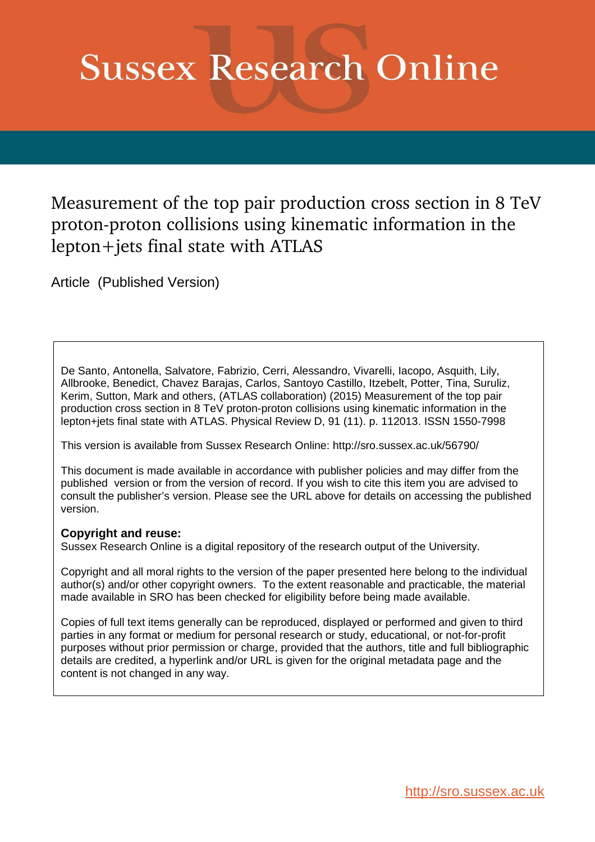# **Sussex Research Online**

Measurement of the top pair production cross section in 8 TeV proton-proton collisions using kinematic information in the lepton+jets final state with ATLAS

<span id="page-0-0"></span>Article (Published Version)

De Santo, Antonella, Salvatore, Fabrizio, Cerri, Alessandro, Vivarelli, Iacopo, Asquith, Lily, Allbrooke, Benedict, Chavez Barajas, Carlos, Santoyo Castillo, Itzebelt, Potter, Tina, Suruliz, Kerim, Sutton, Mark and others, (ATLAS collaboration) (2015) Measurement of the top pair production cross section in 8 TeV proton-proton collisions using kinematic information in the lepton+jets final state with ATLAS. Physical Review D, 91 (11). p. 112013. ISSN 1550-7998

This version is available from Sussex Research Online: http://sro.sussex.ac.uk/56790/

This document is made available in accordance with publisher policies and may differ from the published version or from the version of record. If you wish to cite this item you are advised to consult the publisher's version. Please see the URL above for details on accessing the published version.

# **Copyright and reuse:**

Sussex Research Online is a digital repository of the research output of the University.

Copyright and all moral rights to the version of the paper presented here belong to the individual author(s) and/or other copyright owners. To the extent reasonable and practicable, the material made available in SRO has been checked for eligibility before being made available.

Copies of full text items generally can be reproduced, displayed or performed and given to third parties in any format or medium for personal research or study, educational, or not-for-profit purposes without prior permission or charge, provided that the authors, title and full bibliographic details are credited, a hyperlink and/or URL is given for the original metadata page and the content is not changed in any way.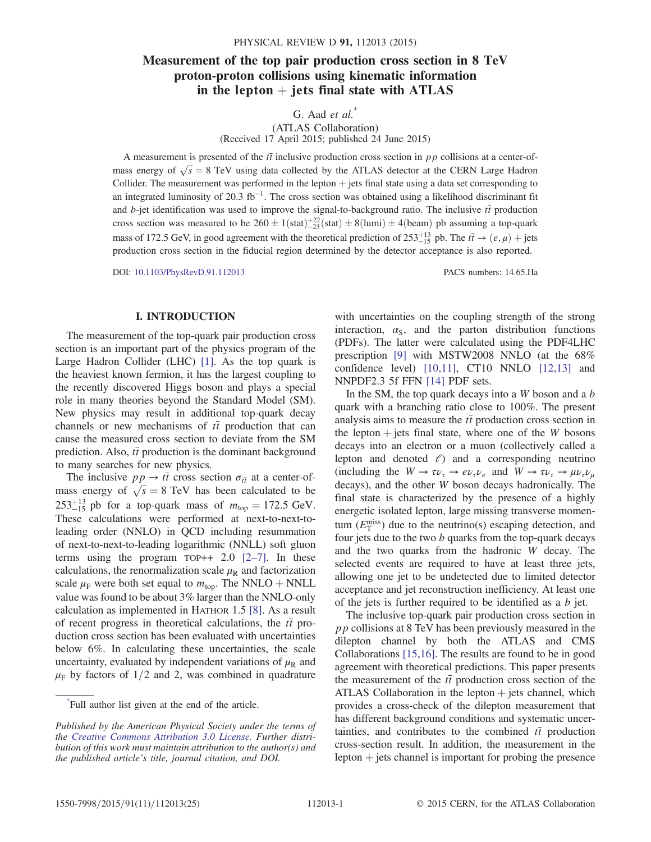# Measurement of the top pair production cross section in 8 TeV proton-proton collisions using kinematic information in the lepton  $+$  jets final state with ATLAS

G. Aad  $et \ al.^*$ 

(ATLAS Collaboration) (Received 17 April 2015; published 24 June 2015)

A measurement is presented of the  $t\bar{t}$  inclusive production cross section in pp collisions at a center-ofmass energy of  $\sqrt{s}$  = 8 TeV using data collected by the ATLAS detector at the CERN Large Hadron Collider. The measurement was performed in the lepton  $+$  jets final state using a data set corresponding to an integrated luminosity of 20.3 fb<sup>-1</sup>. The cross section was obtained using a likelihood discriminant fit and b-jet identification was used to improve the signal-to-background ratio. The inclusive  $t\bar{t}$  production cross section was measured to be  $260 \pm 1(\text{stat}) \pm 2(\text{stat}) \pm 8(\text{lumi}) \pm 4(\text{beam})$  pb assuming a top-quark mass of 172.5 GeV, in good agreement with the theoretical prediction of  $253^{+13}_{-15}$  pb. The  $t\bar{t} \to (e,\mu)$  + jets production cross section in the fiducial region determined by the detector acceptance is also reported.

DOI: [10.1103/PhysRevD.91.112013](http://dx.doi.org/10.1103/PhysRevD.91.112013) PACS numbers: 14.65.Ha

### I. INTRODUCTION

The measurement of the top-quark pair production cross section is an important part of the physics program of the Large Hadron Collider (LHC) [\[1\]](#page-10-0). As the top quark is the heaviest known fermion, it has the largest coupling to the recently discovered Higgs boson and plays a special role in many theories beyond the Standard Model (SM). New physics may result in additional top-quark decay channels or new mechanisms of  $t\bar{t}$  production that can cause the measured cross section to deviate from the SM prediction. Also,  $t\bar{t}$  production is the dominant background to many searches for new physics.

<span id="page-1-0"></span>The inclusive  $pp \rightarrow t\bar{t}$  cross section  $\sigma_{t\bar{t}}$  at a center-ofmass energy of  $\sqrt{s} = 8$  TeV has been calculated to be  $253^{+13}_{-15}$  pb for a top-quark mass of  $m_{\text{top}} = 172.5 \text{ GeV}$ . These calculations were performed at next-to-next-toleading order (NNLO) in QCD including resummation of next-to-next-to-leading logarithmic (NNLL) soft gluon terms using the program  $TOP++ 2.0$   $[2-7]$  $[2-7]$ . In these calculations, the renormalization scale  $\mu_R$  and factorization scale  $\mu_F$  were both set equal to  $m_{\text{top}}$ . The NNLO + NNLL value was found to be about 3% larger than the NNLO-only calculation as implemented in HATHOR 1.5 [\[8\].](#page-10-2) As a result of recent progress in theoretical calculations, the  $t\bar{t}$  production cross section has been evaluated with uncertainties below 6%. In calculating these uncertainties, the scale uncertainty, evaluated by independent variations of  $\mu_R$  and  $\mu_F$  by factors of 1/2 and 2, was combined in quadrature with uncertainties on the coupling strength of the strong interaction,  $\alpha_{\rm S}$ , and the parton distribution functions (PDFs). The latter were calculated using the PDF4LHC prescription [\[9\]](#page-10-3) with MSTW2008 NNLO (at the 68% confidence level) [\[10,11\]](#page-10-4), CT10 NNLO [\[12,13\]](#page-10-5) and NNPDF2.3 5f FFN [\[14\]](#page-10-6) PDF sets.

<span id="page-1-1"></span>In the SM, the top quark decays into a  $W$  boson and a  $b$ quark with a branching ratio close to 100%. The present analysis aims to measure the  $t\bar{t}$  production cross section in the lepton  $+$  jets final state, where one of the W bosons decays into an electron or a muon (collectively called a lepton and denoted  $\ell$ ) and a corresponding neutrino (including the  $W \to \tau \nu_{\tau} \to e \nu_{\tau} \nu_{e}$  and  $W \to \tau \nu_{\tau} \to \mu \nu_{\tau} \nu_{\mu}$ decays), and the other W boson decays hadronically. The final state is characterized by the presence of a highly energetic isolated lepton, large missing transverse momentum  $(E_{\text{T}}^{\text{miss}})$  due to the neutrino(s) escaping detection, and four jets due to the two  $b$  quarks from the top-quark decays and the two quarks from the hadronic W decay. The selected events are required to have at least three jets, allowing one jet to be undetected due to limited detector acceptance and jet reconstruction inefficiency. At least one of the jets is further required to be identified as a b jet.

The inclusive top-quark pair production cross section in pp collisions at 8 TeV has been previously measured in the dilepton channel by both the ATLAS and CMS Collaborations [\[15,16\]](#page-10-7). The results are found to be in good agreement with theoretical predictions. This paper presents the measurement of the  $t\bar{t}$  production cross section of the ATLAS Collaboration in the lepton  $+$  jets channel, which provides a cross-check of the dilepton measurement that has different background conditions and systematic uncertainties, and contributes to the combined  $t\bar{t}$  production cross-section result. In addition, the measurement in the lepton  $+$  jets channel is important for probing the presence

<sup>\*</sup> Full author list given at the end of the article.

Published by the American Physical Society under the terms of the [Creative Commons Attribution 3.0 License.](http://creativecommons.org/licenses/by/3.0/) Further distribution of this work must maintain attribution to the author(s) and the published article's title, journal citation, and DOI.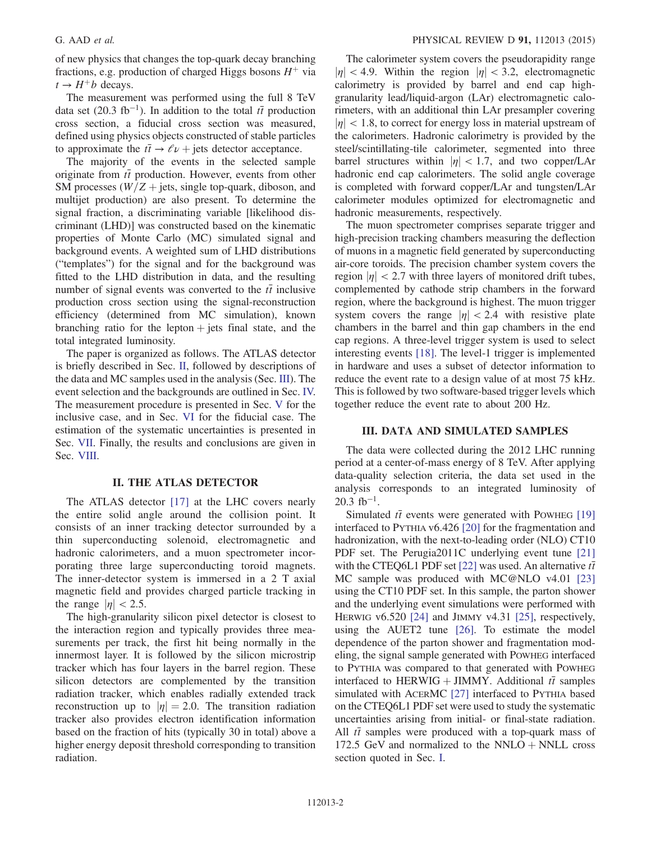of new physics that changes the top-quark decay branching fractions, e.g. production of charged Higgs bosons  $H^+$  via  $t \rightarrow H^+b$  decays.

The measurement was performed using the full 8 TeV data set (20.3 fb<sup>-1</sup>). In addition to the total  $t\bar{t}$  production cross section, a fiducial cross section was measured, defined using physics objects constructed of stable particles to approximate the  $t\bar{t} \rightarrow \ell \nu$  + jets detector acceptance.

The majority of the events in the selected sample originate from  $t\bar{t}$  production. However, events from other SM processes ( $W/Z$  + jets, single top-quark, diboson, and multijet production) are also present. To determine the signal fraction, a discriminating variable [likelihood discriminant (LHD)] was constructed based on the kinematic properties of Monte Carlo (MC) simulated signal and background events. A weighted sum of LHD distributions ("templates") for the signal and for the background was fitted to the LHD distribution in data, and the resulting number of signal events was converted to the  $t\bar{t}$  inclusive production cross section using the signal-reconstruction efficiency (determined from MC simulation), known branching ratio for the lepton  $+$  jets final state, and the total integrated luminosity.

The paper is organized as follows. The ATLAS detector is briefly described in Sec. [II](#page-1-0), followed by descriptions of the data and MC samples used in the analysis (Sec. [III\)](#page-1-1). The event selection and the backgrounds are outlined in Sec. [IV.](#page-2-0) The measurement procedure is presented in Sec. [V](#page-4-0) for the inclusive case, and in Sec. [VI](#page-5-0) for the fiducial case. The estimation of the systematic uncertainties is presented in Sec. [VII](#page-7-0). Finally, the results and conclusions are given in Sec. [VIII.](#page-9-0)

#### II. THE ATLAS DETECTOR

The ATLAS detector [\[17\]](#page-10-8) at the LHC covers nearly the entire solid angle around the collision point. It consists of an inner tracking detector surrounded by a thin superconducting solenoid, electromagnetic and hadronic calorimeters, and a muon spectrometer incorporating three large superconducting toroid magnets. The inner-detector system is immersed in a 2 T axial magnetic field and provides charged particle tracking in the range  $|\eta|$  < 2.5.

<span id="page-2-0"></span>The high-granularity silicon pixel detector is closest to the interaction region and typically provides three measurements per track, the first hit being normally in the innermost layer. It is followed by the silicon microstrip tracker which has four layers in the barrel region. These silicon detectors are complemented by the transition radiation tracker, which enables radially extended track reconstruction up to  $|\eta| = 2.0$ . The transition radiation tracker also provides electron identification information based on the fraction of hits (typically 30 in total) above a higher energy deposit threshold corresponding to transition radiation.

The calorimeter system covers the pseudorapidity range  $|\eta|$  < 4.9. Within the region  $|\eta|$  < 3.2, electromagnetic calorimetry is provided by barrel and end cap highgranularity lead/liquid-argon (LAr) electromagnetic calorimeters, with an additional thin LAr presampler covering  $|\eta|$  < 1.8, to correct for energy loss in material upstream of the calorimeters. Hadronic calorimetry is provided by the steel/scintillating-tile calorimeter, segmented into three barrel structures within  $|\eta|$  < 1.7, and two copper/LAr hadronic end cap calorimeters. The solid angle coverage is completed with forward copper/LAr and tungsten/LAr calorimeter modules optimized for electromagnetic and hadronic measurements, respectively.

The muon spectrometer comprises separate trigger and high-precision tracking chambers measuring the deflection of muons in a magnetic field generated by superconducting air-core toroids. The precision chamber system covers the region  $|\eta|$  < 2.7 with three layers of monitored drift tubes, complemented by cathode strip chambers in the forward region, where the background is highest. The muon trigger system covers the range  $|\eta| < 2.4$  with resistive plate chambers in the barrel and thin gap chambers in the end cap regions. A three-level trigger system is used to select interesting events [\[18\]](#page-10-9). The level-1 trigger is implemented in hardware and uses a subset of detector information to reduce the event rate to a design value of at most 75 kHz. This is followed by two software-based trigger levels which together reduce the event rate to about 200 Hz.

#### III. DATA AND SIMULATED SAMPLES

The data were collected during the 2012 LHC running period at a center-of-mass energy of 8 TeV. After applying data-quality selection criteria, the data set used in the analysis corresponds to an integrated luminosity of  $20.3 \text{ fb}^{-1}$ .

Simulated  $t\bar{t}$  events were generated with POWHEG [\[19\]](#page-10-10) interfaced to PYTHIA v6.426 [\[20\]](#page-10-11) for the fragmentation and hadronization, with the next-to-leading order (NLO) CT10 PDF set. The Perugia2011C underlying event tune [\[21\]](#page-10-12) with the CTEQ6L1 PDF set [\[22\]](#page-10-13) was used. An alternative  $t\bar{t}$ MC sample was produced with MC@NLO v4.01 [\[23\]](#page-10-14) using the CT10 PDF set. In this sample, the parton shower and the underlying event simulations were performed with HERWIG v6.520 [\[24\]](#page-10-15) and JIMMY v4.31 [\[25\],](#page-10-16) respectively, using the AUET2 tune [\[26\].](#page-11-0) To estimate the model dependence of the parton shower and fragmentation modeling, the signal sample generated with POWHEG interfaced to PYTHIA was compared to that generated with POWHEG interfaced to HERWIG + JIMMY. Additional  $t\bar{t}$  samples simulated with ACERMC [\[27\]](#page-11-1) interfaced to PYTHIA based on the CTEQ6L1 PDF set were used to study the systematic uncertainties arising from initial- or final-state radiation. All  $t\bar{t}$  samples were produced with a top-quark mass of 172.5 GeV and normalized to the NNLO  $+$  NNLL cross section quoted in Sec. [I](#page-0-0).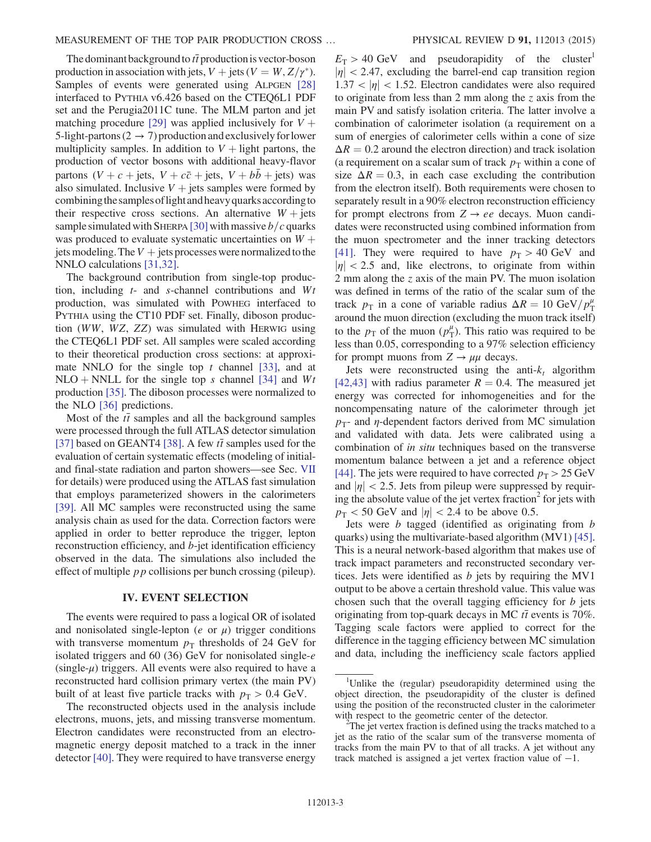The dominant background to  $t\bar{t}$  production is vector-boson production in association with jets,  $V + \text{jets} (V = W, Z/\gamma^*)$ . Samples of events were generated using ALPGEN [\[28\]](#page-11-2) interfaced to PYTHIA v6.426 based on the CTEQ6L1 PDF set and the Perugia2011C tune. The MLM parton and jet matching procedure [\[29\]](#page-11-3) was applied inclusively for  $V +$ 5-light-partons (2  $\rightarrow$  7) production and exclusively for lower multiplicity samples. In addition to  $V +$  light partons, the production of vector bosons with additional heavy-flavor partons  $(V + c + \text{jets}, V + c\bar{c} + \text{jets}, V + b\bar{b} + \text{jets})$  was also simulated. Inclusive  $V +$  jets samples were formed by combining the samples of light and heavy quarks according to their respective cross sections. An alternative  $W + j$ ets sample simulated with SHERPA [\[30\]](#page-11-4) with massive  $b/c$  quarks was produced to evaluate systematic uncertainties on  $W +$ jets modeling. The  $V +$  jets processes were normalized to the NNLO calculations [\[31,32\].](#page-11-5)

The background contribution from single-top production, including  $t$ - and s-channel contributions and  $Wt$ production, was simulated with POWHEG interfaced to PYTHIA using the CT10 PDF set. Finally, diboson production (WW, WZ, ZZ) was simulated with HERWIG using the CTEQ6L1 PDF set. All samples were scaled according to their theoretical production cross sections: at approximate NNLO for the single top  $t$  channel [\[33\],](#page-11-6) and at NLO + NNLL for the single top s channel [\[34\]](#page-11-7) and  $Wt$ production [\[35\].](#page-11-8) The diboson processes were normalized to the NLO [\[36\]](#page-11-9) predictions.

Most of the  $t\bar{t}$  samples and all the background samples were processed through the full ATLAS detector simulation [\[37\]](#page-11-10) based on GEANT4 [\[38\].](#page-11-11) A few  $t\bar{t}$  samples used for the evaluation of certain systematic effects (modeling of initialand final-state radiation and parton showers—see Sec. [VII](#page-7-0) for details) were produced using the ATLAS fast simulation that employs parameterized showers in the calorimeters [\[39\]](#page-11-12). All MC samples were reconstructed using the same analysis chain as used for the data. Correction factors were applied in order to better reproduce the trigger, lepton reconstruction efficiency, and b-jet identification efficiency observed in the data. The simulations also included the effect of multiple  $p p$  collisions per bunch crossing (pileup).

#### IV. EVENT SELECTION

The events were required to pass a logical OR of isolated and nonisolated single-lepton ( $e$  or  $\mu$ ) trigger conditions with transverse momentum  $p_T$  thresholds of 24 GeV for isolated triggers and 60 (36) GeV for nonisolated single- $e$  $(single-\mu)$  triggers. All events were also required to have a reconstructed hard collision primary vertex (the main PV) built of at least five particle tracks with  $p_T > 0.4$  GeV.

The reconstructed objects used in the analysis include electrons, muons, jets, and missing transverse momentum. Electron candidates were reconstructed from an electromagnetic energy deposit matched to a track in the inner detector [\[40\].](#page-11-13) They were required to have transverse energy  $E_T > 40 \text{ GeV}$  and pseudorapidity of the cluster<sup>1</sup>  $|\eta|$  < 2.47, excluding the barrel-end cap transition region  $1.37 < |\eta| < 1.52$ . Electron candidates were also required to originate from less than 2 mm along the z axis from the main PV and satisfy isolation criteria. The latter involve a combination of calorimeter isolation (a requirement on a sum of energies of calorimeter cells within a cone of size  $\Delta R = 0.2$  around the electron direction) and track isolation (a requirement on a scalar sum of track  $p<sub>T</sub>$  within a cone of size  $\Delta R = 0.3$ , in each case excluding the contribution from the electron itself). Both requirements were chosen to separately result in a 90% electron reconstruction efficiency for prompt electrons from  $Z \rightarrow ee$  decays. Muon candidates were reconstructed using combined information from the muon spectrometer and the inner tracking detectors [\[41\]](#page-11-14). They were required to have  $p_T > 40$  GeV and  $|\eta|$  < 2.5 and, like electrons, to originate from within 2 mm along the z axis of the main PV. The muon isolation was defined in terms of the ratio of the scalar sum of the track  $p_T$  in a cone of variable radius  $\Delta R = 10 \text{ GeV}/p_T^{\mu}$ around the muon direction (excluding the muon track itself) to the  $p_{\text{T}}$  of the muon  $(p_{\text{T}}^{\mu})$ . This ratio was required to be less than 0.05, corresponding to a 97% selection efficiency for prompt muons from  $Z \rightarrow \mu\mu$  decays.

Jets were reconstructed using the anti- $k_t$  algorithm [\[42,43\]](#page-11-15) with radius parameter  $R = 0.4$ . The measured jet energy was corrected for inhomogeneities and for the noncompensating nature of the calorimeter through jet  $p_T$ - and  $\eta$ -dependent factors derived from MC simulation and validated with data. Jets were calibrated using a combination of in situ techniques based on the transverse momentum balance between a jet and a reference object [\[44\]](#page-11-16). The jets were required to have corrected  $p_T > 25 \text{ GeV}$ and  $|\eta|$  < 2.5. Jets from pileup were suppressed by requiring the absolute value of the jet vertex fraction<sup>2</sup> for jets with  $p_T < 50$  GeV and  $|\eta| < 2.4$  to be above 0.5.

Jets were b tagged (identified as originating from b quarks) using the multivariate-based algorithm (MV1) [\[45\]](#page-11-17). This is a neural network-based algorithm that makes use of track impact parameters and reconstructed secondary vertices. Jets were identified as  $b$  jets by requiring the MV1 output to be above a certain threshold value. This value was chosen such that the overall tagging efficiency for  $b$  jets originating from top-quark decays in MC  $t\bar{t}$  events is 70%. Tagging scale factors were applied to correct for the difference in the tagging efficiency between MC simulation and data, including the inefficiency scale factors applied

<sup>&</sup>lt;sup>1</sup>Unlike the (regular) pseudorapidity determined using the object direction, the pseudorapidity of the cluster is defined using the position of the reconstructed cluster in the calorimeter with respect to the geometric center of the detector.

 $2^2$ The jet vertex fraction is defined using the tracks matched to a jet as the ratio of the scalar sum of the transverse momenta of tracks from the main PV to that of all tracks. A jet without any track matched is assigned a jet vertex fraction value of −1.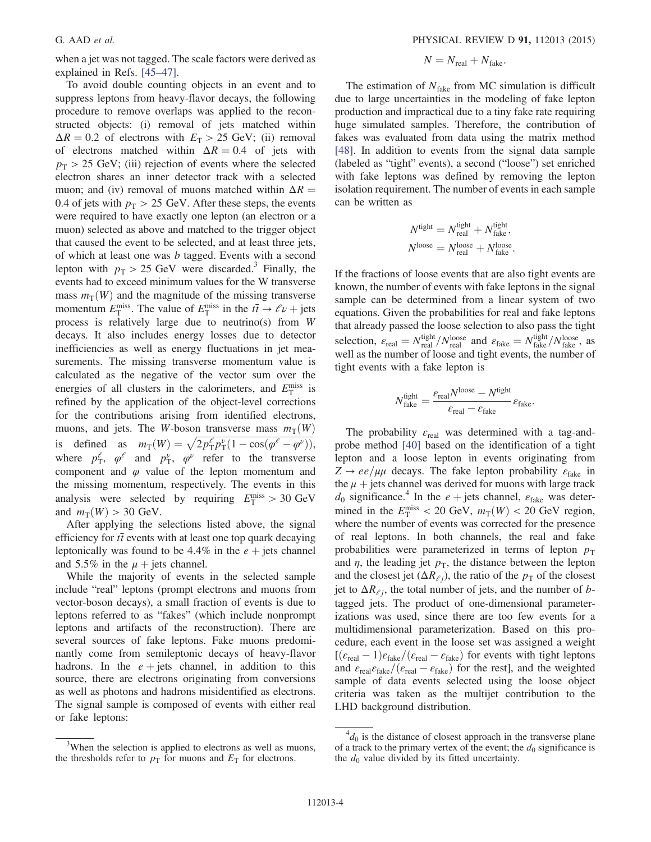<span id="page-4-1"></span>when a jet was not tagged. The scale factors were derived as explained in Refs. [45–[47\].](#page-11-17)

To avoid double counting objects in an event and to suppress leptons from heavy-flavor decays, the following procedure to remove overlaps was applied to the reconstructed objects: (i) removal of jets matched within  $\Delta R = 0.2$  of electrons with  $E_T > 25$  GeV; (ii) removal of electrons matched within  $\Delta R = 0.4$  of jets with  $p_T > 25$  GeV; (iii) rejection of events where the selected electron shares an inner detector track with a selected muon; and (iv) removal of muons matched within  $\Delta R =$ 0.4 of jets with  $p_T > 25$  GeV. After these steps, the events were required to have exactly one lepton (an electron or a muon) selected as above and matched to the trigger object that caused the event to be selected, and at least three jets, of which at least one was b tagged. Events with a second lepton with  $p_T > 25$  GeV were discarded.<sup>3</sup> Finally, the events had to exceed minimum values for the W transverse mass  $m_T(W)$  and the magnitude of the missing transverse momentum  $E_{\rm T}^{\rm miss}$ . The value of  $E_{\rm T}^{\rm miss}$  in the  $t\bar{t} \to \ell \nu + \text{jets}$ process is relatively large due to neutrino(s) from W decays. It also includes energy losses due to detector inefficiencies as well as energy fluctuations in jet measurements. The missing transverse momentum value is calculated as the negative of the vector sum over the energies of all clusters in the calorimeters, and  $E_{\rm T}^{\rm miss}$  is refined by the application of the object-level corrections for the contributions arising from identified electrons, muons, and jets. The W-boson transverse mass  $m<sub>T</sub>(W)$ is defined as  $m_T(W) = \sqrt{2p_T^{\ell}}p_T^{\nu}(1 - \cos(\varphi^{\ell} - \varphi^{\nu}))}$ , where  $p_T^{\ell}$ ,  $\varphi^{\ell}$  and  $p_T^{\nu}$ ,  $\varphi^{\nu}$  refer to the transverse component and  $\varphi$  value of the lepton momentum and the missing momentum, respectively. The events in this analysis were selected by requiring  $E_{\rm T}^{\rm miss} > 30 \text{ GeV}$ and  $m_T(W) > 30$  GeV.

<span id="page-4-0"></span>After applying the selections listed above, the signal efficiency for  $t\bar{t}$  events with at least one top quark decaying leptonically was found to be 4.4% in the  $e +$  jets channel and 5.5% in the  $\mu$  + jets channel.

While the majority of events in the selected sample include "real" leptons (prompt electrons and muons from vector-boson decays), a small fraction of events is due to leptons referred to as "fakes" (which include nonprompt leptons and artifacts of the reconstruction). There are several sources of fake leptons. Fake muons predominantly come from semileptonic decays of heavy-flavor hadrons. In the  $e + \text{jets}$  channel, in addition to this source, there are electrons originating from conversions as well as photons and hadrons misidentified as electrons. The signal sample is composed of events with either real or fake leptons:

$$
N = N_{\text{real}} + N_{\text{fake}}.
$$

The estimation of  $N<sub>fake</sub>$  from MC simulation is difficult due to large uncertainties in the modeling of fake lepton production and impractical due to a tiny fake rate requiring huge simulated samples. Therefore, the contribution of fakes was evaluated from data using the matrix method [\[48\]](#page-11-18). In addition to events from the signal data sample (labeled as "tight" events), a second ("loose") set enriched with fake leptons was defined by removing the lepton isolation requirement. The number of events in each sample can be written as

$$
N^{\text{tight}} = N^{\text{tight}}_{\text{real}} + N^{\text{tight}}_{\text{fake}},
$$
  

$$
N^{\text{loose}} = N^{\text{loose}}_{\text{real}} + N^{\text{loose}}_{\text{fake}}.
$$

If the fractions of loose events that are also tight events are known, the number of events with fake leptons in the signal sample can be determined from a linear system of two equations. Given the probabilities for real and fake leptons that already passed the loose selection to also pass the tight selection,  $\varepsilon_{\text{real}} = N_{\text{real}}^{\text{tight}}/N_{\text{real}}^{\text{loose}}$  and  $\varepsilon_{\text{fake}} = N_{\text{fake}}^{\text{tight}}/N_{\text{fake}}^{\text{loose}}$ , as well as the number of loose and tight events, the number of tight events with a fake lepton is

$$
N_{\text{fake}}^{\text{tight}} = \frac{\varepsilon_{\text{real}} N^{\text{loose}} - N^{\text{tight}}}{\varepsilon_{\text{real}} - \varepsilon_{\text{fake}}} \varepsilon_{\text{fake}}.
$$

The probability  $\varepsilon_{\text{real}}$  was determined with a tag-andprobe method [\[40\]](#page-11-13) based on the identification of a tight lepton and a loose lepton in events originating from  $Z \rightarrow ee/\mu\mu$  decays. The fake lepton probability  $\varepsilon_{\text{fake}}$  in the  $\mu$  + jets channel was derived for muons with large track  $d_0$  significance.<sup>4</sup> In the  $e$  + jets channel,  $\varepsilon_{\text{fake}}$  was determined in the  $E_{\rm T}^{\rm miss}$  < 20 GeV,  $m_{\rm T}(W)$  < 20 GeV region, where the number of events was corrected for the presence of real leptons. In both channels, the real and fake probabilities were parameterized in terms of lepton  $p<sub>T</sub>$ and  $\eta$ , the leading jet  $p<sub>T</sub>$ , the distance between the lepton and the closest jet  $(\Delta R_{\ell j})$ , the ratio of the  $p_{\text{T}}$  of the closest jet to  $\Delta R_{\ell j}$ , the total number of jets, and the number of btagged jets. The product of one-dimensional parameterizations was used, since there are too few events for a multidimensional parameterization. Based on this procedure, each event in the loose set was assigned a weight [ $(\varepsilon_{\text{real}} - 1)\varepsilon_{\text{fake}}/(\varepsilon_{\text{real}} - \varepsilon_{\text{fake}})$  for events with tight leptons and  $\varepsilon_{\text{real}}\varepsilon_{\text{fake}}/(\varepsilon_{\text{real}}-\varepsilon_{\text{fake}})$  for the rest], and the weighted sample of data events selected using the loose object criteria was taken as the multijet contribution to the LHD background distribution.

<sup>&</sup>lt;sup>3</sup>When the selection is applied to electrons as well as muons, the thresholds refer to  $p<sub>T</sub>$  for muons and  $E<sub>T</sub>$  for electrons.

<span id="page-4-2"></span> $^{4}d_{0}$  is the distance of closest approach in the transverse plane of a track to the primary vertex of the event; the  $d_0$  significance is the  $d_0$  value divided by its fitted uncertainty.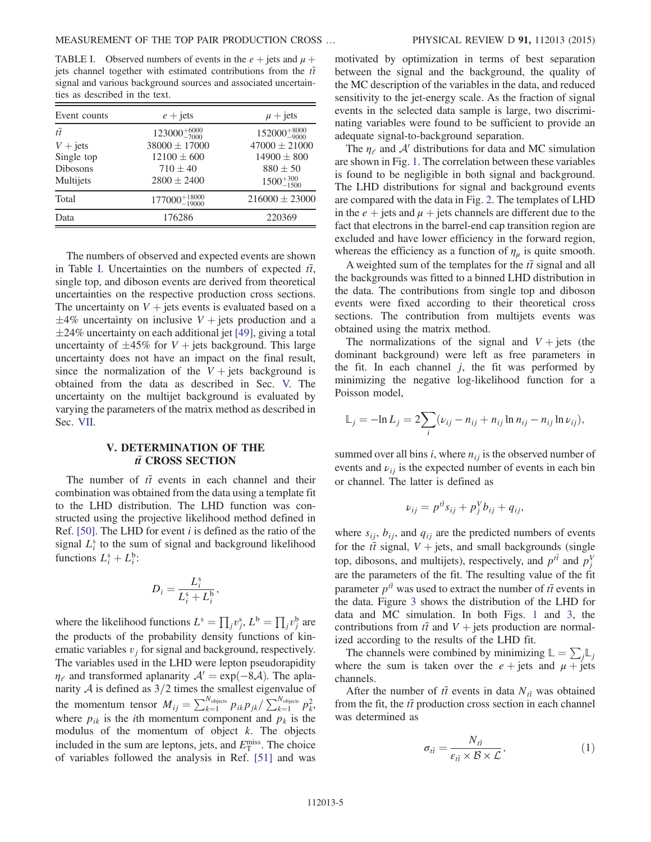<span id="page-5-1"></span>TABLE I. Observed numbers of events in the  $e +$  jets and  $\mu +$ jets channel together with estimated contributions from the  $t\bar{t}$ signal and various background sources and associated uncertainties as described in the text.

| Event counts      | $e + \text{jets}$          | $\mu$ + jets             |
|-------------------|----------------------------|--------------------------|
| $t\overline{t}$   | $123000^{+6000}_{-7000}$   | $152000^{+8000}_{-9000}$ |
| $V + \text{jets}$ | $38000 \pm 17000$          | $47000 \pm 21000$        |
| Single top        | $12100 \pm 600$            | $14900 \pm 800$          |
| <b>Dibosons</b>   | $710 \pm 40$               | $880 \pm 50$             |
| Multijets         | $2800 \pm 2400$            | $1500^{+300}_{-1500}$    |
| Total             | $177000^{+18000}_{-19000}$ | $216000 \pm 23000$       |
| Data              | 176286                     | 220369                   |

The numbers of observed and expected events are shown in Table [I](#page-4-1). Uncertainties on the numbers of expected  $t\bar{t}$ , single top, and diboson events are derived from theoretical uncertainties on the respective production cross sections. The uncertainty on  $V +$  jets events is evaluated based on a  $\pm 4\%$  uncertainty on inclusive  $V +$  jets production and a -24% uncertainty on each additional jet [\[49\]](#page-11-19), giving a total uncertainty of  $\pm 45\%$  for  $V +$  jets background. This large uncertainty does not have an impact on the final result, since the normalization of the  $V +$  jets background is obtained from the data as described in Sec. [V.](#page-4-0) The uncertainty on the multijet background is evaluated by varying the parameters of the matrix method as described in Sec. [VII.](#page-7-0)

## V. DETERMINATION OF THE  $t\bar{t}$  CROSS SECTION

The number of  $t\bar{t}$  events in each channel and their combination was obtained from the data using a template fit to the LHD distribution. The LHD function was constructed using the projective likelihood method defined in Ref. [\[50\]](#page-11-20). The LHD for event  $i$  is defined as the ratio of the signal  $L_i^s$  to the sum of signal and background likelihood functions  $L_i^s + L_i^b$ :

$$
D_i = \frac{L_i^{\rm s}}{L_i^{\rm s} + L_i^{\rm b}},
$$

<span id="page-5-0"></span>where the likelihood functions  $L^s = \prod_j v_j^s$ ,  $L^b = \prod_j v_j^b$  are the products of the probability density functions of kinematic variables  $v_j$  for signal and background, respectively. The variables used in the LHD were lepton pseudorapidity  $\eta_e$  and transformed aplanarity  $A' = \exp(-8A)$ . The aplanarity  $\mathcal A$  is defined as  $3/2$  times the smallest eigenvalue of the momentum tensor  $M_{ij} = \sum_{k=1}^{N_{objects}} p_{ik} p_{jk} / \sum_{k=1}^{N_{objects}} p_k^2$ k , where  $p_{ik}$  is the *i*th momentum component and  $p_k$  is the modulus of the momentum of object  $k$ . The objects included in the sum are leptons, jets, and  $E_T^{\text{miss}}$ . The choice of variables followed the analysis in Ref. [\[51\]](#page-11-21) and was motivated by optimization in terms of best separation between the signal and the background, the quality of the MC description of the variables in the data, and reduced sensitivity to the jet-energy scale. As the fraction of signal events in the selected data sample is large, two discriminating variables were found to be sufficient to provide an adequate signal-to-background separation.

The  $\eta_e$  and  $A'$  distributions for data and MC simulation are shown in Fig. [1.](#page-5-1) The correlation between these variables is found to be negligible in both signal and background. The LHD distributions for signal and background events are compared with the data in Fig. [2.](#page-6-0) The templates of LHD in the  $e +$  jets and  $\mu$  + jets channels are different due to the fact that electrons in the barrel-end cap transition region are excluded and have lower efficiency in the forward region, whereas the efficiency as a function of  $\eta_{\mu}$  is quite smooth.

A weighted sum of the templates for the  $t\bar{t}$  signal and all the backgrounds was fitted to a binned LHD distribution in the data. The contributions from single top and diboson events were fixed according to their theoretical cross sections. The contribution from multijets events was obtained using the matrix method.

The normalizations of the signal and  $V + jets$  (the dominant background) were left as free parameters in the fit. In each channel j, the fit was performed by minimizing the negative log-likelihood function for a Poisson model,

$$
\mathbb{L}_j = -\ln L_j = 2 \sum_i (\nu_{ij} - n_{ij} + n_{ij} \ln n_{ij} - n_{ij} \ln \nu_{ij}),
$$

summed over all bins  $i$ , where  $n_{ij}$  is the observed number of events and  $v_{ij}$  is the expected number of events in each bin or channel. The latter is defined as

$$
\nu_{ij} = p^{t\bar{t}}s_{ij} + p_j^V b_{ij} + q_{ij},
$$

where  $s_{ij}$ ,  $b_{ij}$ , and  $q_{ij}$  are the predicted numbers of events for the  $t\bar{t}$  signal,  $V$  + jets, and small backgrounds (single top, dibosons, and multijets), respectively, and  $p_j^{t\bar{t}}$  and  $p_j^{V}$ are the parameters of the fit. The resulting value of the fit parameter  $p^{t\bar{t}}$  was used to extract the number of  $t\bar{t}$  events in the data. Figure [3](#page-6-1) shows the distribution of the LHD for data and MC simulation. In both Figs. [1](#page-5-1) and [3,](#page-6-1) the contributions from  $t\bar{t}$  and  $V +$  jets production are normalized according to the results of the LHD fit.

The channels were combined by minimizing  $\mathbb{L} = \sum_j \mathbb{L}_j$ where the sum is taken over the  $e + \text{jets}$  and  $\mu + \text{jets}$ channels.

After the number of  $t\bar{t}$  events in data  $N_{t\bar{t}}$  was obtained from the fit, the  $t\bar{t}$  production cross section in each channel was determined as

$$
\sigma_{t\bar{t}} = \frac{N_{t\bar{t}}}{\varepsilon_{t\bar{t}} \times \mathcal{B} \times \mathcal{L}},\tag{1}
$$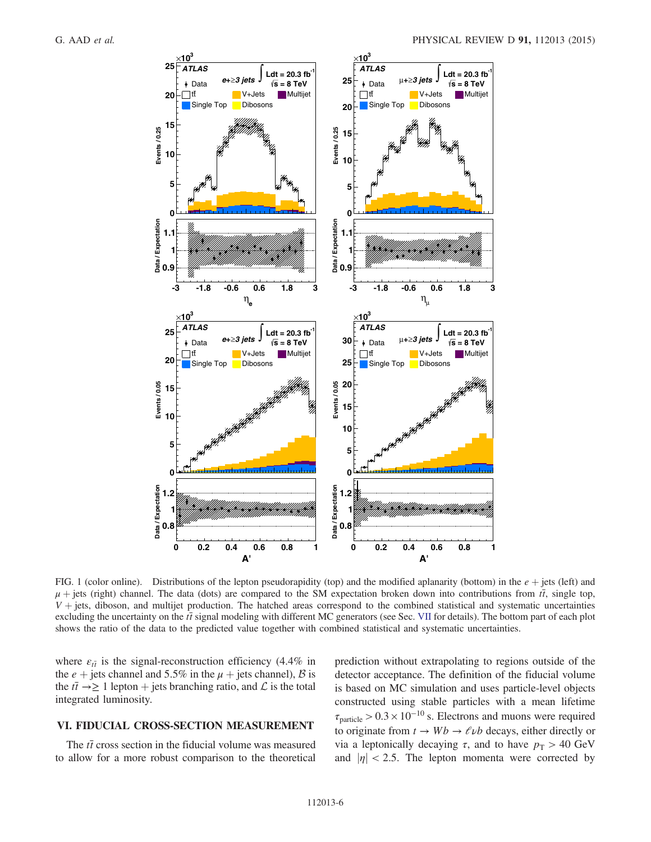<span id="page-6-1"></span><span id="page-6-0"></span>

FIG. 1 (color online). Distributions of the lepton pseudorapidity (top) and the modified aplanarity (bottom) in the  $e +$ jets (left) and  $\mu$  + jets (right) channel. The data (dots) are compared to the SM expectation broken down into contributions from  $t\bar{t}$ , single top,  $V +$  jets, diboson, and multijet production. The hatched areas correspond to the combined statistical and systematic uncertainties excluding the uncertainty on the  $t\bar{t}$  signal modeling with different MC generators (see Sec. [VII](#page-7-0) for details). The bottom part of each plot shows the ratio of the data to the predicted value together with combined statistical and systematic uncertainties.

where  $\varepsilon_{t\bar{t}}$  is the signal-reconstruction efficiency (4.4% in the  $e +$  jets channel and 5.5% in the  $\mu$  + jets channel), B is the  $t\bar{t} \rightarrow \ge 1$  lepton + jets branching ratio, and  $\mathcal L$  is the total integrated luminosity.

## VI. FIDUCIAL CROSS-SECTION MEASUREMENT

The  $t\bar{t}$  cross section in the fiducial volume was measured to allow for a more robust comparison to the theoretical

prediction without extrapolating to regions outside of the detector acceptance. The definition of the fiducial volume is based on MC simulation and uses particle-level objects constructed using stable particles with a mean lifetime  $\tau_{\text{particle}} > 0.3 \times 10^{-10}$  s. Electrons and muons were required to originate from  $t \to Wb \to \ell \nu b$  decays, either directly or via a leptonically decaying τ, and to have  $p_T > 40$  GeV and  $|\eta|$  < 2.5. The lepton momenta were corrected by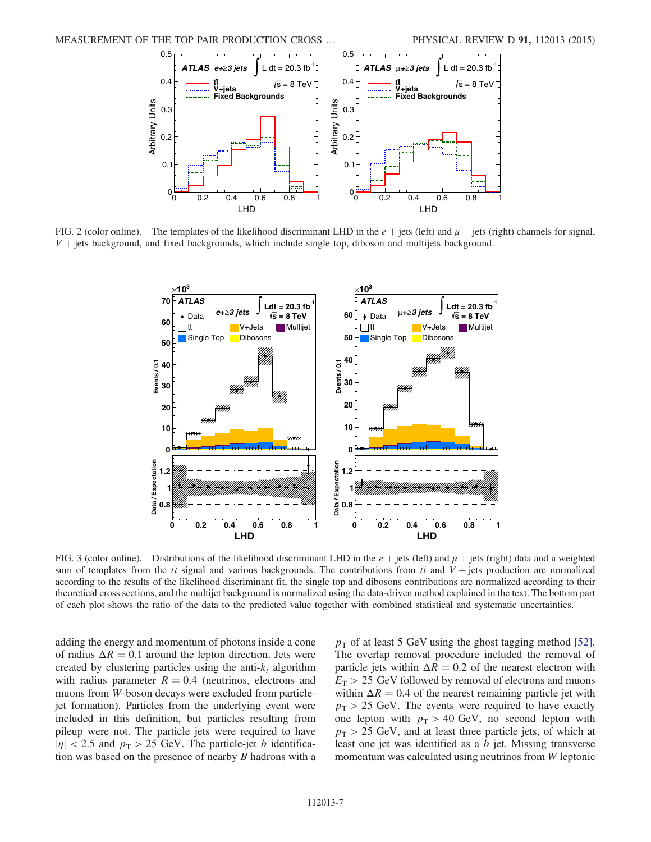

<span id="page-7-1"></span>FIG. 2 (color online). The templates of the likelihood discriminant LHD in the  $e + \text{jets}$  (left) and  $\mu + \text{jets}$  (right) channels for signal,  $V +$  jets background, and fixed backgrounds, which include single top, diboson and multijets background.



<span id="page-7-0"></span>FIG. 3 (color online). Distributions of the likelihood discriminant LHD in the  $e +$  jets (left) and  $\mu$  + jets (right) data and a weighted sum of templates from the  $t\bar{t}$  signal and various backgrounds. The contributions from  $t\bar{t}$  and  $V +$  jets production are normalized according to the results of the likelihood discriminant fit, the single top and dibosons contributions are normalized according to their theoretical cross sections, and the multijet background is normalized using the data-driven method explained in the text. The bottom part of each plot shows the ratio of the data to the predicted value together with combined statistical and systematic uncertainties.

adding the energy and momentum of photons inside a cone of radius  $\Delta R = 0.1$  around the lepton direction. Jets were created by clustering particles using the anti- $k_t$  algorithm with radius parameter  $R = 0.4$  (neutrinos, electrons and muons from W-boson decays were excluded from particlejet formation). Particles from the underlying event were included in this definition, but particles resulting from pileup were not. The particle jets were required to have  $|\eta|$  < 2.5 and  $p_T > 25$  GeV. The particle-jet b identification was based on the presence of nearby B hadrons with a  $p<sub>T</sub>$  of at least 5 GeV using the ghost tagging method [\[52\]](#page-11-22). The overlap removal procedure included the removal of particle jets within  $\Delta R = 0.2$  of the nearest electron with  $E<sub>T</sub>$  > 25 GeV followed by removal of electrons and muons within  $\Delta R = 0.4$  of the nearest remaining particle jet with  $p_T > 25$  GeV. The events were required to have exactly one lepton with  $p_T > 40$  GeV, no second lepton with  $p_T > 25$  GeV, and at least three particle jets, of which at least one jet was identified as a b jet. Missing transverse momentum was calculated using neutrinos from W leptonic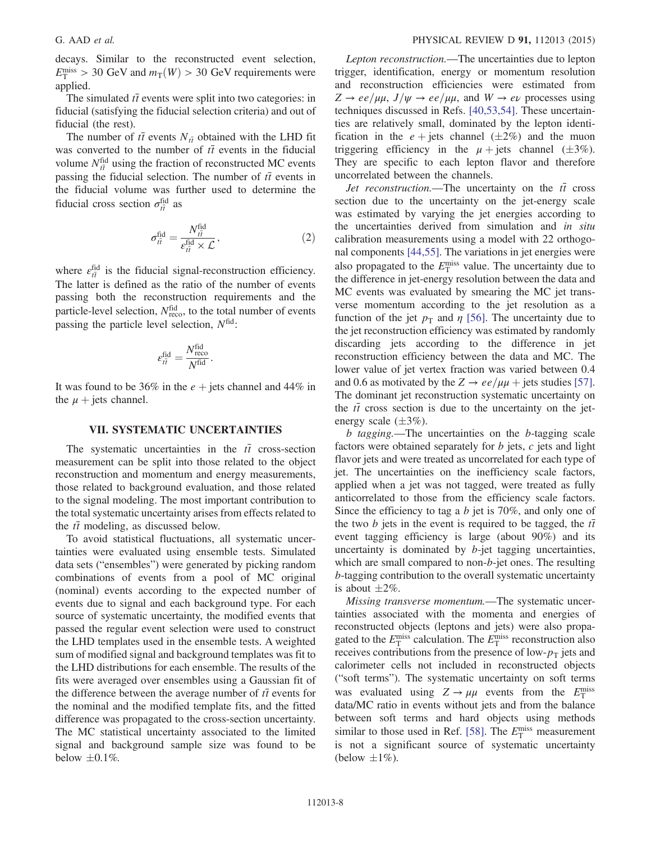decays. Similar to the reconstructed event selection,  $E_{\rm T}^{\rm miss} > 30$  GeV and  $m_{\rm T}(W) > 30$  GeV requirements were applied.

The simulated  $t\bar{t}$  events were split into two categories: in fiducial (satisfying the fiducial selection criteria) and out of fiducial (the rest).

The number of  $t\bar{t}$  events  $N_{t\bar{t}}$  obtained with the LHD fit was converted to the number of  $t\bar{t}$  events in the fiducial volume  $N_{t\bar{t}}^{\text{fid}}$  using the fraction of reconstructed MC events passing the fiducial selection. The number of  $t\bar{t}$  events in the fiducial volume was further used to determine the fiducial cross section  $\sigma_{t\bar{t}}^{\text{fid}}$  as

$$
\sigma_{i\bar{i}}^{\text{fid}} = \frac{N_{i\bar{i}}^{\text{fid}}}{\varepsilon_{i\bar{i}}^{\text{fid}} \times \mathcal{L}},\tag{2}
$$

where  $\varepsilon_{t\bar{t}}^{\text{fid}}$  is the fiducial signal-reconstruction efficiency. The latter is defined as the ratio of the number of events passing both the reconstruction requirements and the particle-level selection,  $N_{\text{reco}}^{\text{fid}}$ , to the total number of events passing the particle level selection,  $N<sup>fid</sup>$ :

$$
\varepsilon_{t\bar{t}}^{\text{fid}} = \frac{N_{\text{reco}}^{\text{fid}}}{N^{\text{fid}}}.
$$

It was found to be 36% in the  $e +$  jets channel and 44% in the  $\mu$  + jets channel.

#### VII. SYSTEMATIC UNCERTAINTIES

The systematic uncertainties in the  $t\bar{t}$  cross-section measurement can be split into those related to the object reconstruction and momentum and energy measurements, those related to background evaluation, and those related to the signal modeling. The most important contribution to the total systematic uncertainty arises from effects related to the  $t\bar{t}$  modeling, as discussed below.

To avoid statistical fluctuations, all systematic uncertainties were evaluated using ensemble tests. Simulated data sets ("ensembles") were generated by picking random combinations of events from a pool of MC original (nominal) events according to the expected number of events due to signal and each background type. For each source of systematic uncertainty, the modified events that passed the regular event selection were used to construct the LHD templates used in the ensemble tests. A weighted sum of modified signal and background templates was fit to the LHD distributions for each ensemble. The results of the fits were averaged over ensembles using a Gaussian fit of the difference between the average number of  $t\bar{t}$  events for the nominal and the modified template fits, and the fitted difference was propagated to the cross-section uncertainty. The MC statistical uncertainty associated to the limited signal and background sample size was found to be below  $\pm 0.1\%$ .

Lepton reconstruction.—The uncertainties due to lepton trigger, identification, energy or momentum resolution and reconstruction efficiencies were estimated from  $Z \rightarrow ee/\mu\mu$ ,  $J/\psi \rightarrow ee/\mu\mu$ , and  $W \rightarrow e\nu$  processes using techniques discussed in Refs. [\[40,53,54\].](#page-11-13) These uncertainties are relatively small, dominated by the lepton identification in the  $e + \text{jets}$  channel  $(\pm 2\%)$  and the muon triggering efficiency in the  $\mu$  + jets channel ( $\pm 3\%$ ). They are specific to each lepton flavor and therefore uncorrelated between the channels.

*Jet reconstruction.*—The uncertainty on the  $t\bar{t}$  cross section due to the uncertainty on the jet-energy scale was estimated by varying the jet energies according to the uncertainties derived from simulation and in situ calibration measurements using a model with 22 orthogonal components [\[44,55\]](#page-11-16). The variations in jet energies were also propagated to the  $E_{\rm T}^{\rm miss}$  value. The uncertainty due to the difference in jet-energy resolution between the data and MC events was evaluated by smearing the MC jet transverse momentum according to the jet resolution as a function of the jet  $p_T$  and  $\eta$  [\[56\]](#page-11-23). The uncertainty due to the jet reconstruction efficiency was estimated by randomly discarding jets according to the difference in jet reconstruction efficiency between the data and MC. The lower value of jet vertex fraction was varied between 0.4 and 0.6 as motivated by the  $Z \rightarrow ee/\mu\mu$  + jets studies [\[57\]](#page-11-24). The dominant jet reconstruction systematic uncertainty on the  $t\bar{t}$  cross section is due to the uncertainty on the jetenergy scale  $(\pm 3\%)$ .

b tagging.—The uncertainties on the b-tagging scale factors were obtained separately for  $b$  jets,  $c$  jets and light flavor jets and were treated as uncorrelated for each type of jet. The uncertainties on the inefficiency scale factors, applied when a jet was not tagged, were treated as fully anticorrelated to those from the efficiency scale factors. Since the efficiency to tag a  $b$  jet is 70%, and only one of the two b jets in the event is required to be tagged, the  $t\bar{t}$ event tagging efficiency is large (about 90%) and its uncertainty is dominated by  $b$ -jet tagging uncertainties, which are small compared to non-b-jet ones. The resulting b-tagging contribution to the overall systematic uncertainty is about  $\pm 2\%$ .

Missing transverse momentum.—The systematic uncertainties associated with the momenta and energies of reconstructed objects (leptons and jets) were also propagated to the  $E_{\text{T}}^{\text{miss}}$  calculation. The  $E_{\text{T}}^{\text{miss}}$  reconstruction also receives contributions from the presence of low- $p<sub>T</sub>$  jets and calorimeter cells not included in reconstructed objects ("soft terms"). The systematic uncertainty on soft terms was evaluated using  $Z \rightarrow \mu\mu$  events from the  $E_T^{\text{miss}}$ data/MC ratio in events without jets and from the balance between soft terms and hard objects using methods similar to those used in Ref. [\[58\]](#page-11-25). The  $E_{\rm T}^{\rm miss}$  measurement is not a significant source of systematic uncertainty (below  $\pm 1\%$ ).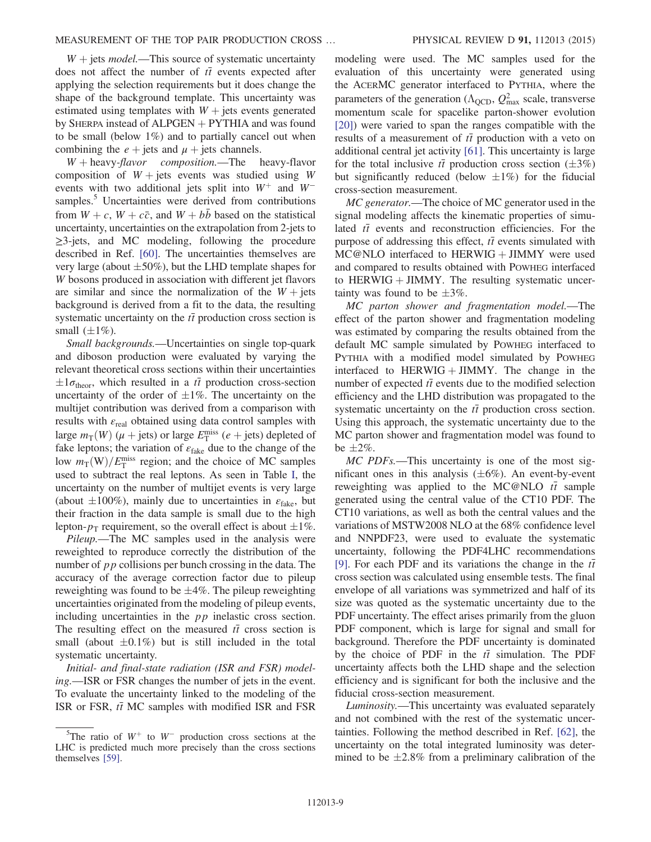<span id="page-9-1"></span> $W +$  jets *model*.—This source of systematic uncertainty does not affect the number of  $t\bar{t}$  events expected after applying the selection requirements but it does change the shape of the background template. This uncertainty was estimated using templates with  $W +$  jets events generated by SHERPA instead of  $ALPGEN + PYTHIA$  and was found to be small (below 1%) and to partially cancel out when

combining the  $e + \text{jets}$  and  $\mu + \text{jets}$  channels.<br>  $W + \text{heavy-flavor}$  composition. The heavy-flavor  $W +$  heavy-flavor composition.—The composition of  $W +$  jets events was studied using W events with two additional jets split into  $W^+$  and  $W^$ samples.<sup>5</sup> Uncertainties were derived from contributions from  $W + c$ ,  $W + c\bar{c}$ , and  $W + b\bar{b}$  based on the statistical uncertainty, uncertainties on the extrapolation from 2-jets to ≥3-jets, and MC modeling, following the procedure described in Ref. [\[60\]](#page-11-26). The uncertainties themselves are very large (about  $\pm 50\%$ ), but the LHD template shapes for W bosons produced in association with different jet flavors are similar and since the normalization of the  $W +$  jets background is derived from a fit to the data, the resulting systematic uncertainty on the  $t\bar{t}$  production cross section is small  $(\pm 1\%)$ .

Small backgrounds.—Uncertainties on single top-quark and diboson production were evaluated by varying the relevant theoretical cross sections within their uncertainties  $\pm 1\sigma_{\text{theor}}$ , which resulted in a  $t\bar{t}$  production cross-section uncertainty of the order of  $\pm 1\%$ . The uncertainty on the multijet contribution was derived from a comparison with results with  $\varepsilon_{\text{real}}$  obtained using data control samples with large  $m_T(W)$  ( $\mu$  + jets) or large  $E_T^{\text{miss}}$  ( $e$  + jets) depleted of fake leptons; the variation of  $\varepsilon$ <sub>fake</sub> due to the change of the low  $m_T(W)/E_T^{\text{miss}}$  region; and the choice of MC samples used to subtract the real leptons. As seen in Table [I,](#page-4-1) the uncertainty on the number of multijet events is very large (about  $\pm 100\%$ ), mainly due to uncertainties in  $\varepsilon_{\text{fake}}$ , but their fraction in the data sample is small due to the high lepton- $p_T$  requirement, so the overall effect is about  $\pm 1\%$ .

Pileup.—The MC samples used in the analysis were reweighted to reproduce correctly the distribution of the number of  $p p$  collisions per bunch crossing in the data. The accuracy of the average correction factor due to pileup reweighting was found to be  $\pm 4\%$ . The pileup reweighting uncertainties originated from the modeling of pileup events, including uncertainties in the pp inelastic cross section. The resulting effect on the measured  $t\bar{t}$  cross section is small (about  $\pm 0.1\%$ ) but is still included in the total systematic uncertainty.

<span id="page-9-0"></span>Initial- and final-state radiation (ISR and FSR) modeling.—ISR or FSR changes the number of jets in the event. To evaluate the uncertainty linked to the modeling of the ISR or FSR,  $t\bar{t}$  MC samples with modified ISR and FSR modeling were used. The MC samples used for the evaluation of this uncertainty were generated using the ACERMC generator interfaced to PYTHIA, where the parameters of the generation ( $\Lambda_{\text{QCD}}$ ,  $Q_{\text{max}}^2$  scale, transverse momentum scale for spacelike parton-shower evolution [\[20\]](#page-10-11)) were varied to span the ranges compatible with the results of a measurement of  $t\bar{t}$  production with a veto on additional central jet activity [\[61\].](#page-11-27) This uncertainty is large for the total inclusive  $t\bar{t}$  production cross section ( $\pm 3\%$ ) but significantly reduced (below  $\pm 1\%$ ) for the fiducial cross-section measurement.

MC generator.—The choice of MC generator used in the signal modeling affects the kinematic properties of simulated  $t\bar{t}$  events and reconstruction efficiencies. For the purpose of addressing this effect,  $t\bar{t}$  events simulated with  $MC@NLO$  interfaced to HERWIG + JIMMY were used and compared to results obtained with POWHEG interfaced to HERWIG  $+$  JIMMY. The resulting systematic uncertainty was found to be  $\pm 3\%$ .

MC parton shower and fragmentation model.—The effect of the parton shower and fragmentation modeling was estimated by comparing the results obtained from the default MC sample simulated by POWHEG interfaced to PYTHIA with a modified model simulated by POWHEG interfaced to  $HERWIG + JIMMY$ . The change in the number of expected  $t\bar{t}$  events due to the modified selection efficiency and the LHD distribution was propagated to the systematic uncertainty on the  $t\bar{t}$  production cross section. Using this approach, the systematic uncertainty due to the MC parton shower and fragmentation model was found to be  $\pm 2\%$ .

MC PDFs.—This uncertainty is one of the most significant ones in this analysis  $(\pm 6\%)$ . An event-by-event reweighting was applied to the MC@NLO  $t\bar{t}$  sample generated using the central value of the CT10 PDF. The CT10 variations, as well as both the central values and the variations of MSTW2008 NLO at the 68% confidence level and NNPDF23, were used to evaluate the systematic uncertainty, following the PDF4LHC recommendations [\[9\]](#page-10-3). For each PDF and its variations the change in the  $t\bar{t}$ cross section was calculated using ensemble tests. The final envelope of all variations was symmetrized and half of its size was quoted as the systematic uncertainty due to the PDF uncertainty. The effect arises primarily from the gluon PDF component, which is large for signal and small for background. Therefore the PDF uncertainty is dominated by the choice of PDF in the  $t\bar{t}$  simulation. The PDF uncertainty affects both the LHD shape and the selection efficiency and is significant for both the inclusive and the fiducial cross-section measurement.

Luminosity.—This uncertainty was evaluated separately and not combined with the rest of the systematic uncertainties. Following the method described in Ref. [\[62\]](#page-11-28), the uncertainty on the total integrated luminosity was determined to be  $\pm 2.8\%$  from a preliminary calibration of the

 $5$ The ratio of W<sup>+</sup> to W<sup>-</sup> production cross sections at the LHC is predicted much more precisely than the cross sections themselves [\[59\].](#page-11-29)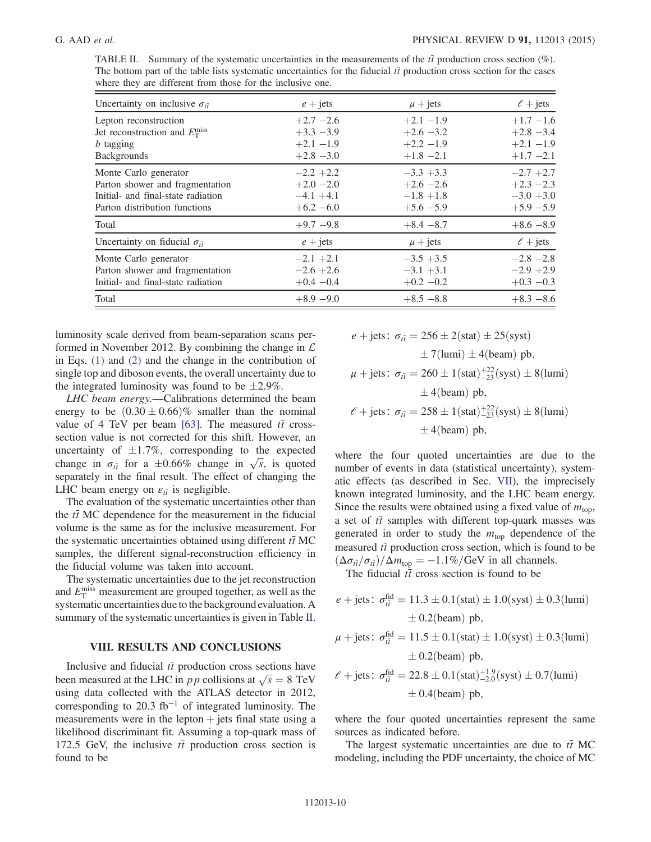TABLE II. Summary of the systematic uncertainties in the measurements of the  $t\bar{t}$  production cross section (%). The bottom part of the table lists systematic uncertainties for the fiducial  $t\bar{t}$  production cross section for the cases where they are different from those for the inclusive one.

| Uncertainty on inclusive $\sigma_{\bar{u}}$                                                                                     | $e +$ jets                                                | $\mu$ + jets                                                 | $\ell$ + jets                                               |
|---------------------------------------------------------------------------------------------------------------------------------|-----------------------------------------------------------|--------------------------------------------------------------|-------------------------------------------------------------|
| Lepton reconstruction<br>Jet reconstruction and $E_{\rm T}^{\rm miss}$<br><i>b</i> tagging<br><b>Backgrounds</b>                | $+2.7 -2.6$<br>$+3.3 -3.9$<br>$+2.1 -1.9$<br>$+2.8 - 3.0$ | $+2.1 -1.9$<br>$+2.6 - 3.2$<br>$+2.2 -1.9$<br>$+1.8 -2.1$    | $+1.7 -1.6$<br>$+2.8 - 3.4$<br>$+2.1 -1.9$<br>$+1.7 -2.1$   |
| Monte Carlo generator<br>Parton shower and fragmentation<br>Initial- and final-state radiation<br>Parton distribution functions | $-2.2 +2.2$<br>$+2.0 -2.0$<br>$-4.1 + 4.1$<br>$+6.2 -6.0$ | $-3.3 + 3.3$<br>$+2.6 - 2.6$<br>$-1.8 + 1.8$<br>$+5.6 - 5.9$ | $-2.7 + 2.7$<br>$+2.3 -2.3$<br>$-3.0 + 3.0$<br>$+5.9 - 5.9$ |
| Total                                                                                                                           | $+9.7 - 9.8$                                              | $+8.4 - 8.7$                                                 | $+8.6 - 8.9$                                                |
| Uncertainty on fiducial $\sigma_{t\bar{t}}$                                                                                     | $e + \text{jets}$                                         | $\mu$ + jets                                                 | $\ell$ + jets                                               |
| Monte Carlo generator<br>Parton shower and fragmentation<br>Initial- and final-state radiation                                  | $-2.1 +2.1$<br>$-2.6 + 2.6$<br>$+0.4 -0.4$                | $-3.5 + 3.5$<br>$-3.1 + 3.1$<br>$+0.2 -0.2$                  | $-2.8 - 2.8$<br>$-2.9 + 2.9$<br>$+0.3 -0.3$                 |
| Total                                                                                                                           | $+8.9 -9.0$                                               | $+8.5 - 8.8$                                                 | $+8.3 - 8.6$                                                |

luminosity scale derived from beam-separation scans performed in November 2012. By combining the change in  $\mathcal L$ in Eqs. [\(1\)](#page-4-2) and [\(2\)](#page-7-1) and the change in the contribution of single top and diboson events, the overall uncertainty due to the integrated luminosity was found to be  $\pm 2.9\%$ .

LHC beam energy.—Calibrations determined the beam energy to be  $(0.30 \pm 0.66)\%$  smaller than the nominal value of 4 TeV per beam [\[63\].](#page-11-30) The measured  $t\bar{t}$  crosssection value is not corrected for this shift. However, an uncertainty of  $\pm 1.7\%$ , corresponding to the expected change in  $\sigma_{t\bar{t}}$  for a  $\pm 0.66\%$  change in  $\sqrt{s}$ , is quoted separately in the final result. The effect of changing the LHC beam energy on  $\varepsilon_{t\bar{t}}$  is negligible.

<span id="page-10-1"></span><span id="page-10-0"></span>The evaluation of the systematic uncertainties other than the  $t\bar{t}$  MC dependence for the measurement in the fiducial volume is the same as for the inclusive measurement. For the systematic uncertainties obtained using different  $t\bar{t}$  MC samples, the different signal-reconstruction efficiency in the fiducial volume was taken into account.

The systematic uncertainties due to the jet reconstruction and  $E_{\rm T}^{\rm miss}$  measurement are grouped together, as well as the systematic uncertainties due to the background evaluation. A summary of the systematic uncertainties is given in Table [II](#page-9-1).

# <span id="page-10-2"></span>VIII. RESULTS AND CONCLUSIONS

<span id="page-10-5"></span><span id="page-10-4"></span><span id="page-10-3"></span>Inclusive and fiducial  $t\bar{t}$  production cross sections have been measured at the LHC in *pp* collisions at  $\sqrt{s} = 8$  TeV using data collected with the ATLAS detector in 2012, corresponding to 20.3 fb<sup>-1</sup> of integrated luminosity. The measurements were in the lepton  $+$  jets final state using a likelihood discriminant fit. Assuming a top-quark mass of 172.5 GeV, the inclusive  $t\bar{t}$  production cross section is found to be

$$
e + \text{jets: } \sigma_{t\bar{t}} = 256 \pm 2(\text{stat}) \pm 25(\text{syst})
$$
  
\n
$$
\pm 7(\text{lumi}) \pm 4(\text{beam}) \text{ pb},
$$
  
\n
$$
\mu + \text{jets: } \sigma_{t\bar{t}} = 260 \pm 1(\text{stat})_{-23}^{+22}(\text{syst}) \pm 8(\text{lumi})
$$
  
\n
$$
\pm 4(\text{beam}) \text{ pb},
$$
  
\n
$$
\ell + \text{jets: } \sigma_{t\bar{t}} = 258 \pm 1(\text{stat})_{-23}^{+22}(\text{syst}) \pm 8(\text{lumi})
$$
  
\n
$$
\pm 4(\text{beam}) \text{ pb},
$$

<span id="page-10-6"></span>where the four quoted uncertainties are due to the number of events in data (statistical uncertainty), systematic effects (as described in Sec. [VII](#page-7-0)), the imprecisely known integrated luminosity, and the LHC beam energy. Since the results were obtained using a fixed value of  $m_{\text{top}}$ , a set of  $t\bar{t}$  samples with different top-quark masses was generated in order to study the  $m_{\text{top}}$  dependence of the measured  $t\bar{t}$  production cross section, which is found to be  $(\Delta \sigma_{t\bar{t}}/\sigma_{t\bar{t}})/\Delta m_{\text{top}} = -1.1\%/\text{GeV}$  in all channels.

<span id="page-10-10"></span><span id="page-10-9"></span><span id="page-10-8"></span><span id="page-10-7"></span>The fiducial  $t\bar{t}$  cross section is found to be

<span id="page-10-12"></span><span id="page-10-11"></span>
$$
e + \text{jets: } \sigma_{i\bar{i}}^{\text{fid}} = 11.3 \pm 0.1(\text{stat}) \pm 1.0(\text{syst}) \pm 0.3(\text{lumi})
$$
  
\n $\pm 0.2(\text{beam}) \text{ pb},$   
\n $\mu + \text{jets: } \sigma_{i\bar{i}}^{\text{fid}} = 11.5 \pm 0.1(\text{stat}) \pm 1.0(\text{syst}) \pm 0.3(\text{lumi})$   
\n $\pm 0.2(\text{beam}) \text{ pb},$ 

<span id="page-10-15"></span><span id="page-10-14"></span><span id="page-10-13"></span>
$$
\ell + \text{jets: } \sigma_{t\bar{t}}^{\text{fid}} = 22.8 \pm 0.1(\text{stat})^{+1.9}_{-2.0}(\text{syst}) \pm 0.7(\text{lumi})
$$
  
 $\pm 0.4(\text{beam}) \text{ pb},$ 

<span id="page-10-16"></span>where the four quoted uncertainties represent the same sources as indicated before.

The largest systematic uncertainties are due to  $t\bar{t}$  MC modeling, including the PDF uncertainty, the choice of MC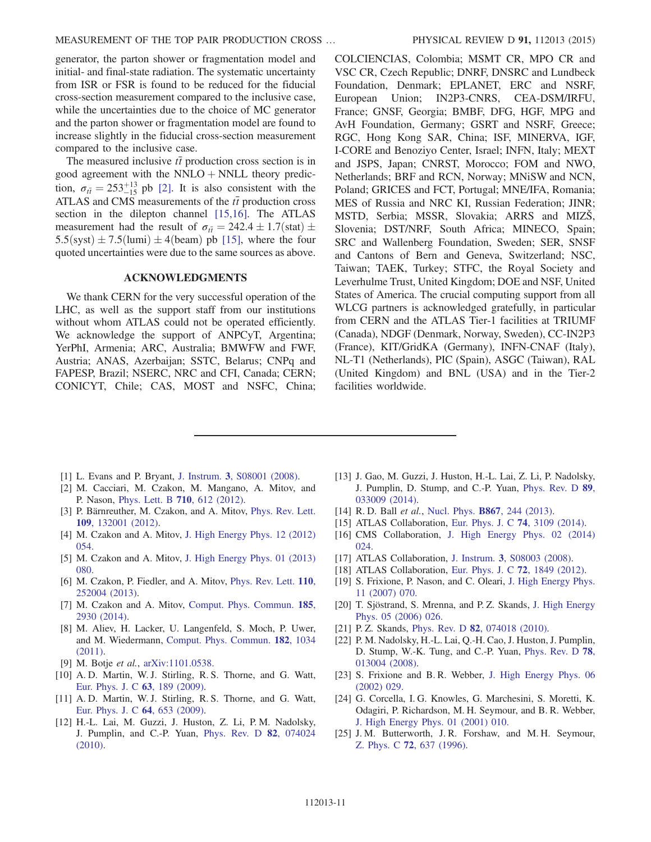<span id="page-11-2"></span><span id="page-11-1"></span><span id="page-11-0"></span>generator, the parton shower or fragmentation model and initial- and final-state radiation. The systematic uncertainty from ISR or FSR is found to be reduced for the fiducial cross-section measurement compared to the inclusive case, while the uncertainties due to the choice of MC generator and the parton shower or fragmentation model are found to increase slightly in the fiducial cross-section measurement compared to the inclusive case.

<span id="page-11-6"></span><span id="page-11-5"></span><span id="page-11-4"></span><span id="page-11-3"></span>The measured inclusive  $t\bar{t}$  production cross section is in good agreement with the NNLO  $+$  NNLL theory prediction,  $\sigma_{t\bar{t}} = 253^{+13}_{-15}$  pb [\[2\]](#page-10-1). It is also consistent with the ATLAS and CMS measurements of the  $t\bar{t}$  production cross section in the dilepton channel [\[15,16\]](#page-10-7). The ATLAS measurement had the result of  $\sigma_{t\bar{t}} = 242.4 \pm 1.7$ (stat)  $\pm$  $5.5$ (syst)  $\pm 7.5$ (lumi)  $\pm 4$ (beam) pb [\[15\]](#page-10-7), where the four quoted uncertainties were due to the same sources as above.

#### ACKNOWLEDGMENTS

<span id="page-11-15"></span><span id="page-11-14"></span><span id="page-11-13"></span><span id="page-11-12"></span><span id="page-11-11"></span><span id="page-11-10"></span><span id="page-11-9"></span><span id="page-11-8"></span><span id="page-11-7"></span>We thank CERN for the very successful operation of the LHC, as well as the support staff from our institutions without whom ATLAS could not be operated efficiently. We acknowledge the support of ANPCyT, Argentina; YerPhI, Armenia; ARC, Australia; BMWFW and FWF, Austria; ANAS, Azerbaijan; SSTC, Belarus; CNPq and FAPESP, Brazil; NSERC, NRC and CFI, Canada; CERN; CONICYT, Chile; CAS, MOST and NSFC, China; <span id="page-11-22"></span><span id="page-11-21"></span><span id="page-11-20"></span><span id="page-11-19"></span><span id="page-11-18"></span><span id="page-11-17"></span><span id="page-11-16"></span>COLCIENCIAS, Colombia; MSMT CR, MPO CR and VSC CR, Czech Republic; DNRF, DNSRC and Lundbeck Foundation, Denmark; EPLANET, ERC and NSRF, European Union; IN2P3-CNRS, CEA-DSM/IRFU, France; GNSF, Georgia; BMBF, DFG, HGF, MPG and AvH Foundation, Germany; GSRT and NSRF, Greece; RGC, Hong Kong SAR, China; ISF, MINERVA, IGF, I-CORE and Benoziyo Center, Israel; INFN, Italy; MEXT and JSPS, Japan; CNRST, Morocco; FOM and NWO, Netherlands; BRF and RCN, Norway; MNiSW and NCN, Poland; GRICES and FCT, Portugal; MNE/IFA, Romania; MES of Russia and NRC KI, Russian Federation; JINR; MSTD, Serbia; MSSR, Slovakia; ARRS and MIZŠ, Slovenia; DST/NRF, South Africa; MINECO, Spain; SRC and Wallenberg Foundation, Sweden; SER, SNSF and Cantons of Bern and Geneva, Switzerland; NSC, Taiwan; TAEK, Turkey; STFC, the Royal Society and Leverhulme Trust, United Kingdom; DOE and NSF, United States of America. The crucial computing support from all WLCG partners is acknowledged gratefully, in particular from CERN and the ATLAS Tier-1 facilities at TRIUMF (Canada), NDGF (Denmark, Norway, Sweden), CC-IN2P3 (France), KIT/GridKA (Germany), INFN-CNAF (Italy), NL-T1 (Netherlands), PIC (Spain), ASGC (Taiwan), RAL (United Kingdom) and BNL (USA) and in the Tier-2 facilities worldwide.

- <span id="page-11-31"></span>[1] L. Evans and P. Bryant, J. Instrum. 3[, S08001 \(2008\)](http://dx.doi.org/10.1088/1748-0221/3/08/S08001).
- <span id="page-11-32"></span>[2] M. Cacciari, M. Czakon, M. Mangano, A. Mitov, and P. Nason, [Phys. Lett. B](http://dx.doi.org/10.1016/j.physletb.2012.03.013) 710, 612 (2012).
- [3] P. Bärnreuther, M. Czakon, and A. Mitov, [Phys. Rev. Lett.](http://dx.doi.org/10.1103/PhysRevLett.109.132001) 109[, 132001 \(2012\).](http://dx.doi.org/10.1103/PhysRevLett.109.132001)
- [4] M. Czakon and A. Mitov, [J. High Energy Phys. 12 \(2012\)](http://dx.doi.org/10.1007/JHEP12(2012)054) [054.](http://dx.doi.org/10.1007/JHEP12(2012)054)
- [5] M. Czakon and A. Mitov, [J. High Energy Phys. 01 \(2013\)](http://dx.doi.org/10.1007/JHEP01(2013)080) [080.](http://dx.doi.org/10.1007/JHEP01(2013)080)
- [6] M. Czakon, P. Fiedler, and A. Mitov, [Phys. Rev. Lett.](http://dx.doi.org/10.1103/PhysRevLett.110.252004) 110, [252004 \(2013\).](http://dx.doi.org/10.1103/PhysRevLett.110.252004)
- <span id="page-11-33"></span>[7] M. Czakon and A. Mitov, [Comput. Phys. Commun.](http://dx.doi.org/10.1016/j.cpc.2014.06.021) 185, [2930 \(2014\)](http://dx.doi.org/10.1016/j.cpc.2014.06.021).
- [8] M. Aliev, H. Lacker, U. Langenfeld, S. Moch, P. Uwer, and M. Wiedermann, [Comput. Phys. Commun.](http://dx.doi.org/10.1016/j.cpc.2010.12.040) 182, 1034 [\(2011\).](http://dx.doi.org/10.1016/j.cpc.2010.12.040)
- [9] M. Botje et al., [arXiv:1101.0538.](http://arXiv.org/abs/1101.0538)
- <span id="page-11-34"></span>[10] A. D. Martin, W. J. Stirling, R. S. Thorne, and G. Watt, [Eur. Phys. J. C](http://dx.doi.org/10.1140/epjc/s10052-009-1072-5) 63, 189 (2009).
- [11] A. D. Martin, W. J. Stirling, R. S. Thorne, and G. Watt, [Eur. Phys. J. C](http://dx.doi.org/10.1140/epjc/s10052-009-1164-2) 64, 653 (2009).
- [12] H.-L. Lai, M. Guzzi, J. Huston, Z. Li, P. M. Nadolsky, J. Pumplin, and C.-P. Yuan, [Phys. Rev. D](http://dx.doi.org/10.1103/PhysRevD.82.074024) 82, 074024 [\(2010\).](http://dx.doi.org/10.1103/PhysRevD.82.074024)
- <span id="page-11-30"></span><span id="page-11-29"></span><span id="page-11-28"></span><span id="page-11-27"></span><span id="page-11-26"></span><span id="page-11-25"></span><span id="page-11-24"></span><span id="page-11-23"></span>[13] J. Gao, M. Guzzi, J. Huston, H.-L. Lai, Z. Li, P. Nadolsky, J. Pumplin, D. Stump, and C.-P. Yuan, [Phys. Rev. D](http://dx.doi.org/10.1103/PhysRevD.89.033009) 89, [033009 \(2014\).](http://dx.doi.org/10.1103/PhysRevD.89.033009)
- [14] R. D. Ball et al., Nucl. Phys. **B867**[, 244 \(2013\).](http://dx.doi.org/10.1016/j.nuclphysb.2012.10.003)
- [15] ATLAS Collaboration, [Eur. Phys. J. C](http://dx.doi.org/10.1140/epjc/s10052-014-3109-7) 74, 3109 (2014).
- [16] CMS Collaboration, [J. High Energy Phys. 02 \(2014\)](http://dx.doi.org/10.1007/JHEP02(2014)024) [024.](http://dx.doi.org/10.1007/JHEP02(2014)024)
- [17] ATLAS Collaboration, J. Instrum. 3[, S08003 \(2008\)](http://dx.doi.org/10.1088/1748-0221/3/08/S08003).
- [18] ATLAS Collaboration, [Eur. Phys. J. C](http://dx.doi.org/10.1140/epjc/s10052-011-1849-1) **72**, 1849 (2012).
- [19] S. Frixione, P. Nason, and C. Oleari, [J. High Energy Phys.](http://dx.doi.org/10.1088/1126-6708/2007/11/070) [11 \(2007\) 070.](http://dx.doi.org/10.1088/1126-6708/2007/11/070)
- [20] T. Sjöstrand, S. Mrenna, and P. Z. Skands, [J. High Energy](http://dx.doi.org/10.1088/1126-6708/2006/05/026) [Phys. 05 \(2006\) 026.](http://dx.doi.org/10.1088/1126-6708/2006/05/026)
- [21] P. Z. Skands, Phys. Rev. D **82**[, 074018 \(2010\)](http://dx.doi.org/10.1103/PhysRevD.82.074018).
- [22] P. M. Nadolsky, H.-L. Lai, Q.-H. Cao, J. Huston, J. Pumplin, D. Stump, W.-K. Tung, and C.-P. Yuan, [Phys. Rev. D](http://dx.doi.org/10.1103/PhysRevD.78.013004) 78, [013004 \(2008\).](http://dx.doi.org/10.1103/PhysRevD.78.013004)
- [23] S. Frixione and B. R. Webber, [J. High Energy Phys. 06](http://dx.doi.org/10.1088/1126-6708/2002/06/029) [\(2002\) 029.](http://dx.doi.org/10.1088/1126-6708/2002/06/029)
- [24] G. Corcella, I. G. Knowles, G. Marchesini, S. Moretti, K. Odagiri, P. Richardson, M. H. Seymour, and B. R. Webber, [J. High Energy Phys. 01 \(2001\) 010.](http://dx.doi.org/10.1088/1126-6708/2001/01/010)
- [25] J. M. Butterworth, J. R. Forshaw, and M. H. Seymour, Z. Phys. C 72[, 637 \(1996\).](http://dx.doi.org/10.1007/s002880050286)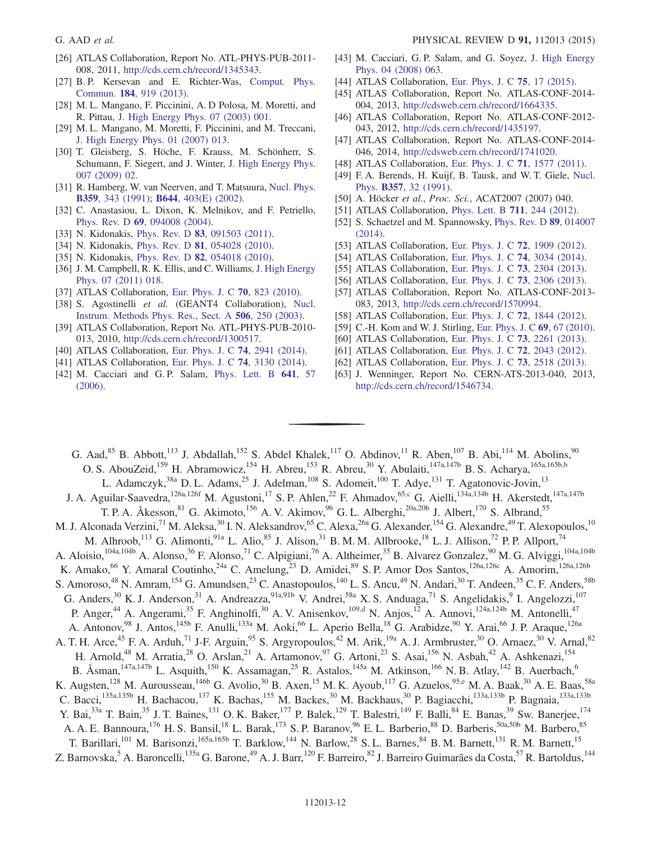- <span id="page-12-1"></span>[26] ATLAS Collaboration, Report No. ATL-PHYS-PUB-2011-008, 2011, [http://cds.cern.ch/record/1345343.](http://cds.cern.ch/record/1345343)
- <span id="page-12-2"></span>[27] B. P. Kersevan and E. Richter-Was, [Comput. Phys.](http://dx.doi.org/10.1016/j.cpc.2012.10.032) Commun. 184[, 919 \(2013\)](http://dx.doi.org/10.1016/j.cpc.2012.10.032).
- [28] M. L. Mangano, F. Piccinini, A. D Polosa, M. Moretti, and R. Pittau, [J. High Energy Phys. 07 \(2003\) 001.](http://dx.doi.org/10.1088/1126-6708/2003/07/001)
- [29] M. L. Mangano, M. Moretti, F. Piccinini, and M. Treccani, [J. High Energy Phys. 01 \(2007\) 013.](http://dx.doi.org/10.1088/1126-6708/2007/01/013)
- [30] T. Gleisberg, S. Höche, F. Krauss, M. Schönherr, S. Schumann, F. Siegert, and J. Winter, [J. High Energy Phys.](http://dx.doi.org/10.1088/1126-6708/2009/02/007) 007 (2009) 02.
- [31] R. Hamberg, W. van Neerven, and T. Matsuura, [Nucl. Phys.](http://dx.doi.org/10.1016/0550-3213(91)90064-5) B359[, 343 \(1991\);](http://dx.doi.org/10.1016/0550-3213(91)90064-5) B644[, 403\(E\) \(2002\).](http://dx.doi.org/10.1016/S0550-3213(02)00814-3)
- [32] C. Anastasiou, L. Dixon, K. Melnikov, and F. Petriello, Phys. Rev. D 69[, 094008 \(2004\)](http://dx.doi.org/10.1103/PhysRevD.69.094008).
- [33] N. Kidonakis, Phys. Rev. D **83**[, 091503 \(2011\).](http://dx.doi.org/10.1103/PhysRevD.83.091503)
- [34] N. Kidonakis, Phys. Rev. D **81**[, 054028 \(2010\).](http://dx.doi.org/10.1103/PhysRevD.81.054028)
- [35] N. Kidonakis, Phys. Rev. D **82**[, 054018 \(2010\).](http://dx.doi.org/10.1103/PhysRevD.82.054018)
- [36] J. M. Campbell, R. K. Ellis, and C. Williams, [J. High Energy](http://dx.doi.org/10.1007/JHEP07(2011)018) [Phys. 07 \(2011\) 018.](http://dx.doi.org/10.1007/JHEP07(2011)018)
- [37] ATLAS Collaboration, [Eur. Phys. J. C](http://dx.doi.org/10.1140/epjc/s10052-010-1429-9) 70, 823 (2010).
- [38] S. Agostinelli et al. (GEANT4 Collaboration), [Nucl.](http://dx.doi.org/10.1016/S0168-9002(03)01368-8) [Instrum. Methods Phys. Res., Sect. A](http://dx.doi.org/10.1016/S0168-9002(03)01368-8) 506, 250 (2003).
- [39] ATLAS Collaboration, Report No. ATL-PHYS-PUB-2010- 013, 2010, [http://cds.cern.ch/record/1300517.](http://cds.cern.ch/record/1300517)
- [40] ATLAS Collaboration, [Eur. Phys. J. C](http://dx.doi.org/10.1140/epjc/s10052-014-2941-0) **74**, 2941 (2014).
- [41] ATLAS Collaboration, [Eur. Phys. J. C](http://dx.doi.org/10.1140/epjc/s10052-014-3130-x) **74**, 3130 (2014).
- [42] M. Cacciari and G. P. Salam, [Phys. Lett. B](http://dx.doi.org/10.1016/j.physletb.2006.08.037) 641, 57 [\(2006\).](http://dx.doi.org/10.1016/j.physletb.2006.08.037)
- [43] M. Cacciari, G. P. Salam, and G. Soyez, [J. High Energy](http://dx.doi.org/10.1088/1126-6708/2008/04/063) [Phys. 04 \(2008\) 063.](http://dx.doi.org/10.1088/1126-6708/2008/04/063)
- [44] ATLAS Collaboration, [Eur. Phys. J. C](http://dx.doi.org/10.1140/epjc/s10052-014-3190-y) 75, 17 (2015).
- [45] ATLAS Collaboration, Report No. ATLAS-CONF-2014- 004, 2013, <http://cdsweb.cern.ch/record/1664335>.
- [46] ATLAS Collaboration, Report No. ATLAS-CONF-2012- 043, 2012, [http://cds.cern.ch/record/1435197.](http://cds.cern.ch/record/1435197)
- [47] ATLAS Collaboration, Report No. ATLAS-CONF-2014- 046, 2014, <http://cdsweb.cern.ch/record/1741020>.
- [48] ATLAS Collaboration, [Eur. Phys. J. C](http://dx.doi.org/10.1140/epjc/s10052-011-1577-6) 71, 1577 (2011).
- [49] F. A. Berends, H. Kuijf, B. Tausk, and W. T. Giele, [Nucl.](http://dx.doi.org/10.1016/0550-3213(91)90458-A) Phys. B357[, 32 \(1991\)](http://dx.doi.org/10.1016/0550-3213(91)90458-A).
- [50] A. Höcker et al., Proc. Sci., ACAT2007 (2007) 040.
- [51] ATLAS Collaboration, [Phys. Lett. B](http://dx.doi.org/10.1016/j.physletb.2012.03.083) **711**, 244 (2012).
- [52] S. Schaetzel and M. Spannowsky, [Phys. Rev. D](http://dx.doi.org/10.1103/PhysRevD.89.014007) 89, 014007 [\(2014\).](http://dx.doi.org/10.1103/PhysRevD.89.014007)
- [53] ATLAS Collaboration, [Eur. Phys. J. C](http://dx.doi.org/10.1140/epjc/s10052-012-1909-1) 72, 1909 (2012).
- [54] ATLAS Collaboration, [Eur. Phys. J. C](http://dx.doi.org/10.1140/epjc/s10052-014-3034-9) **74**, 3034 (2014).
- [55] ATLAS Collaboration, [Eur. Phys. J. C](http://dx.doi.org/10.1140/epjc/s10052-013-2304-2) 73, 2304 (2013).
- [56] ATLAS Collaboration, [Eur. Phys. J. C](http://dx.doi.org/10.1140/epjc/s10052-013-2306-0) 73, 2306 (2013).
- [57] ATLAS Collaboration, Report No. ATLAS-CONF-2013- 083, 2013, [http://cds.cern.ch/record/1570994.](http://cds.cern.ch/record/1570994)
- [58] ATLAS Collaboration, [Eur. Phys. J. C](http://dx.doi.org/10.1140/epjc/s10052-011-1844-6) 72, 1844 (2012).
- [59] C.-H. Kom and W. J. Stirling, [Eur. Phys. J. C](http://dx.doi.org/10.1140/epjc/s10052-010-1353-z) 69, 67 (2010).
- [60] ATLAS Collaboration, [Eur. Phys. J. C](http://dx.doi.org/10.1140/epjc/s10052-012-2261-1) **73**, 2261 (2013).
- [61] ATLAS Collaboration, [Eur. Phys. J. C](http://dx.doi.org/10.1140/epjc/s10052-012-2043-9) **72**, 2043 (2012).
- [62] ATLAS Collaboration, [Eur. Phys. J. C](http://dx.doi.org/10.1140/epjc/s10052-013-2518-3) 73, 2518 (2013).
- [63] J. Wenninger, Report No. CERN-ATS-2013-040, 2013, [http://cds.cern.ch/record/1546734.](http://cds.cern.ch/record/1546734)

<span id="page-12-6"></span><span id="page-12-5"></span><span id="page-12-4"></span><span id="page-12-3"></span><span id="page-12-0"></span>G. Aad,  $85$  B. Abbott,  $113$  J. Abdallah,  $152$  S. Abdel Khalek,  $117$  O. Abdinov,  $11$  R. Aben,  $107$  B. Abi,  $114$  M. Abolins,  $90$ O. S. AbouZeid,<sup>159</sup> H. Abramowicz,<sup>154</sup> H. Abreu,<sup>153</sup> R. Abreu,<sup>30</sup> Y. Abulaiti,<sup>147a,147b</sup> B. S. Acharya,<sup>165a,165b[,b](#page-23-0)</sup> L. Adamczyk,<sup>38a</sup> D. L. Adams,<sup>25</sup> J. Adelman,<sup>108</sup> S. Adomeit,<sup>100</sup> T. Adye,<sup>131</sup> T. Agatonovic-Jovin,<sup>13</sup> J. A. Aguilar-Saavedra,<sup>126a,126f</sup> M. Agustoni,<sup>17</sup> S. P. Ahlen,<sup>22</sup> F. Ahmadov,<sup>6[5,c](#page-23-1)</sup> G. Aielli,<sup>134a,134b</sup> H. Akerstedt,<sup>147a,147b</sup> T. P. A. Åkesson,<sup>81</sup> G. Akimoto,<sup>156</sup> A. V. Akimov,<sup>96</sup> G. L. Alberghi,<sup>20a,20b</sup> J. Albert,<sup>170</sup> S. Albrand,<sup>55</sup> M. J. Alconada Verzini,<sup>71</sup> M. Aleksa,<sup>30</sup> I. N. Aleksandrov,<sup>65</sup> C. Alexa,<sup>26a</sup> G. Alexander,<sup>154</sup> G. Alexandre,<sup>49</sup> T. Alexopoulos,<sup>10</sup> M. Alhroob,<sup>113</sup> G. Alimonti,<sup>91a</sup> L. Alio,<sup>85</sup> J. Alison,<sup>31</sup> B. M. M. Allbrooke,<sup>18</sup> L. J. Allison,<sup>72</sup> P. P. Allport,<sup>74</sup> A. Aloisio,<sup>104a,104b</sup> A. Alonso,<sup>36</sup> F. Alonso,<sup>71</sup> C. Alpigiani,<sup>76</sup> A. Altheimer,<sup>35</sup> B. Alvarez Gonzalez,<sup>90</sup> M. G. Alviggi,<sup>104a,104b</sup> K. Amako,<sup>66</sup> Y. Amaral Coutinho,<sup>24a</sup> C. Amelung,<sup>23</sup> D. Amidei,<sup>89</sup> S. P. Amor Dos Santos,<sup>126a,126c</sup> A. Amorim,<sup>126a,126b</sup> S. Amoroso,<sup>48</sup> N. Amram,<sup>154</sup> G. Amundsen,<sup>23</sup> C. Anastopoulos,<sup>140</sup> L. S. Ancu,<sup>49</sup> N. Andari,<sup>30</sup> T. Andeen,<sup>35</sup> C. F. Anders,<sup>58b</sup> G. Anders,  $30$  K. J. Anderson,  $31$  A. Andreazza,  $91a,91b$  V. Andrei,  $58a$  X. S. Anduaga,  $71$  S. Angelidakis,  $9$  I. Angelozzi,  $107$ P. Anger,<sup>44</sup> A. Angerami,<sup>35</sup> F. Anghinolfi,<sup>30</sup> A. V. Anisenkov,<sup>10[9,d](#page-23-2)</sup> N. Anjos,<sup>12</sup> A. Annovi,<sup>124a,124b</sup> M. Antonelli,<sup>47</sup> A. Antonov, <sup>98</sup> J. Antos, <sup>145b</sup> F. Anulli, <sup>133a</sup> M. Aoki, <sup>66</sup> L. Aperio Bella, <sup>18</sup> G. Arabidze, <sup>90</sup> Y. Arai, <sup>66</sup> J. P. Araque, <sup>126a</sup> A. T. H. Arce,<sup>45</sup> F. A. Arduh,<sup>71</sup> J-F. Arguin,<sup>95</sup> S. Argyropoulos,<sup>42</sup> M. Arik,<sup>19a</sup> A. J. Armbruster,<sup>30</sup> O. Arnaez,<sup>30</sup> V. Arnal,<sup>82</sup> H. Arnold,<sup>48</sup> M. Arratia,<sup>28</sup> O. Arslan,<sup>21</sup> A. Artamonov,<sup>97</sup> G. Artoni,<sup>23</sup> S. Asai,<sup>156</sup> N. Asbah,<sup>42</sup> A. Ashkenazi,<sup>154</sup> B. Åsman,<sup>147a,147b</sup> L. Asquith,<sup>150</sup> K. Assamagan,<sup>25</sup> R. Astalos,<sup>145a</sup> M. Atkinson,<sup>166</sup> N. B. Atlay,<sup>142</sup> B. Auerbach,<sup>6</sup> K. Augsten,<sup>128</sup> M. Aurousseau,<sup>146b</sup> G. Avolio,<sup>30</sup> B. Axen,<sup>15</sup> M. K. Ayoub,<sup>117</sup> G. Azuelos,<sup>95[,e](#page-23-3)</sup> M. A. Baak,<sup>30</sup> A. E. Baas,<sup>58a</sup> C. Bacci,<sup>135a,135b</sup> H. Bachacou,<sup>137</sup> K. Bachas,<sup>155</sup> M. Backes,<sup>30</sup> M. Backhaus,<sup>30</sup> P. Bagiacchi,<sup>133a,133b</sup> P. Bagnaia,<sup>133a,133b</sup> Y. Bai,<sup>33a</sup> T. Bain,<sup>35</sup> J. T. Baines,<sup>131</sup> O. K. Baker,<sup>177</sup> P. Balek,<sup>129</sup> T. Balestri,<sup>149</sup> F. Balli,<sup>84</sup> E. Banas,<sup>39</sup> Sw. Banerjee,<sup>174</sup> A. A. E. Bannoura, <sup>176</sup> H. S. Bansil, <sup>18</sup> L. Barak, <sup>173</sup> S. P. Baranov, <sup>96</sup> E. L. Barberio, <sup>88</sup> D. Barberis, <sup>50a, 50b</sup> M. Barbero, <sup>85</sup> T. Barillari,<sup>101</sup> M. Barisonzi,<sup>165a,165b</sup> T. Barklow,<sup>144</sup> N. Barlow,<sup>28</sup> S.L. Barnes,<sup>84</sup> B.M. Barnett,<sup>131</sup> R.M. Barnett,<sup>15</sup> Z. Barnovska,<sup>5</sup> A. Baroncelli,<sup>135a</sup> G. Barone,<sup>49</sup> A. J. Barr,<sup>120</sup> F. Barreiro,<sup>82</sup> J. Barreiro Guimarães da Costa,<sup>57</sup> R. Bartoldus,<sup>144</sup>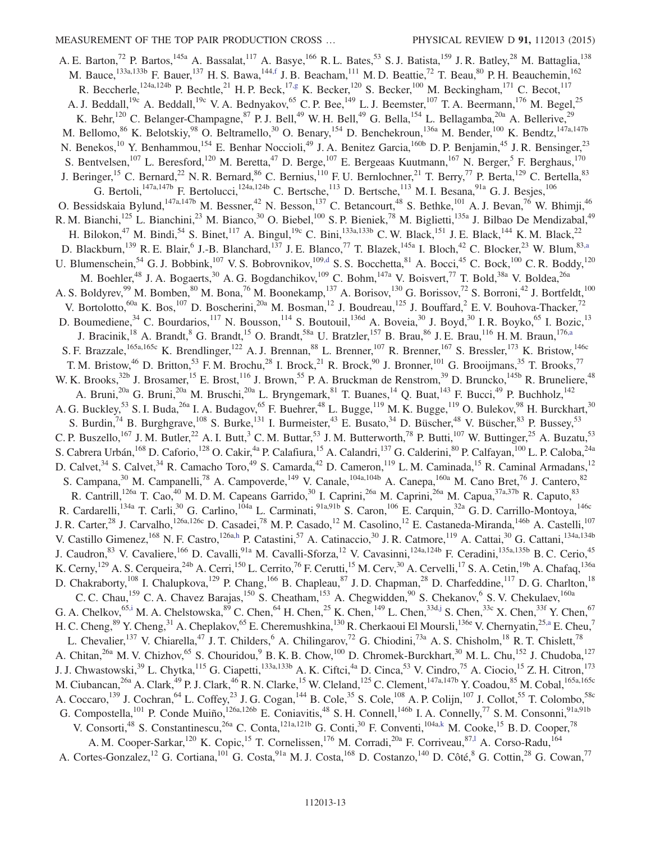<span id="page-13-1"></span><span id="page-13-0"></span>A. E. Barton,<sup>72</sup> P. Bartos,<sup>145a</sup> A. Bassalat,<sup>117</sup> A. Basye,<sup>166</sup> R. L. Bates,<sup>53</sup> S. J. Batista,<sup>159</sup> J. R. Batley,<sup>28</sup> M. Battaglia,<sup>138</sup> M. Bauce,<sup>133a,133b</sup> F. Bauer,<sup>137</sup> H. S. Bawa,<sup>14[4,f](#page-23-4)</sup> J. B. Beacham,<sup>111</sup> M. D. Beattie,<sup>72</sup> T. Beau,<sup>80</sup> P. H. Beauchemin,<sup>162</sup> R. Beccherle,<sup>124a,124b</sup> P. Bechtle,<sup>21</sup> H. P. Beck,<sup>1[7,g](#page-23-5)</sup> K. Becker,<sup>120</sup> S. Becker,<sup>100</sup> M. Beckingham,<sup>171</sup> C. Becot,<sup>117</sup> A. J. Beddall,<sup>19c</sup> A. Beddall,<sup>19c</sup> V. A. Bednyakov,<sup>65</sup> C. P. Bee,<sup>149</sup> L. J. Beemster,<sup>107</sup> T. A. Beermann,<sup>176</sup> M. Begel,<sup>25</sup> K. Behr,<sup>120</sup> C. Belanger-Champagne,<sup>87</sup> P. J. Bell,<sup>49</sup> W. H. Bell,<sup>49</sup> G. Bella,<sup>154</sup> L. Bellagamba,<sup>20a</sup> A. Bellerive,<sup>29</sup> M. Bellomo,<sup>86</sup> K. Belotskiy,<sup>98</sup> O. Beltramello,<sup>30</sup> O. Benary,<sup>154</sup> D. Benchekroun,<sup>136a</sup> M. Bender,<sup>100</sup> K. Bendtz,<sup>147a,147b</sup> N. Benekos,<sup>10</sup> Y. Benhammou,<sup>154</sup> E. Benhar Noccioli,<sup>49</sup> J. A. Benitez Garcia,<sup>160b</sup> D. P. Benjamin,<sup>45</sup> J. R. Bensinger,<sup>23</sup> S. Bentvelsen,  $^{107}$  L. Beresford,  $^{120}$  M. Beretta,  $^{47}$  D. Berge,  $^{107}$  E. Bergeaas Kuutmann,  $^{167}$  N. Berger,  $^5$  F. Berghaus,  $^{170}$ J. Beringer,<sup>15</sup> C. Bernard,<sup>22</sup> N. R. Bernard,<sup>86</sup> C. Bernius,<sup>110</sup> F. U. Bernlochner,<sup>21</sup> T. Berry,<sup>77</sup> P. Berta,<sup>129</sup> C. Bertella,<sup>83</sup> G. Bertoli,<sup>147a,147b</sup> F. Bertolucci,<sup>124a,124b</sup> C. Bertsche,<sup>113</sup> D. Bertsche,<sup>113</sup> M. I. Besana,<sup>91a</sup> G. J. Besjes,<sup>106</sup> O. Bessidskaia Bylund,<sup>147a,147b</sup> M. Bessner,<sup>42</sup> N. Besson,<sup>137</sup> C. Betancourt,<sup>48</sup> S. Bethke,<sup>101</sup> A. J. Bevan,<sup>76</sup> W. Bhimji,<sup>46</sup> R. M. Bianchi,<sup>125</sup> L. Bianchini,<sup>23</sup> M. Bianco,<sup>30</sup> O. Biebel,<sup>100</sup> S. P. Bieniek,<sup>78</sup> M. Biglietti,<sup>135a</sup> J. Bilbao De Mendizabal,<sup>49</sup> H. Bilokon,<sup>47</sup> M. Bindi,<sup>54</sup> S. Binet,<sup>117</sup> A. Bingul,<sup>19c</sup> C. Bini,<sup>133a,133b</sup> C. W. Black,<sup>151</sup> J. E. Black,<sup>144</sup> K. M. Black,<sup>22</sup> D. Blackburn,  $^{139}$  R. E. Blair, <sup>6</sup> J.-B. Blanchard,  $^{137}$  J. E. Blanco,  $^{77}$  T. Blazek,  $^{145a}$  I. Bloch,  $^{42}$  C. Blocker,  $^{23}$  W. Blum,  $^{83, a}$ U. Blumenschein,<sup>54</sup> G. J. Bobbink,<sup>107</sup> V. S. Bobrovnikov,<sup>109[,d](#page-23-2)</sup> S. S. Bocchetta,<sup>81</sup> A. Bocci,<sup>45</sup> C. Bock,<sup>100</sup> C. R. Boddy,<sup>120</sup> M. Boehler,<sup>48</sup> J. A. Bogaerts,<sup>30</sup> A. G. Bogdanchikov,<sup>109</sup> C. Bohm,<sup>147a</sup> V. Boisvert,<sup>77</sup> T. Bold,<sup>38a</sup> V. Boldea,<sup>26a</sup> A. S. Boldyrev,<sup>99</sup> M. Bomben,<sup>80</sup> M. Bona,<sup>76</sup> M. Boonekamp,<sup>137</sup> A. Borisov,<sup>130</sup> G. Borissov,<sup>72</sup> S. Borroni,<sup>42</sup> J. Bortfeldt,<sup>100</sup> V. Bortolotto,  $60a$  K. Bos,  $107$  D. Boscherini,  $20a$  M. Bosman,  $12$  J. Boudreau,  $125$  J. Bouffard,  $2$  E. V. Bouhova-Thacker,  $72$ D. Boumediene,<sup>34</sup> C. Bourdarios,<sup>117</sup> N. Bousson,<sup>114</sup> S. Boutouil,<sup>136d</sup> A. Boveia,<sup>30</sup> J. Boyd,<sup>30</sup> I. R. Boyko,<sup>65</sup> I. Bozic,<sup>13</sup> J. Bracinik,<sup>18</sup> A. Brandt,<sup>8</sup> G. Brandt,<sup>15</sup> O. Brandt,<sup>58a</sup> U. Bratzler,<sup>157</sup> B. Brau,<sup>86</sup> J. E. Brau,<sup>116</sup> H. M. Braun,<sup>17[6,a](#page-23-6)</sup> S. F. Brazzale,<sup>165a,165c</sup> K. Brendlinger,<sup>122</sup> A. J. Brennan,<sup>88</sup> L. Brenner,<sup>107</sup> R. Brenner,<sup>167</sup> S. Bressler,<sup>173</sup> K. Bristow,<sup>146c</sup> T. M. Bristow, <sup>46</sup> D. Britton, <sup>53</sup> F. M. Brochu, <sup>28</sup> I. Brock, <sup>21</sup> R. Brock, <sup>90</sup> J. Bronner, <sup>101</sup> G. Brooijmans, <sup>35</sup> T. Brooks, <sup>77</sup> W. K. Brooks,<sup>32b</sup> J. Brosamer,<sup>15</sup> E. Brost,<sup>116</sup> J. Brown,<sup>55</sup> P. A. Bruckman de Renstrom,<sup>39</sup> D. Bruncko,<sup>145b</sup> R. Bruneliere,<sup>48</sup> A. Bruni,<sup>20a</sup> G. Bruni,<sup>20a</sup> M. Bruschi,<sup>20a</sup> L. Bryngemark,<sup>81</sup> T. Buanes,<sup>14</sup> Q. Buat,<sup>143</sup> F. Bucci,<sup>49</sup> P. Buchholz,<sup>142</sup> A. G. Buckley,<sup>53</sup> S. I. Buda,<sup>26a</sup> I. A. Budagov,<sup>65</sup> F. Buehrer,<sup>48</sup> L. Bugge,<sup>119</sup> M. K. Bugge,<sup>119</sup> O. Bulekov,<sup>98</sup> H. Burckhart,<sup>30</sup> S. Burdin,<sup>74</sup> B. Burghgrave,<sup>108</sup> S. Burke,<sup>131</sup> I. Burmeister,<sup>43</sup> E. Busato,<sup>34</sup> D. Büscher,<sup>48</sup> V. Büscher,<sup>83</sup> P. Bussey,<sup>53</sup> C. P. Buszello,<sup>167</sup> J. M. Butler,<sup>22</sup> A. I. Butt,<sup>3</sup> C. M. Buttar,<sup>53</sup> J. M. Butterworth,<sup>78</sup> P. Butti,<sup>107</sup> W. Buttinger,<sup>25</sup> A. Buzatu,<sup>53</sup> S. Cabrera Urbán,<sup>168</sup> D. Caforio,<sup>128</sup> O. Cakir,<sup>4a</sup> P. Calafiura,<sup>15</sup> A. Calandri,<sup>137</sup> G. Calderini,<sup>80</sup> P. Calfayan,<sup>100</sup> L. P. Caloba,<sup>24a</sup> D. Calvet,<sup>34</sup> S. Calvet,<sup>34</sup> R. Camacho Toro,<sup>49</sup> S. Camarda,<sup>42</sup> D. Cameron,<sup>119</sup> L. M. Caminada,<sup>15</sup> R. Caminal Armadans,<sup>12</sup> S. Campana,<sup>30</sup> M. Campanelli,<sup>78</sup> A. Campoverde,<sup>149</sup> V. Canale,<sup>104a,104b</sup> A. Canepa,<sup>160a</sup> M. Cano Bret,<sup>76</sup> J. Cantero,<sup>82</sup> R. Cantrill,<sup>126a</sup> T. Cao,<sup>40</sup> M. D. M. Capeans Garrido,<sup>30</sup> I. Caprini,<sup>26a</sup> M. Caprini,<sup>26a</sup> M. Capua,<sup>37a,37b</sup> R. Caputo,<sup>83</sup> R. Cardarelli,<sup>134a</sup> T. Carli,<sup>30</sup> G. Carlino,<sup>104a</sup> L. Carminati,<sup>91a,91b</sup> S. Caron,<sup>106</sup> E. Carquin,<sup>32a</sup> G. D. Carrillo-Montoya,<sup>146c</sup> J. R. Carter,<sup>28</sup> J. Carvalho,<sup>126a,126c</sup> D. Casadei,<sup>78</sup> M. P. Casado,<sup>12</sup> M. Casolino,<sup>12</sup> E. Castaneda-Miranda,<sup>146b</sup> A. Castelli,<sup>107</sup> V. Castillo Gimenez, <sup>168</sup> N. F. Castro, <sup>126[a,h](#page-23-7)</sup> P. Catastini, <sup>57</sup> A. Catinaccio, <sup>30</sup> J. R. Catmore, <sup>119</sup> A. Cattai, <sup>30</sup> G. Cattani, <sup>134a,134b</sup> J. Caudron, <sup>83</sup> V. Cavaliere, <sup>166</sup> D. Cavalli, <sup>91a</sup> M. Cavalli-Sforza, <sup>12</sup> V. Cavasinni, <sup>124a,124b</sup> F. Ceradini, <sup>135a,135b</sup> B. C. Cerio, <sup>45</sup> K. Cerny, <sup>129</sup> A. S. Cerqueira, <sup>24b</sup> A. Cerri, <sup>150</sup> L. Cerrito, <sup>76</sup> F. Cerutti, <sup>15</sup> M. Cerv, <sup>30</sup> A. Cervelli, <sup>17</sup> S. A. Cetin, <sup>19b</sup> A. Chafaq, <sup>136a</sup> D. Chakraborty,<sup>108</sup> I. Chalupkova,<sup>129</sup> P. Chang,<sup>166</sup> B. Chapleau,<sup>87</sup> J.D. Chapman,<sup>28</sup> D. Charfeddine,<sup>117</sup> D. G. Charlton,<sup>18</sup> C. C. Chau,  $^{159}$  C. A. Chavez Barajas,  $^{150}$  S. Cheatham,  $^{153}$  A. Chegwidden,  $^{90}$  S. Chekanov,  $^{6}$  S. V. Chekulaev,  $^{160a}$ G. A. Chelkov,<sup>6[5,i](#page-23-8)</sup> M. A. Chelstowska,<sup>89</sup> C. Chen,<sup>64</sup> H. Chen,<sup>25</sup> K. Chen,<sup>149</sup> L. Chen,<sup>33d[,j](#page-23-9)</sup> S. Chen,<sup>33c</sup> X. Chen,<sup>33f</sup> Y. Chen,<sup>67</sup> H. C. Cheng, <sup>89</sup> Y. Cheng, <sup>31</sup> A. Cheplakov, <sup>65</sup> E. Cheremushkina, <sup>130</sup> R. Cherkaoui El Moursli, <sup>136e</sup> V. Chernyatin, <sup>25[,a](#page-23-6)</sup> E. Cheu, <sup>7</sup> L. Chevalier,<sup>137</sup> V. Chiarella,<sup>47</sup> J. T. Childers,<sup>6</sup> A. Chilingarov,<sup>72</sup> G. Chiodini,<sup>73a</sup> A. S. Chisholm,<sup>18</sup> R. T. Chislett,<sup>78</sup> A. Chitan,<sup>26a</sup> M. V. Chizhov,<sup>65</sup> S. Chouridou,<sup>9</sup> B. K. B. Chow,<sup>100</sup> D. Chromek-Burckhart,<sup>30</sup> M. L. Chu,<sup>152</sup> J. Chudoba,<sup>127</sup> J. J. Chwastowski,<sup>39</sup> L. Chytka,<sup>115</sup> G. Ciapetti,<sup>133a,133b</sup> A. K. Ciftci,<sup>4a</sup> D. Cinca,<sup>53</sup> V. Cindro,<sup>75</sup> A. Ciocio,<sup>15</sup> Z. H. Citron,<sup>173</sup> M. Ciubancan,<sup>26a</sup> A. Clark,<sup>49</sup> P. J. Clark,<sup>46</sup> R. N. Clarke,<sup>15</sup> W. Cleland,<sup>125</sup> C. Clement,<sup>147a,147b</sup> Y. Coadou,<sup>85</sup> M. Cobal,<sup>165a,165c</sup> A. Coccaro,  $^{139}$  J. Cochran,  $^{64}$  L. Coffey,  $^{23}$  J. G. Cogan,  $^{144}$  B. Cole,  $^{35}$  S. Cole,  $^{108}$  A. P. Colijn,  $^{107}$  J. Collot,  $^{55}$  T. Colombo,  $^{58}$ G. Compostella, <sup>101</sup> P. Conde Muiño, <sup>126a,126b</sup> E. Coniavitis, <sup>48</sup> S. H. Connell, <sup>146b</sup> I. A. Connelly, <sup>77</sup> S. M. Consonni, <sup>91a,91b</sup> V. Consorti,<sup>48</sup> S. Constantinescu,<sup>26a</sup> C. Conta,<sup>121a,121b</sup> G. Conti,<sup>30</sup> F. Conventi,<sup>104[a,k](#page-23-10)</sup> M. Cooke,<sup>15</sup> B. D. Cooper,<sup>78</sup> A. M. Cooper-Sarkar,<sup>120</sup> K. Copic,<sup>15</sup> T. Cornelissen,<sup>176</sup> M. Corradi,<sup>20a</sup> F. Corriveau,<sup>87,1</sup> A. Corso-Radu,<sup>164</sup> A. Cortes-Gonzalez,<sup>12</sup> G. Cortiana,<sup>101</sup> G. Costa,<sup>91a</sup> M. J. Costa,<sup>168</sup> D. Costanzo,<sup>140</sup> D. Côté,<sup>8</sup> G. Cottin,<sup>28</sup> G. Cowan,<sup>77</sup>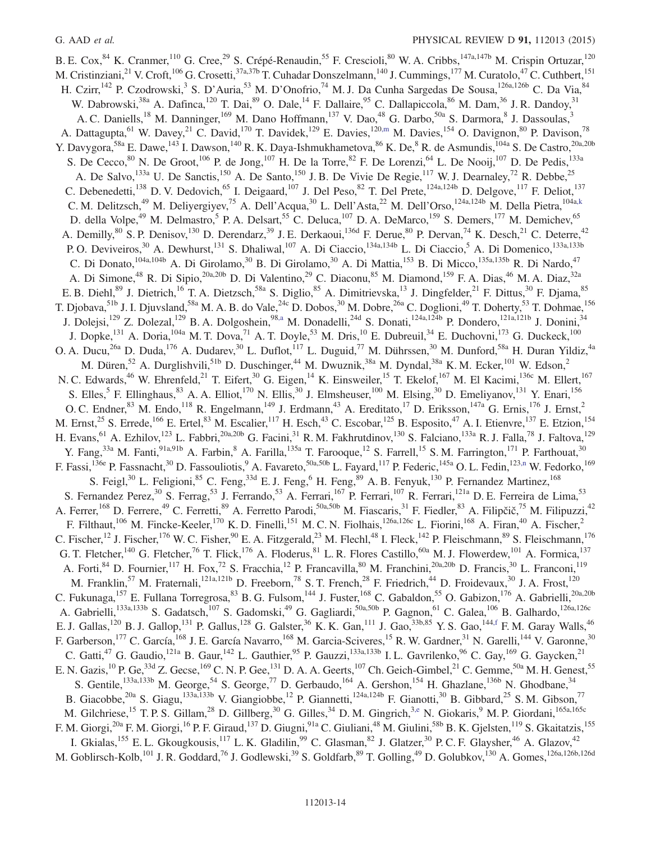<span id="page-14-5"></span><span id="page-14-4"></span><span id="page-14-3"></span><span id="page-14-2"></span><span id="page-14-1"></span><span id="page-14-0"></span>B. E. Cox, <sup>84</sup> K. Cranmer, <sup>110</sup> G. Cree, <sup>29</sup> S. Crépé-Renaudin, <sup>55</sup> F. Crescioli, <sup>80</sup> W. A. Cribbs, <sup>147a,147b</sup> M. Crispin Ortuzar, <sup>120</sup> M. Cristinziani,<sup>21</sup> V. Croft,<sup>106</sup> G. Crosetti,<sup>37a,37b</sup> T. Cuhadar Donszelmann,<sup>140</sup> J. Cummings,<sup>177</sup> M. Curatolo,<sup>47</sup> C. Cuthbert,<sup>151</sup> H. Czirr, <sup>142</sup> P. Czodrowski, <sup>3</sup> S. D'Auria, <sup>53</sup> M. D'Onofrio, <sup>74</sup> M. J. Da Cunha Sargedas De Sousa, <sup>126a, 126b</sup> C. Da Via, <sup>84</sup> W. Dabrowski,<sup>38a</sup> A. Dafinca,<sup>120</sup> T. Dai,<sup>89</sup> O. Dale,<sup>14</sup> F. Dallaire,<sup>95</sup> C. Dallapiccola,<sup>86</sup> M. Dam,<sup>36</sup> J. R. Dandoy,<sup>31</sup> A. C. Daniells,<sup>18</sup> M. Danninger,<sup>169</sup> M. Dano Hoffmann,<sup>137</sup> V. Dao,<sup>48</sup> G. Darbo,<sup>50a</sup> S. Darmora,<sup>8</sup> J. Dassoulas,<sup>3</sup> A. Dattagupta, <sup>61</sup> W. Davey, <sup>21</sup> C. David, <sup>170</sup> T. Davidek, <sup>129</sup> E. Davies, <sup>12[0,m](#page-23-12)</sup> M. Davies, <sup>154</sup> O. Davignon, <sup>80</sup> P. Davison, <sup>78</sup> Y. Davygora,<sup>58a</sup> E. Dawe,<sup>143</sup> I. Dawson,<sup>140</sup> R. K. Daya-Ishmukhametova,<sup>86</sup> K. De,<sup>8</sup> R. de Asmundis,<sup>104a</sup> S. De Castro,<sup>20a,20b</sup> S. De Cecco,  $80$  N. De Groot,  $106$  P. de Jong,  $107$  H. De la Torre,  $82$  F. De Lorenzi,  $64$  L. De Nooij,  $107$  D. De Pedis,  $133a$ A. De Salvo, <sup>133a</sup> U. De Sanctis, <sup>150</sup> A. De Santo, <sup>150</sup> J. B. De Vivie De Regie, <sup>117</sup> W. J. Dearnaley, <sup>72</sup> R. Debbe, <sup>25</sup> C. Debenedetti,<sup>138</sup> D. V. Dedovich,<sup>65</sup> I. Deigaard,<sup>107</sup> J. Del Peso,<sup>82</sup> T. Del Prete,<sup>124a,124b</sup> D. Delgove,<sup>117</sup> F. Deliot,<sup>137</sup> C. M. Delitzsch,<sup>49</sup> M. Deliyergiyev,<sup>75</sup> A. Dell'Acqua,<sup>30</sup> L. Dell'Asta,<sup>22</sup> M. Dell'Orso,<sup>124a,124b</sup> M. Della Pietra,<sup>104a[,k](#page-23-10)</sup> D. della Volpe,<sup>49</sup> M. Delmastro,<sup>5</sup> P. A. Delsart,<sup>55</sup> C. Deluca,<sup>107</sup> D. A. DeMarco,<sup>159</sup> S. Demers,<sup>177</sup> M. Demichev,<sup>65</sup> A. Demilly, <sup>80</sup> S. P. Denisov, <sup>130</sup> D. Derendarz, <sup>39</sup> J. E. Derkaoui, <sup>136d</sup> F. Derue, <sup>80</sup> P. Dervan, <sup>74</sup> K. Desch, <sup>21</sup> C. Deterre, <sup>42</sup> P. O. Deviveiros,<sup>30</sup> A. Dewhurst,<sup>131</sup> S. Dhaliwal,<sup>107</sup> A. Di Ciaccio,<sup>134a,134b</sup> L. Di Ciaccio,<sup>5</sup> A. Di Domenico,<sup>133a,133b</sup> C. Di Donato,<sup>104a,104b</sup> A. Di Girolamo,<sup>30</sup> B. Di Girolamo,<sup>30</sup> A. Di Mattia,<sup>153</sup> B. Di Micco,<sup>135a,135b</sup> R. Di Nardo,<sup>47</sup> A. Di Simone,<sup>48</sup> R. Di Sipio,<sup>20a,20b</sup> D. Di Valentino,<sup>29</sup> C. Diaconu,<sup>85</sup> M. Diamond,<sup>159</sup> F. A. Dias,<sup>46</sup> M. A. Diaz,<sup>32a</sup> E. B. Diehl,<sup>89</sup> J. Dietrich,<sup>16</sup> T. A. Dietzsch,<sup>58a</sup> S. Diglio,<sup>85</sup> A. Dimitrievska,<sup>13</sup> J. Dingfelder,<sup>21</sup> F. Dittus,<sup>30</sup> F. Djama,<sup>85</sup> T. Djobava,<sup>51b</sup> J. I. Djuvsland,<sup>58a</sup> M. A. B. do Vale,<sup>24c</sup> D. Dobos,<sup>30</sup> M. Dobre,<sup>26a</sup> C. Doglioni,<sup>49</sup> T. Doherty,<sup>53</sup> T. Dohmae,<sup>156</sup> J. Dolejsi,<sup>129</sup> Z. Dolezal,<sup>129</sup> B. A. Dolgoshein,<sup>98[,a](#page-23-6)</sup> M. Donadelli,<sup>24d</sup> S. Donati,<sup>124a,124b</sup> P. Dondero,<sup>121a,121b</sup> J. Donini,<sup>34</sup> J. Dopke,<sup>131</sup> A. Doria,<sup>104a</sup> M. T. Dova,<sup>71</sup> A. T. Doyle,<sup>53</sup> M. Dris,<sup>10</sup> E. Dubreuil,<sup>34</sup> E. Duchovni,<sup>173</sup> G. Duckeck,<sup>100</sup> O. A. Ducu,<sup>26a</sup> D. Duda,<sup>176</sup> A. Dudarev,<sup>30</sup> L. Duflot,<sup>117</sup> L. Duguid,<sup>77</sup> M. Dührssen,<sup>30</sup> M. Dunford,<sup>58a</sup> H. Duran Yildiz,<sup>4a</sup> M. Düren,<sup>52</sup> A. Durglishvili,<sup>51b</sup> D. Duschinger,<sup>44</sup> M. Dwuznik,<sup>38a</sup> M. Dyndal,<sup>38a</sup> K. M. Ecker,<sup>101</sup> W. Edson,<sup>2</sup> N. C. Edwards,<sup>46</sup> W. Ehrenfeld,<sup>21</sup> T. Eifert,<sup>30</sup> G. Eigen,<sup>14</sup> K. Einsweiler,<sup>15</sup> T. Ekelof,<sup>167</sup> M. El Kacimi,<sup>136c</sup> M. Ellert,<sup>167</sup> S. Elles,<sup>5</sup> F. Ellinghaus,<sup>83</sup> A. A. Elliot,<sup>170</sup> N. Ellis,<sup>30</sup> J. Elmsheuser,<sup>100</sup> M. Elsing,<sup>30</sup> D. Emeliyanov,<sup>131</sup> Y. Enari,<sup>156</sup> O. C. Endner,  $83$  M. Endo,  $118$  R. Engelmann,  $149$  J. Erdmann,  $43$  A. Ereditato,  $17$  D. Eriksson,  $147a$  G. Ernis,  $176$  J. Ernst,  $2$ M. Ernst,<sup>25</sup> S. Errede,<sup>166</sup> E. Ertel,<sup>83</sup> M. Escalier,<sup>117</sup> H. Esch,<sup>43</sup> C. Escobar,<sup>125</sup> B. Esposito,<sup>47</sup> A. I. Etienvre,<sup>137</sup> E. Etzion,<sup>154</sup> H. Evans,<sup>61</sup> A. Ezhilov,<sup>123</sup> L. Fabbri,<sup>20a,20b</sup> G. Facini,<sup>31</sup> R. M. Fakhrutdinov,<sup>130</sup> S. Falciano,<sup>133a</sup> R. J. Falla,<sup>78</sup> J. Faltova,<sup>129</sup> Y. Fang,<sup>33a</sup> M. Fanti,<sup>91a,91b</sup> A. Farbin,<sup>8</sup> A. Farilla,<sup>135a</sup> T. Farooque,<sup>12</sup> S. Farrell,<sup>15</sup> S. M. Farrington,<sup>171</sup> P. Farthouat,<sup>30</sup> F. Fassi,<sup>136e</sup> P. Fassnacht,<sup>30</sup> D. Fassouliotis,<sup>9</sup> A. Favareto,<sup>50a,50b</sup> L. Fayard,<sup>117</sup> P. Federic,<sup>145a</sup> O. L. Fedin,<sup>123[,n](#page-23-13)</sup> W. Fedorko,<sup>169</sup> S. Feigl,<sup>30</sup> L. Feligioni,<sup>85</sup> C. Feng,<sup>33d</sup> E. J. Feng,<sup>6</sup> H. Feng,<sup>89</sup> A. B. Fenyuk,<sup>130</sup> P. Fernandez Martinez,<sup>168</sup> S. Fernandez Perez,<sup>30</sup> S. Ferrag,<sup>53</sup> J. Ferrando,<sup>53</sup> A. Ferrari,<sup>167</sup> P. Ferrari,<sup>107</sup> R. Ferrari,<sup>121a</sup> D. E. Ferreira de Lima,<sup>53</sup> A. Ferrer, <sup>168</sup> D. Ferrere, <sup>49</sup> C. Ferretti, <sup>89</sup> A. Ferretto Parodi, <sup>50a, 50b</sup> M. Fiascaris, <sup>31</sup> F. Fiedler, <sup>83</sup> A. Filipčič, <sup>75</sup> M. Filipuzzi, <sup>42</sup> F. Filthaut,<sup>106</sup> M. Fincke-Keeler,<sup>170</sup> K. D. Finelli,<sup>151</sup> M. C. N. Fiolhais,<sup>126a,126c</sup> L. Fiorini,<sup>168</sup> A. Firan,<sup>40</sup> A. Fischer,<sup>2</sup> C. Fischer,<sup>12</sup> J. Fischer,<sup>176</sup> W. C. Fisher,<sup>90</sup> E. A. Fitzgerald,<sup>23</sup> M. Flechl,<sup>48</sup> I. Fleck,<sup>142</sup> P. Fleischmann,<sup>89</sup> S. Fleischmann,<sup>176</sup> G. T. Fletcher,<sup>140</sup> G. Fletcher,<sup>76</sup> T. Flick,<sup>176</sup> A. Floderus,<sup>81</sup> L. R. Flores Castillo,<sup>60a</sup> M. J. Flowerdew,<sup>101</sup> A. Formica,<sup>137</sup> A. Forti,<sup>84</sup> D. Fournier,<sup>117</sup> H. Fox,<sup>72</sup> S. Fracchia,<sup>12</sup> P. Francavilla,<sup>80</sup> M. Franchini,<sup>20a,20b</sup> D. Francis,<sup>30</sup> L. Franconi,<sup>119</sup> M. Franklin,<sup>57</sup> M. Fraternali,<sup>121a,121b</sup> D. Freeborn,<sup>78</sup> S. T. French,<sup>28</sup> F. Friedrich,<sup>44</sup> D. Froidevaux,<sup>30</sup> J. A. Frost,<sup>120</sup> C. Fukunaga,<sup>157</sup> E. Fullana Torregrosa, <sup>83</sup> B. G. Fulsom, <sup>144</sup> J. Fuster, <sup>168</sup> C. Gabaldon, <sup>55</sup> O. Gabizon, <sup>176</sup> A. Gabrielli, <sup>20a, 20b</sup> A. Gabrielli,<sup>133a,133b</sup> S. Gadatsch,<sup>107</sup> S. Gadomski,<sup>49</sup> G. Gagliardi,<sup>50a,50b</sup> P. Gagnon,<sup>61</sup> C. Galea,<sup>106</sup> B. Galhardo,<sup>126a,126c</sup> E. J. Gallas,<sup>120</sup> B. J. Gallop,<sup>131</sup> P. Gallus,<sup>128</sup> G. Galster,<sup>36</sup> K. K. Gan,<sup>111</sup> J. Gao,<sup>33b,85</sup> Y. S. Gao,<sup>14[4,f](#page-23-4)</sup> F. M. Garay Walls,<sup>46</sup> F. Garberson,<sup>177</sup> C. García,<sup>168</sup> J. E. García Navarro,<sup>168</sup> M. Garcia-Sciveres,<sup>15</sup> R. W. Gardner,<sup>31</sup> N. Garelli,<sup>144</sup> V. Garonne,<sup>30</sup> C. Gatti,<sup>47</sup> G. Gaudio,<sup>121a</sup> B. Gaur,<sup>142</sup> L. Gauthier,<sup>95</sup> P. Gauzzi,<sup>133a,133b</sup> I. L. Gavrilenko,<sup>96</sup> C. Gay,<sup>169</sup> G. Gaycken,<sup>21</sup> E. N. Gazis,  $^{10}$  P. Ge,  $^{33d}$  Z. Gecse,  $^{169}$  C. N. P. Gee,  $^{131}$  D. A. A. Geerts,  $^{107}$  Ch. Geich-Gimbel,  $^{21}$  C. Gemme,  $^{50a}$  M. H. Genest,  $^{55}$ S. Gentile,<sup>133a,133b</sup> M. George,<sup>54</sup> S. George,<sup>77</sup> D. Gerbaudo,<sup>164</sup> A. Gershon,<sup>154</sup> H. Ghazlane,<sup>136b</sup> N. Ghodbane,<sup>34</sup> B. Giacobbe,<sup>20a</sup> S. Giagu,<sup>133a,133b</sup> V. Giangiobbe,<sup>12</sup> P. Giannetti,<sup>124a,124b</sup> F. Gianotti,<sup>30</sup> B. Gibbard,<sup>25</sup> S. M. Gibson,<sup>77</sup> M. Gilchriese,<sup>15</sup> T. P. S. Gillam,<sup>28</sup> D. Gillberg,<sup>30</sup> G. Gilles,<sup>34</sup> D. M. Gingrich,<sup>3[,e](#page-23-3)</sup> N. Giokaris,<sup>9</sup> M. P. Giordani,<sup>165a,165c</sup> F. M. Giorgi,<sup>20a</sup> F. M. Giorgi,<sup>16</sup> P. F. Giraud,<sup>137</sup> D. Giugni,<sup>91a</sup> C. Giuliani,<sup>48</sup> M. Giulini,<sup>58b</sup> B. K. Gjelsten,<sup>119</sup> S. Gkaitatzis,<sup>155</sup> I. Gkialas,<sup>155</sup> E. L. Gkougkousis,<sup>117</sup> L. K. Gladilin,<sup>99</sup> C. Glasman,<sup>82</sup> J. Glatzer,<sup>30</sup> P. C. F. Glaysher,<sup>46</sup> A. Glazov,<sup>42</sup> M. Goblirsch-Kolb,<sup>101</sup> J. R. Goddard,<sup>76</sup> J. Godlewski,<sup>39</sup> S. Goldfarb,<sup>89</sup> T. Golling,<sup>49</sup> D. Golubkov,<sup>130</sup> A. Gomes,<sup>126a,126b,126d</sup>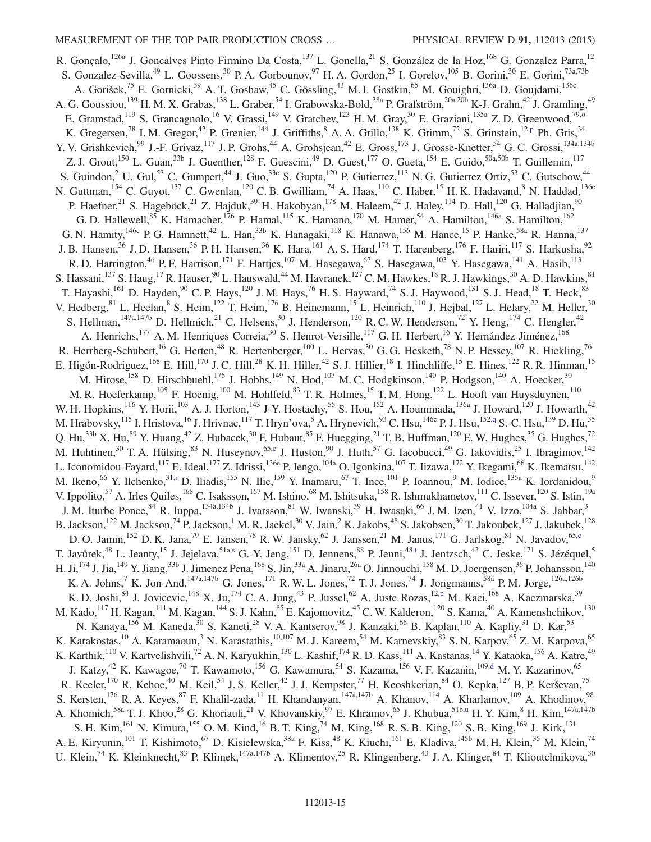<span id="page-15-2"></span><span id="page-15-1"></span><span id="page-15-0"></span>R. Gonçalo,<sup>126a</sup> J. Goncalves Pinto Firmino Da Costa,<sup>137</sup> L. Gonella,<sup>21</sup> S. González de la Hoz,<sup>168</sup> G. Gonzalez Parra,<sup>12</sup> S. Gonzalez-Sevilla,<sup>49</sup> L. Goossens,<sup>30</sup> P. A. Gorbounov,<sup>97</sup> H. A. Gordon,<sup>25</sup> I. Gorelov,<sup>105</sup> B. Gorini,<sup>30</sup> E. Gorini,<sup>73a,73b</sup> A. Gorišek,<sup>75</sup> E. Gornicki,<sup>39</sup> A. T. Goshaw,<sup>45</sup> C. Gössling,<sup>43</sup> M. I. Gostkin,<sup>65</sup> M. Gouighri,<sup>136a</sup> D. Goujdami,<sup>136c</sup> A. G. Goussiou,<sup>139</sup> H. M. X. Grabas,<sup>138</sup> L. Graber,<sup>54</sup> I. Grabowska-Bold,<sup>38a</sup> P. Grafström,<sup>20a,20b</sup> K-J. Grahn,<sup>42</sup> J. Gramling,<sup>49</sup> E. Gramstad,<sup>119</sup> S. Grancagnolo,<sup>16</sup> V. Grassi,<sup>149</sup> V. Gratchev,<sup>123</sup> H. M. Gray,<sup>30</sup> E. Graziani,<sup>135a</sup> Z. D. Greenwood,<sup>79,0</sup> K. Gregersen,<sup>78</sup> I. M. Gregor,<sup>42</sup> P. Grenier,<sup>144</sup> J. Griffiths,<sup>8</sup> A. A. Grillo,<sup>138</sup> K. Grimm,<sup>72</sup> S. Grinstein,<sup>12[,p](#page-23-15)</sup> Ph. Gris,<sup>34</sup> Y. V. Grishkevich,<sup>99</sup> J.-F. Grivaz,<sup>117</sup> J. P. Grohs,<sup>44</sup> A. Grohsjean,<sup>42</sup> E. Gross,<sup>173</sup> J. Grosse-Knetter,<sup>54</sup> G. C. Grossi,<sup>134a,134b</sup> Z. J. Grout,<sup>150</sup> L. Guan,<sup>33b</sup> J. Guenther,<sup>128</sup> F. Guescini,<sup>49</sup> D. Guest,<sup>177</sup> O. Gueta,<sup>154</sup> E. Guido,<sup>50a,50b</sup> T. Guillemin,<sup>117</sup> S. Guindon, <sup>2</sup> U. Gul,<sup>53</sup> C. Gumpert, <sup>44</sup> J. Guo, <sup>33e</sup> S. Gupta, <sup>120</sup> P. Gutierrez, <sup>113</sup> N. G. Gutierrez Ortiz, <sup>53</sup> C. Gutschow, <sup>44</sup> N. Guttman, <sup>154</sup> C. Guyot, <sup>137</sup> C. Gwenlan, <sup>120</sup> C. B. Gwilliam, <sup>74</sup> A. Haas, <sup>110</sup> C. Haber, <sup>15</sup> H. K. Hadavand, <sup>8</sup> N. Haddad, <sup>136e</sup> P. Haefner,<sup>21</sup> S. Hageböck,<sup>21</sup> Z. Hajduk,<sup>39</sup> H. Hakobyan,<sup>178</sup> M. Haleem,<sup>42</sup> J. Haley,<sup>114</sup> D. Hall,<sup>120</sup> G. Halladjian,<sup>90</sup> G. D. Hallewell,<sup>85</sup> K. Hamacher,<sup>176</sup> P. Hamal,<sup>115</sup> K. Hamano,<sup>170</sup> M. Hamer,<sup>54</sup> A. Hamilton,<sup>146a</sup> S. Hamilton,<sup>162</sup> G. N. Hamity,  $^{146c}$  P. G. Hamnett,  $^{42}$  L. Han,  $^{33b}$  K. Hanagaki,  $^{118}$  K. Hanawa,  $^{156}$  M. Hance,  $^{15}$  P. Hanke,  $^{58a}$  R. Hanna,  $^{137}$ J. B. Hansen,<sup>36</sup> J. D. Hansen,<sup>36</sup> P. H. Hansen,<sup>36</sup> K. Hara,<sup>161</sup> A. S. Hard,<sup>174</sup> T. Harenberg,<sup>176</sup> F. Hariri,<sup>117</sup> S. Harkusha,<sup>92</sup> R. D. Harrington,<sup>46</sup> P. F. Harrison,<sup>171</sup> F. Hartjes,<sup>107</sup> M. Hasegawa,<sup>67</sup> S. Hasegawa,<sup>103</sup> Y. Hasegawa,<sup>141</sup> A. Hasib,<sup>113</sup> S. Hassani,<sup>137</sup> S. Haug,<sup>17</sup> R. Hauser,<sup>90</sup> L. Hauswald,<sup>44</sup> M. Havranek,<sup>127</sup> C. M. Hawkes,<sup>18</sup> R. J. Hawkings,<sup>30</sup> A. D. Hawkins,<sup>81</sup> T. Hayashi,<sup>161</sup> D. Hayden,<sup>90</sup> C. P. Hays,<sup>120</sup> J. M. Hays,<sup>76</sup> H. S. Hayward,<sup>74</sup> S. J. Haywood,<sup>131</sup> S. J. Head,<sup>18</sup> T. Heck,<sup>83</sup> V. Hedberg,  $81$  L. Heelan,  $8$  S. Heim,  $^{122}$  T. Heim,  $^{176}$  B. Heinemann,  $^{15}$  L. Heinrich,  $^{110}$  J. Hejbal,  $^{127}$  L. Helary,  $^{22}$  M. Heller,  $^{30}$ S. Hellman,  $147a,147b$  D. Hellmich, $21$  C. Helsens,  $30$  J. Henderson,  $120$  R. C. W. Henderson,  $72$  Y. Heng,  $174$  C. Hengler,  $42$ A. Henrichs,<sup>177</sup> A. M. Henriques Correia,<sup>30</sup> S. Henrot-Versille,<sup>117</sup> G. H. Herbert,<sup>16</sup> Y. Hernández Jiménez,<sup>168</sup> R. Herrberg-Schubert,<sup>16</sup> G. Herten,<sup>48</sup> R. Hertenberger,<sup>100</sup> L. Hervas,<sup>30</sup> G. G. Hesketh,<sup>78</sup> N. P. Hessey,<sup>107</sup> R. Hickling,<sup>76</sup> E. Higón-Rodriguez,<sup>168</sup> E. Hill,<sup>170</sup> J. C. Hill,<sup>28</sup> K. H. Hiller,<sup>42</sup> S. J. Hillier,<sup>18</sup> I. Hinchliffe,<sup>15</sup> E. Hines,<sup>122</sup> R. R. Hinman,<sup>15</sup> M. Hirose,<sup>158</sup> D. Hirschbuehl,<sup>176</sup> J. Hobbs,<sup>149</sup> N. Hod,<sup>107</sup> M. C. Hodgkinson,<sup>140</sup> P. Hodgson,<sup>140</sup> A. Hoecker,<sup>30</sup> M. R. Hoeferkamp,  $^{105}$  F. Hoenig,  $^{100}$  M. Hohlfeld,  $^{83}$  T. R. Holmes,  $^{15}$  T. M. Hong,  $^{122}$  L. Hooft van Huysduynen,  $^{110}$ W. H. Hopkins,<sup>116</sup> Y. Horii,<sup>103</sup> A. J. Horton,<sup>143</sup> J-Y. Hostachy,<sup>55</sup> S. Hou,<sup>152</sup> A. Hoummada,<sup>136a</sup> J. Howard,<sup>120</sup> J. Howarth,<sup>42</sup> M. Hrabovsky, <sup>115</sup> I. Hristova, <sup>16</sup> J. Hrivnac, <sup>117</sup> T. Hryn'ova, 5A. Hrynevich, <sup>93</sup> C. Hsu, <sup>146c</sup> P. J. Hsu, <sup>152[,q](#page-23-16)</sup> S.-C. Hsu, <sup>139</sup> D. Hu, <sup>35</sup> Q. Hu,<sup>33b</sup> X. Hu,<sup>89</sup> Y. Huang,<sup>42</sup> Z. Hubacek,<sup>30</sup> F. Hubaut,<sup>85</sup> F. Huegging,<sup>21</sup> T. B. Huffman,<sup>120</sup> E. W. Hughes,<sup>35</sup> G. Hughes,<sup>72</sup> M. Huhtinen,<sup>30</sup> T. A. Hülsing,<sup>83</sup> N. Huseynov,<sup>65[,c](#page-23-1)</sup> J. Huston,<sup>90</sup> J. Huth,<sup>57</sup> G. Iacobucci,<sup>49</sup> G. Iakovidis,<sup>25</sup> I. Ibragimov,<sup>142</sup> L. Iconomidou-Fayard,<sup>117</sup> E. Ideal,<sup>177</sup> Z. Idrissi,<sup>136e</sup> P. Iengo,<sup>104a</sup> O. Igonkina,<sup>107</sup> T. Iizawa,<sup>172</sup> Y. Ikegami,<sup>66</sup> K. Ikematsu,<sup>142</sup> M. Ikeno,<sup>66</sup> Y. Ilchenko,<sup>3[1,r](#page-23-17)</sup> D. Iliadis,<sup>155</sup> N. Ilic,<sup>159</sup> Y. Inamaru,<sup>67</sup> T. Ince,<sup>101</sup> P. Ioannou,<sup>9</sup> M. Iodice,<sup>135a</sup> K. Iordanidou,<sup>9</sup> V. Ippolito,<sup>57</sup> A. Irles Quiles,<sup>168</sup> C. Isaksson,<sup>167</sup> M. Ishino,<sup>68</sup> M. Ishitsuka,<sup>158</sup> R. Ishmukhametov,<sup>111</sup> C. Issever,<sup>120</sup> S. Istin,<sup>19a</sup> J. M. Iturbe Ponce, <sup>84</sup> R. Iuppa, <sup>134a,134b</sup> J. Ivarsson, <sup>81</sup> W. Iwanski, <sup>39</sup> H. Iwasaki, <sup>66</sup> J. M. Izen, <sup>41</sup> V. Izzo, <sup>104a</sup> S. Jabbar, <sup>3</sup> B. Jackson,<sup>122</sup> M. Jackson,<sup>74</sup> P. Jackson,<sup>1</sup> M. R. Jaekel,<sup>30</sup> V. Jain,<sup>2</sup> K. Jakobs,<sup>48</sup> S. Jakobsen,<sup>30</sup> T. Jakubek,<sup>127</sup> J. Jakubek,<sup>128</sup> D. O. Jamin,<sup>152</sup> D. K. Jana,<sup>79</sup> E. Jansen,<sup>78</sup> R. W. Jansky,<sup>62</sup> J. Janssen,<sup>21</sup> M. Janus,<sup>171</sup> G. Jarlskog,<sup>81</sup> N. Javadov,<sup>65[,c](#page-23-1)</sup> T. Javůrek,<sup>48</sup> L. Jeanty,<sup>15</sup> J. Jejelava,<sup>51[a,s](#page-23-18)</sup> G.-Y. Jeng,<sup>151</sup> D. Jennens,<sup>88</sup> P. Jenni,<sup>4[8,t](#page-23-19)</sup> J. Jentzsch,<sup>43</sup> C. Jeske,<sup>171</sup> S. Jézéquel,<sup>5</sup> H. Ji,<sup>174</sup> J. Jia,<sup>149</sup> Y. Jiang,<sup>33b</sup> J. Jimenez Pena,<sup>168</sup> S. Jin,<sup>33a</sup> A. Jinaru,<sup>26a</sup> O. Jinnouchi,<sup>158</sup> M. D. Joergensen,<sup>36</sup> P. Johansson,<sup>140</sup> K. A. Johns,<sup>7</sup> K. Jon-And,<sup>147a,147b</sup> G. Jones,<sup>171</sup> R. W. L. Jones,<sup>72</sup> T. J. Jones,<sup>74</sup> J. Jongmanns,<sup>58a</sup> P. M. Jorge,<sup>126a,126b</sup> K. D. Joshi,  $84$  J. Jovicevic,  $148$  X. Ju,  $174$  C. A. Jung,  $43$  P. Jussel,  $62$  A. Juste Rozas,  $12,p$  $12,p$  M. Kaci,  $168$  A. Kaczmarska,  $39$ M. Kado,<sup>117</sup> H. Kagan,<sup>111</sup> M. Kagan,<sup>144</sup> S. J. Kahn,<sup>85</sup> E. Kajomovitz,<sup>45</sup> C. W. Kalderon,<sup>120</sup> S. Kama,<sup>40</sup> A. Kamenshchikov,<sup>130</sup> N. Kanaya, <sup>156</sup> M. Kaneda,<sup>30</sup> S. Kaneti,<sup>28</sup> V. A. Kantserov,<sup>98</sup> J. Kanzaki,<sup>66</sup> B. Kaplan,<sup>110</sup> A. Kapliy,<sup>31</sup> D. Kar,<sup>53</sup> K. Karakostas,<sup>10</sup> A. Karamaoun,<sup>3</sup> N. Karastathis,<sup>10,107</sup> M. J. Kareem,<sup>54</sup> M. Karnevskiy,<sup>83</sup> S. N. Karpov,<sup>65</sup> Z. M. Karpova,<sup>65</sup> K. Karthik,<sup>110</sup> V. Kartvelishvili,<sup>72</sup> A. N. Karyukhin,<sup>130</sup> L. Kashif,<sup>174</sup> R. D. Kass,<sup>111</sup> A. Kastanas,<sup>14</sup> Y. Kataoka,<sup>156</sup> A. Katre,<sup>49</sup> J. Katzy,<sup>42</sup> K. Kawagoe,<sup>70</sup> T. Kawamoto,<sup>156</sup> G. Kawamura,<sup>54</sup> S. Kazama,<sup>156</sup> V. F. Kazanin,<sup>10[9,d](#page-23-2)</sup> M. Y. Kazarinov,<sup>65</sup> R. Keeler,  $^{170}$  R. Kehoe,  $^{40}$  M. Keil,  $^{54}$  J. S. Keller,  $^{42}$  J. J. Kempster,  $^{77}$  H. Keoshkerian,  $^{84}$  O. Kepka,  $^{127}$  B. P. Kerševan,  $^{75}$ S. Kersten,<sup>176</sup> R. A. Keyes, <sup>87</sup> F. Khalil-zada,<sup>11</sup> H. Khandanyan,<sup>147a,147b</sup> A. Khanov,<sup>114</sup> A. Kharlamov,<sup>109</sup> A. Khodinov,<sup>98</sup> A. Khomich,<sup>58a</sup> T. J. Khoo,<sup>28</sup> G. Khoriauli,<sup>21</sup> V. Khovanskiy,<sup>97</sup> E. Khramov,<sup>65</sup> J. Khubua,<sup>51b[,u](#page-23-20)</sup> H. Y. Kim,<sup>8</sup> H. Kim,<sup>147a,147b</sup> S. H. Kim,<sup>161</sup> N. Kimura,<sup>155</sup> O. M. Kind,<sup>16</sup> B. T. King,<sup>74</sup> M. King,<sup>168</sup> R. S. B. King,<sup>120</sup> S. B. King,<sup>169</sup> J. Kirk,<sup>131</sup> A. E. Kiryunin,<sup>101</sup> T. Kishimoto,<sup>67</sup> D. Kisielewska,<sup>38a</sup> F. Kiss,<sup>48</sup> K. Kiuchi,<sup>161</sup> E. Kladiva,<sup>145b</sup> M. H. Klein,<sup>35</sup> M. Klein,<sup>74</sup> U. Klein,  $^{74}$  K. Kleinknecht,  $^{83}$  P. Klimek,  $^{147a,147b}$  A. Klimentov,  $^{25}$  R. Klingenberg,  $^{43}$  J. A. Klinger,  $^{84}$  T. Klioutchnikova,  $^{30}$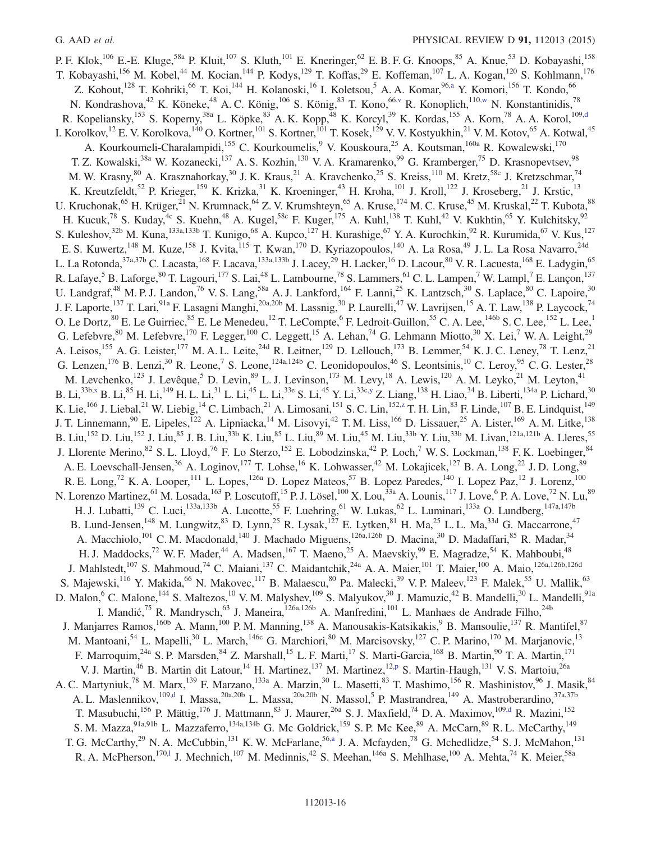<span id="page-16-3"></span><span id="page-16-2"></span><span id="page-16-1"></span><span id="page-16-0"></span>P. F. Klok,<sup>106</sup> E.-E. Kluge,<sup>58a</sup> P. Kluit,<sup>107</sup> S. Kluth,<sup>101</sup> E. Kneringer,<sup>62</sup> E. B. F. G. Knoops,<sup>85</sup> A. Knue,<sup>53</sup> D. Kobayashi,<sup>158</sup> T. Kobayashi,<sup>156</sup> M. Kobel,<sup>44</sup> M. Kocian,<sup>144</sup> P. Kodys,<sup>129</sup> T. Koffas,<sup>29</sup> E. Koffeman,<sup>107</sup> L. A. Kogan,<sup>120</sup> S. Kohlmann,<sup>176</sup> Z. Kohout,<sup>128</sup> T. Kohriki,<sup>66</sup> T. Koi,<sup>144</sup> H. Kolanoski,<sup>16</sup> I. Koletsou,<sup>5</sup> A. A. Komar,<sup>9[6,a](#page-23-6)</sup> Y. Komori,<sup>156</sup> T. Kondo,<sup>66</sup> N. Kondrashova,<sup>42</sup> K. Köneke,<sup>48</sup> A. C. König,<sup>106</sup> S. König,<sup>83</sup> T. Kono,<sup>6[6,v](#page-23-21)</sup> R. Konoplich,<sup>110[,w](#page-23-22)</sup> N. Konstantinidis,<sup>78</sup> R. Kopeliansky,<sup>153</sup> S. Koperny,<sup>38a</sup> L. Köpke,<sup>83</sup> A. K. Kopp,<sup>48</sup> K. Korcyl,<sup>39</sup> K. Kordas,<sup>155</sup> A. Korn,<sup>78</sup> A. A. Korol,<sup>10[9,d](#page-23-2)</sup> I. Korolkov, <sup>12</sup> E. V. Korolkova, <sup>140</sup> O. Kortner, <sup>101</sup> S. Kortner, <sup>101</sup> T. Kosek, <sup>129</sup> V. V. Kostyukhin, <sup>21</sup> V. M. Kotov, <sup>65</sup> A. Kotwal, <sup>45</sup> A. Kourkoumeli-Charalampidi,<sup>155</sup> C. Kourkoumelis, <sup>9</sup> V. Kouskoura, <sup>25</sup> A. Koutsman, <sup>160a</sup> R. Kowalewski, <sup>170</sup> T. Z. Kowalski,<sup>38a</sup> W. Kozanecki,<sup>137</sup> A. S. Kozhin,<sup>130</sup> V. A. Kramarenko,<sup>99</sup> G. Kramberger,<sup>75</sup> D. Krasnopevtsev,<sup>98</sup> M. W. Krasny,  $80$  A. Krasznahorkay,  $30$  J. K. Kraus,  $21$  A. Kravchenko,  $25$  S. Kreiss,  $110$  M. Kretz,  $58c$  J. Kretzschmar,  $74$ K. Kreutzfeldt,<sup>52</sup> P. Krieger,<sup>159</sup> K. Krizka,<sup>31</sup> K. Kroeninger,<sup>43</sup> H. Kroha,<sup>101</sup> J. Kroll,<sup>122</sup> J. Kroseberg,<sup>21</sup> J. Krstic,<sup>13</sup> U. Kruchonak, <sup>65</sup> H. Krüger, <sup>21</sup> N. Krumnack, <sup>64</sup> Z. V. Krumshteyn, <sup>65</sup> A. Kruse, <sup>174</sup> M. C. Kruse, <sup>45</sup> M. Kruskal, <sup>22</sup> T. Kubota, <sup>88</sup> H. Kucuk,<sup>78</sup> S. Kuday,<sup>4c</sup> S. Kuehn,<sup>48</sup> A. Kugel,<sup>58c</sup> F. Kuger,<sup>175</sup> A. Kuhl,<sup>138</sup> T. Kuhl,<sup>42</sup> V. Kukhtin,<sup>65</sup> Y. Kulchitsky,<sup>92</sup> S. Kuleshov,<sup>32b</sup> M. Kuna,<sup>133a,133b</sup> T. Kunigo,<sup>68</sup> A. Kupco,<sup>127</sup> H. Kurashige,<sup>67</sup> Y. A. Kurochkin,<sup>92</sup> R. Kurumida,<sup>67</sup> V. Kus,<sup>127</sup> E. S. Kuwertz,<sup>148</sup> M. Kuze,<sup>158</sup> J. Kvita,<sup>115</sup> T. Kwan,<sup>170</sup> D. Kyriazopoulos,<sup>140</sup> A. La Rosa,<sup>49</sup> J. L. La Rosa Navarro,<sup>24d</sup> L. La Rotonda,<sup>37a,37b</sup> C. Lacasta,<sup>168</sup> F. Lacava,<sup>133a,133b</sup> J. Lacey,<sup>29</sup> H. Lacker,<sup>16</sup> D. Lacour,<sup>80</sup> V. R. Lacuesta,<sup>168</sup> E. Ladygin,<sup>65</sup> R. Lafaye,<sup>5</sup> B. Laforge,<sup>80</sup> T. Lagouri,<sup>177</sup> S. Lai,<sup>48</sup> L. Lambourne,<sup>78</sup> S. Lammers,<sup>61</sup> C. L. Lampen,<sup>7</sup> W. Lampl,<sup>7</sup> E. Lançon,<sup>137</sup> U. Landgraf,<sup>48</sup> M. P. J. Landon,<sup>76</sup> V. S. Lang,<sup>58a</sup> A. J. Lankford,<sup>164</sup> F. Lanni,<sup>25</sup> K. Lantzsch,<sup>30</sup> S. Laplace,<sup>80</sup> C. Lapoire,<sup>30</sup> J. F. Laporte,<sup>137</sup> T. Lari,<sup>91a</sup> F. Lasagni Manghi,<sup>20a,20b</sup> M. Lassnig,<sup>30</sup> P. Laurelli,<sup>47</sup> W. Lavrijsen,<sup>15</sup> A. T. Law,<sup>138</sup> P. Laycock,<sup>74</sup> O. Le Dortz,  $80$  E. Le Guirriec,  $85$  E. Le Menedeu,  $12$  T. LeCompte,  $6$  F. Ledroit-Guillon,  $55$  C. A. Lee,  $146$  S. C. Lee,  $152$  L. Lee,  $152$ G. Lefebvre,<sup>80</sup> M. Lefebvre,<sup>170</sup> F. Legger,<sup>100</sup> C. Leggett,<sup>15</sup> A. Lehan,<sup>74</sup> G. Lehmann Miotto,<sup>30</sup> X. Lei,<sup>7</sup> W. A. Leight,<sup>29</sup> A. Leisos,<sup>155</sup> A. G. Leister,<sup>177</sup> M. A. L. Leite,<sup>24d</sup> R. Leitner,<sup>129</sup> D. Lellouch,<sup>173</sup> B. Lemmer,<sup>54</sup> K. J. C. Leney,<sup>78</sup> T. Lenz,<sup>21</sup> G. Lenzen,  $^{176}$  B. Lenzi,  $^{30}$  R. Leone,  $^{7}$  S. Leone,  $^{124a,124b}$  C. Leonidopoulos,  $^{46}$  S. Leontsinis,  $^{10}$  C. Leroy,  $^{95}$  C. G. Lester,  $^{28}$ M. Levchenko,<sup>123</sup> J. Levêque,<sup>5</sup> D. Levin,<sup>89</sup> L. J. Levinson,<sup>173</sup> M. Levy,<sup>18</sup> A. Lewis,<sup>120</sup> A. M. Leyko,<sup>21</sup> M. Leyton,<sup>41</sup> B. Li,<sup>33b[,x](#page-24-0)</sup> B. Li,<sup>85</sup> H. Li,<sup>149</sup> H. L. Li,<sup>31</sup> L. Li,<sup>45</sup> L. Li,<sup>33e</sup> S. Li,<sup>45</sup> Y. Li,<sup>33c[,y](#page-24-1)</sup> Z. Liang,<sup>138</sup> H. Liao,<sup>34</sup> B. Liberti,<sup>134a</sup> P. Lichard,<sup>30</sup> K. Lie,<sup>166</sup> J. Liebal,<sup>21</sup> W. Liebig,<sup>14</sup> C. Limbach,<sup>21</sup> A. Limosani,<sup>151</sup> S. C. Lin,<sup>152[,z](#page-24-2)</sup> T. H. Lin,<sup>83</sup> F. Linde,<sup>107</sup> B. E. Lindquist,<sup>149</sup> J. T. Linnemann,<sup>90</sup> E. Lipeles,<sup>122</sup> A. Lipniacka,<sup>14</sup> M. Lisovyi,<sup>42</sup> T. M. Liss,<sup>166</sup> D. Lissauer,<sup>25</sup> A. Lister,<sup>169</sup> A. M. Litke,<sup>138</sup> B. Liu,<sup>152</sup> D. Liu,<sup>152</sup> J. Liu,<sup>85</sup> J. B. Liu,<sup>33b</sup> K. Liu,<sup>85</sup> L. Liu,<sup>89</sup> M. Liu,<sup>45</sup> M. Liu,<sup>33b</sup> Y. Liu,<sup>33b</sup> M. Livan,<sup>121a,121b</sup> A. Lleres,<sup>55</sup> J. Llorente Merino, <sup>82</sup> S. L. Lloyd, <sup>76</sup> F. Lo Sterzo, <sup>152</sup> E. Lobodzinska, <sup>42</sup> P. Loch, <sup>7</sup> W. S. Lockman, <sup>138</sup> F. K. Loebinger, <sup>84</sup> A. E. Loevschall-Jensen,<sup>36</sup> A. Loginov,<sup>177</sup> T. Lohse,<sup>16</sup> K. Lohwasser,<sup>42</sup> M. Lokajicek,<sup>127</sup> B. A. Long,<sup>22</sup> J. D. Long,<sup>89</sup> R. E. Long,<sup>72</sup> K. A. Looper,<sup>111</sup> L. Lopes,<sup>126a</sup> D. Lopez Mateos,<sup>57</sup> B. Lopez Paredes,<sup>140</sup> I. Lopez Paz,<sup>12</sup> J. Lorenz,<sup>100</sup> N. Lorenzo Martinez, <sup>61</sup> M. Losada, <sup>163</sup> P. Loscutoff, <sup>15</sup> P. J. Lösel, <sup>100</sup> X. Lou, <sup>33a</sup> A. Lounis, <sup>117</sup> J. Love, <sup>6</sup> P. A. Love, <sup>72</sup> N. Lu, <sup>89</sup> H. J. Lubatti,<sup>139</sup> C. Luci,<sup>133a,133b</sup> A. Lucotte,<sup>55</sup> F. Luehring,<sup>61</sup> W. Lukas,<sup>62</sup> L. Luminari,<sup>133a</sup> O. Lundberg,<sup>147a,147b</sup> B. Lund-Jensen,<sup>148</sup> M. Lungwitz,<sup>83</sup> D. Lynn,<sup>25</sup> R. Lysak,<sup>127</sup> E. Lytken,<sup>81</sup> H. Ma,<sup>25</sup> L. L. Ma,<sup>33d</sup> G. Maccarrone,<sup>47</sup> A. Macchiolo,<sup>101</sup> C. M. Macdonald,<sup>140</sup> J. Machado Miguens,<sup>126a,126b</sup> D. Macina,<sup>30</sup> D. Madaffari,<sup>85</sup> R. Madar,<sup>34</sup> H. J. Maddocks,<sup>72</sup> W. F. Mader,<sup>44</sup> A. Madsen,<sup>167</sup> T. Maeno,<sup>25</sup> A. Maevskiy,<sup>99</sup> E. Magradze,<sup>54</sup> K. Mahboubi,<sup>48</sup> J. Mahlstedt,<sup>107</sup> S. Mahmoud,<sup>74</sup> C. Maiani,<sup>137</sup> C. Maidantchik,<sup>24a</sup> A. A. Maier,<sup>101</sup> T. Maier,<sup>100</sup> A. Maio,<sup>126a,126b,126d</sup> S. Majewski,<sup>116</sup> Y. Makida,<sup>66</sup> N. Makovec,<sup>117</sup> B. Malaescu,<sup>80</sup> Pa. Malecki,<sup>39</sup> V. P. Maleev,<sup>123</sup> F. Malek,<sup>55</sup> U. Mallik,<sup>63</sup> D. Malon,<sup>6</sup> C. Malone,<sup>144</sup> S. Maltezos,<sup>10</sup> V. M. Malyshev,<sup>109</sup> S. Malyukov,<sup>30</sup> J. Mamuzic,<sup>42</sup> B. Mandelli,<sup>30</sup> L. Mandelli,<sup>91a</sup> I. Mandić,<sup>75</sup> R. Mandrysch,<sup>63</sup> J. Maneira, <sup>126a,126b</sup> A. Manfredini, <sup>101</sup> L. Manhaes de Andrade Filho, <sup>24b</sup> J. Manjarres Ramos,<sup>160b</sup> A. Mann,<sup>100</sup> P.M. Manning,<sup>138</sup> A. Manousakis-Katsikakis,<sup>9</sup> B. Mansoulie,<sup>137</sup> R. Mantifel,<sup>87</sup> M. Mantoani,<sup>54</sup> L. Mapelli,<sup>30</sup> L. March,<sup>146c</sup> G. Marchiori,<sup>80</sup> M. Marcisovsky,<sup>127</sup> C.P. Marino,<sup>170</sup> M. Marjanovic,<sup>13</sup> F. Marroquim,<sup>24a</sup> S. P. Marsden,<sup>84</sup> Z. Marshall,<sup>15</sup> L. F. Marti,<sup>17</sup> S. Marti-Garcia,<sup>168</sup> B. Martin,<sup>90</sup> T. A. Martin,<sup>171</sup> V. J. Martin,<sup>46</sup> B. Martin dit Latour,<sup>14</sup> H. Martinez,<sup>137</sup> M. Martinez,<sup>12[,p](#page-23-15)</sup> S. Martin-Haugh,<sup>131</sup> V. S. Martoiu,<sup>26a</sup> A. C. Martyniuk,<sup>78</sup> M. Marx,<sup>139</sup> F. Marzano,<sup>133a</sup> A. Marzin,<sup>30</sup> L. Masetti,<sup>83</sup> T. Mashimo,<sup>156</sup> R. Mashinistov,<sup>96</sup> J. Masik,<sup>84</sup> A. L. Maslennikov, <sup>10[9,d](#page-23-2)</sup> I. Massa, <sup>20a, 20b</sup> L. Massa, <sup>20a, 20b</sup> N. Massol, <sup>5</sup> P. Mastrandrea, <sup>149</sup> A. Mastroberardino, <sup>37a, 37b</sup> T. Masubuchi,<sup>156</sup> P. Mättig,<sup>176</sup> J. Mattmann,<sup>83</sup> J. Maurer,<sup>26a</sup> S. J. Maxfield,<sup>74</sup> D. A. Maximov,<sup>10[9,d](#page-23-2)</sup> R. Mazini,<sup>152</sup> S. M. Mazza,<sup>91a,91b</sup> L. Mazzaferro,<sup>134a,134b</sup> G. Mc Goldrick,<sup>159</sup> S. P. Mc Kee,<sup>89</sup> A. McCarn,<sup>89</sup> R. L. McCarthy,<sup>149</sup> T. G. McCarthy,<sup>29</sup> N. A. McCubbin,<sup>131</sup> K. W. McFarlane,<sup>5[6,a](#page-23-6)</sup> J. A. Mcfayden,<sup>78</sup> G. Mchedlidze,<sup>54</sup> S. J. McMahon,<sup>131</sup> R. A. McPherson,<sup>17[0,l](#page-23-11)</sup> J. Mechnich,<sup>107</sup> M. Medinnis,<sup>42</sup> S. Meehan,<sup>146a</sup> S. Mehlhase,<sup>100</sup> A. Mehta,<sup>74</sup> K. Meier,<sup>58a</sup>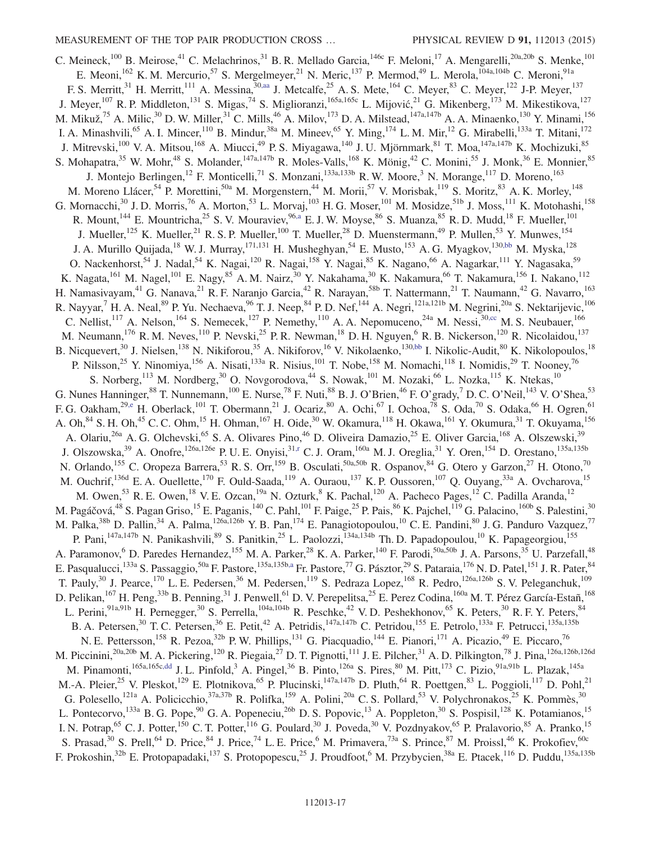<span id="page-17-2"></span><span id="page-17-1"></span><span id="page-17-0"></span>C. Meineck,<sup>100</sup> B. Meirose,<sup>41</sup> C. Melachrinos,<sup>31</sup> B. R. Mellado Garcia,<sup>146c</sup> F. Meloni,<sup>17</sup> A. Mengarelli,<sup>20a,20b</sup> S. Menke,<sup>101</sup> E. Meoni,<sup>162</sup> K. M. Mercurio,<sup>57</sup> S. Mergelmeyer,<sup>21</sup> N. Meric,<sup>137</sup> P. Mermod,<sup>49</sup> L. Merola,<sup>104a,104b</sup> C. Meroni,<sup>91a</sup> F. S. Merritt,<sup>31</sup> H. Merritt,<sup>111</sup> A. Messina,<sup>30[,aa](#page-24-3)</sup> J. Metcalfe,<sup>25</sup> A. S. Mete,<sup>164</sup> C. Meyer,<sup>83</sup> C. Meyer,<sup>122</sup> J-P. Meyer,<sup>137</sup> J. Meyer,  $^{107}$  R. P. Middleton,  $^{131}$  S. Migas,  $^{74}$  S. Miglioranzi,  $^{165a,165c}$  L. Mijović,  $^{21}$  G. Mikenberg,  $^{173}$  M. Mikestikova,  $^{127}$ M. Mikuž,<sup>75</sup> A. Milic,<sup>30</sup> D. W. Miller,<sup>31</sup> C. Mills,<sup>46</sup> A. Milov,<sup>173</sup> D. A. Milstead,<sup>147a,147b</sup> A. A. Minaenko,<sup>130</sup> Y. Minami,<sup>156</sup> I. A. Minashvili, <sup>65</sup> A. I. Mincer, <sup>110</sup> B. Mindur, <sup>38a</sup> M. Mineev, <sup>65</sup> Y. Ming, <sup>174</sup> L. M. Mir, <sup>12</sup> G. Mirabelli, <sup>133a</sup> T. Mitani, <sup>172</sup> J. Mitrevski,<sup>100</sup> V. A. Mitsou,<sup>168</sup> A. Miucci,<sup>49</sup> P. S. Miyagawa,<sup>140</sup> J. U. Mjörnmark,<sup>81</sup> T. Moa,<sup>147a,147b</sup> K. Mochizuki,<sup>85</sup> S. Mohapatra,<sup>35</sup> W. Mohr,<sup>48</sup> S. Molander,<sup>147a,147b</sup> R. Moles-Valls,<sup>168</sup> K. Mönig,<sup>42</sup> C. Monini,<sup>55</sup> J. Monk,<sup>36</sup> E. Monnier,<sup>85</sup> J. Montejo Berlingen,<sup>12</sup> F. Monticelli,<sup>71</sup> S. Monzani,<sup>133a,133b</sup> R. W. Moore,<sup>3</sup> N. Morange,<sup>117</sup> D. Moreno,<sup>163</sup> M. Moreno Llácer, 54 P. Morettini, <sup>50a</sup> M. Morgenstern, <sup>44</sup> M. Morii, 57 V. Morisbak, <sup>119</sup> S. Moritz, <sup>83</sup> A. K. Morley, <sup>148</sup> G. Mornacchi,<sup>30</sup> J. D. Morris,<sup>76</sup> A. Morton,<sup>53</sup> L. Morvaj,<sup>103</sup> H. G. Moser,<sup>101</sup> M. Mosidze,<sup>51b</sup> J. Moss,<sup>111</sup> K. Motohashi,<sup>158</sup> R. Mount,<sup>144</sup> E. Mountricha,<sup>25</sup> S. V. Mouraviev,<sup>9[6,a](#page-23-6)</sup> E. J. W. Moyse,<sup>86</sup> S. Muanza,<sup>85</sup> R. D. Mudd,<sup>18</sup> F. Mueller,<sup>101</sup> J. Mueller,<sup>125</sup> K. Mueller,<sup>21</sup> R. S. P. Mueller,<sup>100</sup> T. Mueller,<sup>28</sup> D. Muenstermann,<sup>49</sup> P. Mullen,<sup>53</sup> Y. Munwes,<sup>154</sup> J. A. Murillo Quijada,<sup>18</sup> W. J. Murray,<sup>171,131</sup> H. Musheghyan,<sup>54</sup> E. Musto,<sup>153</sup> A. G. Myagkov,<sup>13[0,bb](#page-24-4)</sup> M. Myska,<sup>128</sup> O. Nackenhorst,<sup>54</sup> J. Nadal,<sup>54</sup> K. Nagai,<sup>120</sup> R. Nagai,<sup>158</sup> Y. Nagai,<sup>85</sup> K. Nagano,<sup>66</sup> A. Nagarkar,<sup>111</sup> Y. Nagasaka,<sup>59</sup> K. Nagata,<sup>161</sup> M. Nagel,<sup>101</sup> E. Nagy,<sup>85</sup> A. M. Nairz,<sup>30</sup> Y. Nakahama,<sup>30</sup> K. Nakamura,<sup>66</sup> T. Nakamura,<sup>156</sup> I. Nakano,<sup>112</sup> H. Namasivayam,<sup>41</sup> G. Nanava,<sup>21</sup> R. F. Naranjo Garcia,<sup>42</sup> R. Narayan,<sup>58b</sup> T. Nattermann,<sup>21</sup> T. Naumann,<sup>42</sup> G. Navarro,<sup>163</sup> R. Nayyar,<sup>7</sup> H. A. Neal,<sup>89</sup> P. Yu. Nechaeva,<sup>96</sup> T. J. Neep,<sup>84</sup> P. D. Nef,<sup>144</sup> A. Negri,<sup>121a,121b</sup> M. Negrini,<sup>20a</sup> S. Nektarijevic,<sup>106</sup> C. Nellist,<sup>117</sup> A. Nelson,<sup>164</sup> S. Nemecek,<sup>127</sup> P. Nemethy,<sup>110</sup> A. A. Nepomuceno,<sup>24a</sup> M. Nessi,<sup>3[0,cc](#page-24-5)</sup> M. S. Neubauer,<sup>166</sup> M. Neumann,<sup>176</sup> R. M. Neves,<sup>110</sup> P. Nevski,<sup>25</sup> P. R. Newman,<sup>18</sup> D. H. Nguyen,<sup>6</sup> R. B. Nickerson,<sup>120</sup> R. Nicolaidou,<sup>137</sup> B. Nicquevert,<sup>30</sup> J. Nielsen,<sup>138</sup> N. Nikiforou,<sup>35</sup> A. Nikiforov,<sup>16</sup> V. Nikolaenko,<sup>13[0,bb](#page-24-4)</sup> I. Nikolic-Audit,<sup>80</sup> K. Nikolopoulos,<sup>18</sup> P. Nilsson,<sup>25</sup> Y. Ninomiya,<sup>156</sup> A. Nisati,<sup>133a</sup> R. Nisius,<sup>101</sup> T. Nobe,<sup>158</sup> M. Nomachi,<sup>118</sup> I. Nomidis,<sup>29</sup> T. Nooney,<sup>76</sup> S. Norberg,  $^{113}$  M. Nordberg,  $^{30}$  O. Novgorodova,  $^{44}$  S. Nowak,  $^{101}$  M. Nozaki,  $^{66}$  L. Nozka,  $^{115}$  K. Ntekas,  $^{10}$ G. Nunes Hanninger,  $88$  T. Nunnemann,  $100$  E. Nurse,  $78$  F. Nuti,  $88$  B. J. O'Brien,  $46$  F. O'grady,  $7$  D. C. O'Neil,  $143$  V. O'Shea,  $53$ F. G. Oakham,  $^{29,e}$  $^{29,e}$  $^{29,e}$  H. Oberlack,  $^{101}$  T. Obermann,  $^{21}$  J. Ocariz,  $^{80}$  A. Ochi,  $^{67}$  I. Ochoa,  $^{78}$  S. Oda,  $^{70}$  S. Odaka,  $^{66}$  H. Ogren,  $^{61}$ A. Oh,  $84$  S. H. Oh,  $45$  C. C. Ohm,  $15$  H. Ohman,  $167$  H. Oide,  $30$  W. Okamura,  $118$  H. Okawa,  $161$  Y. Okumura,  $31$  T. Okuyama,  $156$ A. Olariu,<sup>26a</sup> A. G. Olchevski,<sup>65</sup> S. A. Olivares Pino,<sup>46</sup> D. Oliveira Damazio,<sup>25</sup> E. Oliver Garcia,<sup>168</sup> A. Olszewski,<sup>39</sup> J. Olszowska,<sup>39</sup> A. Onofre,<sup>126a,126e</sup> P. U. E. Onyisi,<sup>31[,r](#page-23-17)</sup> C. J. Oram,<sup>160a</sup> M. J. Oreglia,<sup>31</sup> Y. Oren,<sup>154</sup> D. Orestano,<sup>135a,135b</sup> N. Orlando,<sup>155</sup> C. Oropeza Barrera,<sup>53</sup> R. S. Orr,<sup>159</sup> B. Osculati,<sup>50a,50b</sup> R. Ospanov,<sup>84</sup> G. Otero y Garzon,<sup>27</sup> H. Otono,<sup>70</sup> M. Ouchrif,<sup>136d</sup> E. A. Ouellette,<sup>170</sup> F. Ould-Saada,<sup>119</sup> A. Ouraou,<sup>137</sup> K. P. Oussoren,<sup>107</sup> Q. Ouyang,<sup>33a</sup> A. Ovcharova,<sup>15</sup> M. Owen,<sup>53</sup> R. E. Owen,<sup>18</sup> V. E. Ozcan,<sup>19a</sup> N. Ozturk,<sup>8</sup> K. Pachal,<sup>120</sup> A. Pacheco Pages,<sup>12</sup> C. Padilla Aranda,<sup>12</sup> M. Pagáčová,<sup>48</sup> S. Pagan Griso,<sup>15</sup> E. Paganis,<sup>140</sup> C. Pahl,<sup>101</sup> F. Paige,<sup>25</sup> P. Pais,<sup>86</sup> K. Pajchel,<sup>119</sup> G. Palacino,<sup>160b</sup> S. Palestini,<sup>30</sup> M. Palka,<sup>38b</sup> D. Pallin,<sup>34</sup> A. Palma,<sup>126a,126b</sup> Y. B. Pan,<sup>174</sup> E. Panagiotopoulou,<sup>10</sup> C. E. Pandini,<sup>80</sup> J. G. Panduro Vazquez,<sup>77</sup> P. Pani, $1^{47a,147b}$  N. Panikashvili, $8^9$  S. Panitkin, $2^5$  L. Paolozzi, $1^{34a,134b}$  Th. D. Papadopoulou, $10^1$  K. Papageorgiou, $1^{155}$ A. Paramonov,<sup>6</sup> D. Paredes Hernandez,<sup>155</sup> M. A. Parker,<sup>28</sup> K. A. Parker,<sup>140</sup> F. Parodi,<sup>50a,50b</sup> J. A. Parsons,<sup>35</sup> U. Parzefall,<sup>48</sup> E. Pasqualucci,<sup>133a</sup> S. Passaggio,<sup>50a</sup> F. Pastore,<sup>135a,135[b,a](#page-23-6)</sup> Fr. Pastore,<sup>77</sup> G. Pásztor,<sup>29</sup> S. Pataraia,<sup>176</sup> N. D. Patel,<sup>151</sup> J. R. Pater,<sup>84</sup> T. Pauly,<sup>30</sup> J. Pearce,<sup>170</sup> L. E. Pedersen,<sup>36</sup> M. Pedersen,<sup>119</sup> S. Pedraza Lopez,<sup>168</sup> R. Pedro,<sup>126a,126b</sup> S. V. Peleganchuk,<sup>109</sup> D. Pelikan,  $^{167}$  H. Peng,  $^{33b}$  B. Penning,  $^{31}$  J. Penwell,  $^{61}$  D. V. Perepelitsa,  $^{25}$  E. Perez Codina,  $^{160a}$  M. T. Pérez García-Estañ,  $^{168}$ L. Perini,<sup>91a,91b</sup> H. Pernegger,<sup>30</sup> S. Perrella,<sup>104a,104b</sup> R. Peschke,<sup>42</sup> V. D. Peshekhonov,<sup>65</sup> K. Peters,<sup>30</sup> R. F. Y. Peters,<sup>84</sup> B. A. Petersen,<sup>30</sup> T. C. Petersen,<sup>36</sup> E. Petit,<sup>42</sup> A. Petridis,<sup>147a,147b</sup> C. Petridou,<sup>155</sup> E. Petrolo,<sup>133a</sup> F. Petrucci,<sup>135a,135b</sup> N. E. Pettersson,<sup>158</sup> R. Pezoa,<sup>32b</sup> P. W. Phillips,<sup>131</sup> G. Piacquadio,<sup>144</sup> E. Pianori,<sup>171</sup> A. Picazio,<sup>49</sup> E. Piccaro,<sup>76</sup> M. Piccinini,<sup>20a,20b</sup> M. A. Pickering,<sup>120</sup> R. Piegaia,<sup>27</sup> D. T. Pignotti,<sup>111</sup> J. E. Pilcher,<sup>31</sup> A. D. Pilkington,<sup>78</sup> J. Pina,<sup>126a,126b,126d</sup> M. Pinamonti,<sup>165a,165c[,dd](#page-24-6)</sup> J. L. Pinfold,<sup>3</sup> A. Pingel,<sup>36</sup> B. Pinto,<sup>126a</sup> S. Pires,<sup>80</sup> M. Pitt,<sup>173</sup> C. Pizio,<sup>91a,91b</sup> L. Plazak,<sup>145a</sup> M.-A. Pleier,<sup>25</sup> V. Pleskot,<sup>129</sup> E. Plotnikova,<sup>65</sup> P. Plucinski,<sup>147a,147b</sup> D. Pluth,<sup>64</sup> R. Poettgen,<sup>83</sup> L. Poggioli,<sup>117</sup> D. Pohl,<sup>21</sup> G. Polesello,<sup>121a</sup> A. Policicchio,<sup>37a,37b</sup> R. Polifka,<sup>159</sup> A. Polini,<sup>20a</sup> C. S. Pollard,<sup>53</sup> V. Polychronakos,<sup>25</sup> K. Pommès,<sup>30</sup> L. Pontecorvo,<sup>133a</sup> B. G. Pope,<sup>90</sup> G. A. Popeneciu,<sup>26b</sup> D. S. Popovic,<sup>13</sup> A. Poppleton,<sup>30</sup> S. Pospisil,<sup>128</sup> K. Potamianos,<sup>15</sup> I. N. Potrap, <sup>65</sup> C. J. Potter, <sup>150</sup> C. T. Potter, <sup>116</sup> G. Poulard, <sup>30</sup> J. Poveda, <sup>30</sup> V. Pozdnyakov, <sup>65</sup> P. Pralavorio, <sup>85</sup> A. Pranko, <sup>15</sup> S. Prasad,<sup>30</sup> S. Prell,<sup>64</sup> D. Price,<sup>84</sup> J. Price,<sup>74</sup> L. E. Price,<sup>6</sup> M. Primavera,<sup>73a</sup> S. Prince,<sup>87</sup> M. Proissl,<sup>46</sup> K. Prokofiev,<sup>60c</sup> F. Prokoshin,<sup>32b</sup> E. Protopapadaki,<sup>137</sup> S. Protopopescu,<sup>25</sup> J. Proudfoot,<sup>6</sup> M. Przybycien,<sup>38a</sup> E. Ptacek,<sup>116</sup> D. Puddu,<sup>135a,135b</sup>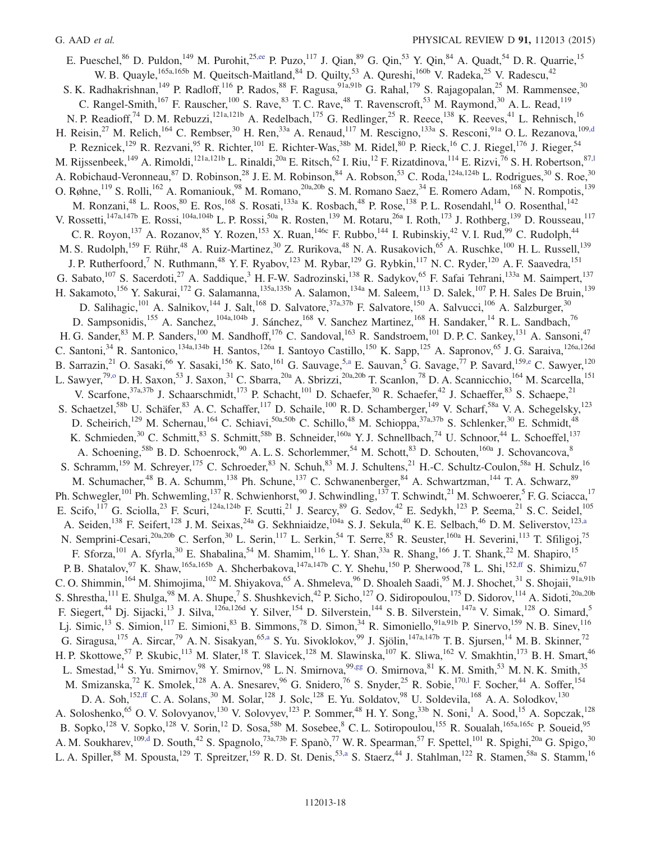<span id="page-18-3"></span><span id="page-18-2"></span><span id="page-18-1"></span><span id="page-18-0"></span>E. Pueschel,  $86$  D. Puldon,  $^{149}$  M. Purohit,  $^{25,ee}$  $^{25,ee}$  $^{25,ee}$  P. Puzo,  $^{117}$  J. Qian,  $^{89}$  G. Qin,  $^{53}$  Y. Qin,  $^{84}$  A. Quadt,  $^{54}$  D. R. Quarrie,  $^{15}$ W. B. Quayle,<sup>165a,165b</sup> M. Queitsch-Maitland,<sup>84</sup> D. Quilty,<sup>53</sup> A. Qureshi,<sup>160b</sup> V. Radeka,<sup>25</sup> V. Radescu,<sup>42</sup> S. K. Radhakrishnan,<sup>149</sup> P. Radloff,<sup>116</sup> P. Rados,<sup>88</sup> F. Ragusa,<sup>91a,91b</sup> G. Rahal,<sup>179</sup> S. Rajagopalan,<sup>25</sup> M. Rammensee,<sup>30</sup> C. Rangel-Smith,<sup>167</sup> F. Rauscher,<sup>100</sup> S. Rave,<sup>83</sup> T. C. Rave,<sup>48</sup> T. Ravenscroft,<sup>53</sup> M. Raymond,<sup>30</sup> A. L. Read,<sup>119</sup> N. P. Readioff,<sup>74</sup> D. M. Rebuzzi,<sup>121a,121b</sup> A. Redelbach,<sup>175</sup> G. Redlinger,<sup>25</sup> R. Reece,<sup>138</sup> K. Reeves,<sup>41</sup> L. Rehnisch,<sup>16</sup> H. Reisin,<sup>27</sup> M. Relich,<sup>164</sup> C. Rembser,<sup>30</sup> H. Ren,<sup>33a</sup> A. Renaud,<sup>117</sup> M. Rescigno,<sup>133a</sup> S. Resconi,<sup>91a</sup> O. L. Rezanova,<sup>10[9,d](#page-23-2)</sup> P. Reznicek,<sup>129</sup> R. Rezvani,<sup>95</sup> R. Richter,<sup>101</sup> E. Richter-Was,<sup>38b</sup> M. Ridel,<sup>80</sup> P. Rieck,<sup>16</sup> C. J. Riegel,<sup>176</sup> J. Rieger,<sup>54</sup> M. Rijssenbeek,<sup>149</sup> A. Rimoldi,<sup>121a,121b</sup> L. Rinaldi,<sup>20a</sup> E. Ritsch,<sup>62</sup> I. Riu,<sup>12</sup> F. Rizatdinova,<sup>114</sup> E. Rizvi,<sup>76</sup> S. H. Robertson,<sup>87,1</sup> A. Robichaud-Veronneau,  $^{87}$  D. Robinson,  $^{28}$  J. E. M. Robinson,  $^{84}$  A. Robson,  $^{53}$  C. Roda,  $^{124a,124b}$  L. Rodrigues,  $^{30}$  S. Roe,  $^{30}$ O. Røhne,<sup>119</sup> S. Rolli,<sup>162</sup> A. Romaniouk,<sup>98</sup> M. Romano,<sup>20a,20b</sup> S. M. Romano Saez,<sup>34</sup> E. Romero Adam,<sup>168</sup> N. Rompotis,<sup>139</sup> M. Ronzani,<sup>48</sup> L. Roos,<sup>80</sup> E. Ros,<sup>168</sup> S. Rosati,<sup>133a</sup> K. Rosbach,<sup>48</sup> P. Rose,<sup>138</sup> P. L. Rosendahl,<sup>14</sup> O. Rosenthal,<sup>142</sup> V. Rossetti,<sup>147a,147b</sup> E. Rossi,<sup>104a,104b</sup> L. P. Rossi,<sup>50a</sup> R. Rosten,<sup>139</sup> M. Rotaru,<sup>26a</sup> I. Roth,<sup>173</sup> J. Rothberg,<sup>139</sup> D. Rousseau,<sup>117</sup> C. R. Royon,<sup>137</sup> A. Rozanov,<sup>85</sup> Y. Rozen,<sup>153</sup> X. Ruan,<sup>146c</sup> F. Rubbo,<sup>144</sup> I. Rubinskiy,<sup>42</sup> V. I. Rud,<sup>99</sup> C. Rudolph,<sup>44</sup> M. S. Rudolph,<sup>159</sup> F. Rühr,<sup>48</sup> A. Ruiz-Martinez,<sup>30</sup> Z. Rurikova,<sup>48</sup> N. A. Rusakovich,<sup>65</sup> A. Ruschke,<sup>100</sup> H. L. Russell,<sup>139</sup> J. P. Rutherfoord,<sup>7</sup> N. Ruthmann,<sup>48</sup> Y. F. Ryabov,<sup>123</sup> M. Rybar,<sup>129</sup> G. Rybkin,<sup>117</sup> N. C. Ryder,<sup>120</sup> A. F. Saavedra,<sup>151</sup> G. Sabato,<sup>107</sup> S. Sacerdoti,<sup>27</sup> A. Saddique,<sup>3</sup> H. F-W. Sadrozinski,<sup>138</sup> R. Sadykov,<sup>65</sup> F. Safai Tehrani,<sup>133a</sup> M. Saimpert,<sup>137</sup> H. Sakamoto,<sup>156</sup> Y. Sakurai,<sup>172</sup> G. Salamanna,<sup>135a,135b</sup> A. Salamon,<sup>134a</sup> M. Saleem,<sup>113</sup> D. Salek,<sup>107</sup> P. H. Sales De Bruin,<sup>139</sup> D. Salihagic,<sup>101</sup> A. Salnikov,<sup>144</sup> J. Salt,<sup>168</sup> D. Salvatore,<sup>37a,37b</sup> F. Salvatore,<sup>150</sup> A. Salvucci,<sup>106</sup> A. Salzburger,<sup>30</sup> D. Sampsonidis,<sup>155</sup> A. Sanchez,<sup>104a,104b</sup> J. Sánchez,<sup>168</sup> V. Sanchez Martinez,<sup>168</sup> H. Sandaker,<sup>14</sup> R. L. Sandbach,<sup>76</sup> H. G. Sander, <sup>83</sup> M. P. Sanders,<sup>100</sup> M. Sandhoff,<sup>176</sup> C. Sandoval,<sup>163</sup> R. Sandstroem,<sup>101</sup> D. P. C. Sankey,<sup>131</sup> A. Sansoni,<sup>47</sup> C. Santoni,<sup>34</sup> R. Santonico,<sup>134a,134b</sup> H. Santos,<sup>126a</sup> I. Santoyo Castillo,<sup>150</sup> K. Sapp,<sup>125</sup> A. Sapronov,<sup>65</sup> J. G. Saraiva,<sup>126a,126d</sup> B. Sarrazin,<sup>21</sup> O. Sasaki,<sup>66</sup> Y. Sasaki,<sup>156</sup> K. Sato,<sup>161</sup> G. Sauvage,<sup>[5,a](#page-23-6)</sup> E. Sauvan,<sup>5</sup> G. Savage,<sup>77</sup> P. Savard,<sup>159[,e](#page-23-3)</sup> C. Sawyer,<sup>120</sup> L. Sawyer,<sup>79[,o](#page-23-14)</sup> D. H. Saxon,<sup>53</sup> J. Saxon,<sup>31</sup> C. Sbarra,<sup>20a</sup> A. Sbrizzi,<sup>20a,20b</sup> T. Scanlon,<sup>78</sup> D. A. Scannicchio,<sup>164</sup> M. Scarcella,<sup>151</sup> V. Scarfone,<sup>37a,37b</sup> J. Schaarschmidt,<sup>173</sup> P. Schacht,<sup>101</sup> D. Schaefer,<sup>30</sup> R. Schaefer,<sup>42</sup> J. Schaeffer,<sup>83</sup> S. Schaepe,<sup>21</sup> S. Schaetzel,<sup>58b</sup> U. Schäfer,<sup>83</sup> A. C. Schaffer,<sup>117</sup> D. Schaile,<sup>100</sup> R. D. Schamberger,<sup>149</sup> V. Scharf,<sup>58a</sup> V. A. Schegelsky,<sup>123</sup> D. Scheirich,<sup>129</sup> M. Schernau,<sup>164</sup> C. Schiavi,<sup>50a,50b</sup> C. Schillo,<sup>48</sup> M. Schioppa,<sup>37a,37b</sup> S. Schlenker,<sup>30</sup> E. Schmidt,<sup>48</sup> K. Schmieden,<sup>30</sup> C. Schmitt,<sup>83</sup> S. Schmitt,<sup>58b</sup> B. Schneider,<sup>160a</sup> Y. J. Schnellbach,<sup>74</sup> U. Schnoor,<sup>44</sup> L. Schoeffel,<sup>137</sup> A. Schoening,<sup>58b</sup> B. D. Schoenrock,<sup>90</sup> A. L. S. Schorlemmer,<sup>54</sup> M. Schott,<sup>83</sup> D. Schouten,<sup>160a</sup> J. Schovancova,<sup>8</sup> S. Schramm,<sup>159</sup> M. Schreyer,<sup>175</sup> C. Schroeder,<sup>83</sup> N. Schuh,<sup>83</sup> M. J. Schultens,<sup>21</sup> H.-C. Schultz-Coulon,<sup>58a</sup> H. Schulz,<sup>16</sup> M. Schumacher,<sup>48</sup> B. A. Schumm,<sup>138</sup> Ph. Schune,<sup>137</sup> C. Schwanenberger,<sup>84</sup> A. Schwartzman,<sup>144</sup> T. A. Schwarz,<sup>89</sup> Ph. Schwegler, <sup>101</sup> Ph. Schwemling, <sup>137</sup> R. Schwienhorst, <sup>90</sup> J. Schwindling, <sup>137</sup> T. Schwindt, <sup>21</sup> M. Schwoerer, <sup>5</sup> F. G. Sciacca, <sup>17</sup> E. Scifo,<sup>117</sup> G. Sciolla,<sup>23</sup> F. Scuri,<sup>124a,124b</sup> F. Scutti,<sup>21</sup> J. Searcy,<sup>89</sup> G. Sedov,<sup>42</sup> E. Sedykh,<sup>123</sup> P. Seema,<sup>21</sup> S. C. Seidel,<sup>105</sup> A. Seiden,<sup>138</sup> F. Seifert,<sup>128</sup> J. M. Seixas,<sup>24a</sup> G. Sekhniaidze,<sup>104a</sup> S. J. Sekula,<sup>40</sup> K. E. Selbach,<sup>46</sup> D. M. Seliverstov,<sup>12[3,a](#page-23-6)</sup> N. Semprini-Cesari,<sup>20a,20b</sup> C. Serfon,<sup>30</sup> L. Serin,<sup>117</sup> L. Serkin,<sup>54</sup> T. Serre,<sup>85</sup> R. Seuster,<sup>160a</sup> H. Severini,<sup>113</sup> T. Sfiligoj,<sup>75</sup> F. Sforza,<sup>101</sup> A. Sfyrla,<sup>30</sup> E. Shabalina,<sup>54</sup> M. Shamim,<sup>116</sup> L. Y. Shan,<sup>33a</sup> R. Shang,<sup>166</sup> J. T. Shank,<sup>22</sup> M. Shapiro,<sup>15</sup> P. B. Shatalov,  $97$  K. Shaw,  $165a,165b$  A. Shcherbakova,  $147a,147b$  C. Y. Shehu,  $150$  P. Sherwood,  $78$  L. Shi,  $152,ff$  $152,ff$  S. Shimizu,  $67$ C. O. Shimmin,<sup>164</sup> M. Shimojima,<sup>102</sup> M. Shiyakova,<sup>65</sup> A. Shmeleva,<sup>96</sup> D. Shoaleh Saadi,<sup>95</sup> M. J. Shochet,<sup>31</sup> S. Shojaii,<sup>91a,91b</sup> S. Shrestha, <sup>111</sup> E. Shulga, <sup>98</sup> M. A. Shupe, <sup>7</sup> S. Shushkevich, <sup>42</sup> P. Sicho, <sup>127</sup> O. Sidiropoulou, <sup>175</sup> D. Sidorov, <sup>114</sup> A. Sidoti, <sup>20a, 20b</sup> F. Siegert,<sup>44</sup> Dj. Sijacki,<sup>13</sup> J. Silva,<sup>126a,126d</sup> Y. Silver,<sup>154</sup> D. Silverstein,<sup>144</sup> S. B. Silverstein,<sup>147a</sup> V. Simak,<sup>128</sup> O. Simard,<sup>5</sup> Lj. Simic,<sup>13</sup> S. Simion,<sup>117</sup> E. Simioni,<sup>83</sup> B. Simmons,<sup>78</sup> D. Simon,<sup>34</sup> R. Simoniello,<sup>91a,91b</sup> P. Sinervo,<sup>159</sup> N. B. Sinev,<sup>116</sup> G. Siragusa,<sup>175</sup> A. Sircar,<sup>79</sup> A. N. Sisakyan,<sup>65[,a](#page-23-6)</sup> S. Yu. Sivoklokov,<sup>99</sup> J. Sjölin,<sup>147a,147b</sup> T. B. Sjursen,<sup>14</sup> M. B. Skinner,<sup>72</sup> H. P. Skottowe,<sup>57</sup> P. Skubic,<sup>113</sup> M. Slater,<sup>18</sup> T. Slavicek,<sup>128</sup> M. Slawinska,<sup>107</sup> K. Sliwa,<sup>162</sup> V. Smakhtin,<sup>173</sup> B. H. Smart,<sup>46</sup> L. Smestad,<sup>14</sup> S. Yu. Smirnov,<sup>98</sup> Y. Smirnov,<sup>98</sup> L. N. Smirnova,<sup>99[,gg](#page-24-9)</sup> O. Smirnova,<sup>81</sup> K. M. Smith,<sup>53</sup> M. N. K. Smith,<sup>35</sup> M. Smizanska,<sup>72</sup> K. Smolek,<sup>128</sup> A. A. Snesarev,<sup>96</sup> G. Snidero,<sup>76</sup> S. Snyder,<sup>25</sup> R. Sobie,<sup>170,1</sup> F. Socher,<sup>44</sup> A. Soffer,<sup>154</sup> D. A. Soh,<sup>15[2,ff](#page-24-8)</sup> C. A. Solans,<sup>30</sup> M. Solar,<sup>128</sup> J. Solc,<sup>128</sup> E. Yu. Soldatov,<sup>98</sup> U. Soldevila,<sup>168</sup> A. A. Solodkov,<sup>130</sup> A. Soloshenko,<sup>65</sup> O. V. Solovyanov,<sup>130</sup> V. Solovyev,<sup>123</sup> P. Sommer,<sup>48</sup> H. Y. Song,<sup>33b</sup> N. Soni,<sup>1</sup> A. Sood,<sup>15</sup> A. Sopczak,<sup>128</sup> B. Sopko,<sup>128</sup> V. Sopko,<sup>128</sup> V. Sorin,<sup>12</sup> D. Sosa,<sup>58b</sup> M. Sosebee,<sup>8</sup> C. L. Sotiropoulou,<sup>155</sup> R. Soualah,<sup>165a,165c</sup> P. Soueid,<sup>95</sup> A. M. Soukharev,<sup>109[,d](#page-23-2)</sup> D. South,<sup>42</sup> S. Spagnolo,<sup>73a,73b</sup> F. Spanò,<sup>77</sup> W. R. Spearman,<sup>57</sup> F. Spettel,<sup>101</sup> R. Spighi,<sup>20a</sup> G. Spigo,<sup>30</sup> L. A. Spiller, <sup>88</sup> M. Spousta,<sup>129</sup> T. Spreitzer, <sup>159</sup> R. D. St. Denis, <sup>5[3,a](#page-23-6)</sup> S. Staerz, <sup>44</sup> J. Stahlman, <sup>122</sup> R. Stamen, <sup>58a</sup> S. Stamm, <sup>16</sup>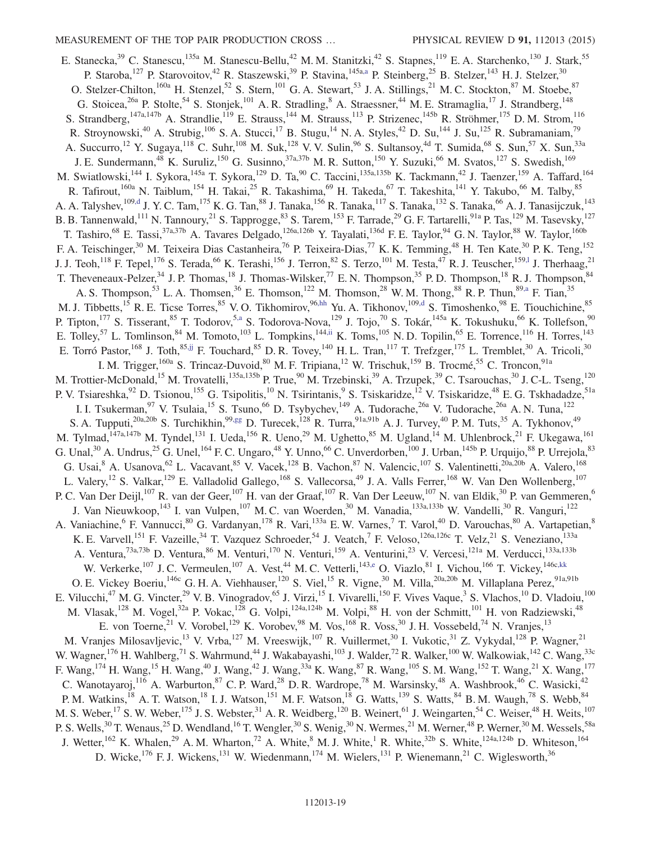<span id="page-19-2"></span><span id="page-19-1"></span><span id="page-19-0"></span>E. Stanecka,<sup>39</sup> C. Stanescu,<sup>135a</sup> M. Stanescu-Bellu,<sup>42</sup> M. M. Stanitzki,<sup>42</sup> S. Stapnes,<sup>119</sup> E. A. Starchenko,<sup>130</sup> J. Stark,<sup>55</sup> P. Staroba,<sup>127</sup> P. Starovoitov,<sup>42</sup> R. Staszewski,<sup>39</sup> P. Stavina,<sup>145[a,a](#page-23-6)</sup> P. Steinberg,<sup>25</sup> B. Stelzer,<sup>143</sup> H. J. Stelzer,<sup>30</sup> O. Stelzer-Chilton,<sup>160a</sup> H. Stenzel,<sup>52</sup> S. Stern,<sup>101</sup> G. A. Stewart,<sup>53</sup> J. A. Stillings,<sup>21</sup> M. C. Stockton,<sup>87</sup> M. Stoebe,<sup>87</sup> G. Stoicea,<sup>26a</sup> P. Stolte,<sup>54</sup> S. Stonjek,<sup>101</sup> A. R. Stradling,<sup>8</sup> A. Straessner,<sup>44</sup> M. E. Stramaglia,<sup>17</sup> J. Strandberg,<sup>148</sup> S. Strandberg,  $^{147a,147b}$  A. Strandlie,  $^{119}$  E. Strauss,  $^{144}$  M. Strauss,  $^{113}$  P. Strizenec,  $^{145b}$  R. Ströhmer,  $^{175}$  D. M. Strom,  $^{116}$ R. Stroynowski,<sup>40</sup> A. Strubig,<sup>106</sup> S. A. Stucci,<sup>17</sup> B. Stugu,<sup>14</sup> N. A. Styles,<sup>42</sup> D. Su,<sup>144</sup> J. Su,<sup>125</sup> R. Subramaniam,<sup>79</sup> A. Succurro,<sup>12</sup> Y. Sugaya,<sup>118</sup> C. Suhr,<sup>108</sup> M. Suk,<sup>128</sup> V. V. Sulin,<sup>96</sup> S. Sultansoy,<sup>4d</sup> T. Sumida,<sup>68</sup> S. Sun,<sup>57</sup> X. Sun,<sup>33a</sup> J. E. Sundermann,<sup>48</sup> K. Suruliz,<sup>150</sup> G. Susinno,<sup>37a,37b</sup> M. R. Sutton,<sup>150</sup> Y. Suzuki,<sup>66</sup> M. Svatos,<sup>127</sup> S. Swedish,<sup>169</sup> M. Swiatlowski,<sup>144</sup> I. Sykora,<sup>145a</sup> T. Sykora,<sup>129</sup> D. Ta,<sup>90</sup> C. Taccini,<sup>135a,135b</sup> K. Tackmann,<sup>42</sup> J. Taenzer,<sup>159</sup> A. Taffard,<sup>164</sup> R. Tafirout,<sup>160a</sup> N. Taiblum,<sup>154</sup> H. Takai,<sup>25</sup> R. Takashima,<sup>69</sup> H. Takeda,<sup>67</sup> T. Takeshita,<sup>141</sup> Y. Takubo,<sup>66</sup> M. Talby,<sup>85</sup> A. A. Talyshev,<sup>109[,d](#page-23-2)</sup> J. Y. C. Tam,<sup>175</sup> K. G. Tan,<sup>88</sup> J. Tanaka,<sup>156</sup> R. Tanaka,<sup>117</sup> S. Tanaka,<sup>132</sup> S. Tanaka,<sup>66</sup> A. J. Tanasijczuk,<sup>143</sup> B. B. Tannenwald,<sup>111</sup> N. Tannoury,<sup>21</sup> S. Tapprogge,<sup>83</sup> S. Tarem,<sup>153</sup> F. Tarrade,<sup>29</sup> G. F. Tartarelli,<sup>91a</sup> P. Tas,<sup>129</sup> M. Tasevsky,<sup>127</sup> T. Tashiro,<sup>68</sup> E. Tassi,<sup>37a,37b</sup> A. Tavares Delgado,<sup>126a,126b</sup> Y. Tayalati,<sup>136d</sup> F. E. Taylor,<sup>94</sup> G. N. Taylor,<sup>88</sup> W. Taylor,<sup>160b</sup> F. A. Teischinger,<sup>30</sup> M. Teixeira Dias Castanheira,<sup>76</sup> P. Teixeira-Dias,<sup>77</sup> K. K. Temming,<sup>48</sup> H. Ten Kate,<sup>30</sup> P. K. Teng,<sup>152</sup> J. J. Teoh,<sup>118</sup> F. Tepel,<sup>176</sup> S. Terada,<sup>66</sup> K. Terashi,<sup>156</sup> J. Terron,<sup>82</sup> S. Terzo,<sup>101</sup> M. Testa,<sup>47</sup> R. J. Teuscher,<sup>159,1</sup> J. Therhaag,<sup>21</sup> T. Theveneaux-Pelzer,<sup>34</sup> J. P. Thomas,<sup>18</sup> J. Thomas-Wilsker,<sup>77</sup> E. N. Thompson,<sup>35</sup> P. D. Thompson,<sup>18</sup> R. J. Thompson,<sup>8</sup> A. S. Thompson,<sup>53</sup> L. A. Thomsen,<sup>36</sup> E. Thomson,<sup>122</sup> M. Thomson,<sup>28</sup> W. M. Thong,<sup>88</sup> R. P. Thun,<sup>8[9,a](#page-23-6)</sup> F. Tian,<sup>35</sup> M. J. Tibbetts,<sup>15</sup> R. E. Ticse Torres,<sup>85</sup> V. O. Tikhomirov,<sup>96[,hh](#page-24-10)</sup> Yu. A. Tikhonov,<sup>10[9,d](#page-23-2)</sup> S. Timoshenko,<sup>98</sup> E. Tiouchichine,<sup>85</sup> P. Tipton,<sup>177</sup> S. Tisserant,<sup>85</sup> T. Todorov,<sup>5[,a](#page-23-6)</sup> S. Todorova-Nova,<sup>129</sup> J. Tojo,<sup>70</sup> S. Tokár,<sup>145a</sup> K. Tokushuku,<sup>66</sup> K. Tollefson,<sup>90</sup> E. Tolley,<sup>57</sup> L. Tomlinson,<sup>84</sup> M. Tomoto,<sup>103</sup> L. Tompkins,<sup>14[4,ii](#page-24-11)</sup> K. Toms,<sup>105</sup> N. D. Topilin,<sup>65</sup> E. Torrence,<sup>116</sup> H. Torres,<sup>143</sup> E. Torró Pastor,<sup>168</sup> J. Toth,<sup>8[5,jj](#page-24-12)</sup> F. Touchard,<sup>85</sup> D. R. Tovey,<sup>140</sup> H. L. Tran,<sup>117</sup> T. Trefzger,<sup>175</sup> L. Tremblet,<sup>30</sup> A. Tricoli,<sup>30</sup> I. M. Trigger,<sup>160a</sup> S. Trincaz-Duvoid,<sup>80</sup> M. F. Tripiana,<sup>12</sup> W. Trischuk,<sup>159</sup> B. Trocmé,<sup>55</sup> C. Troncon,<sup>91a</sup> M. Trottier-McDonald,<sup>15</sup> M. Trovatelli,<sup>135a,135b</sup> P. True,<sup>90</sup> M. Trzebinski,<sup>39</sup> A. Trzupek,<sup>39</sup> C. Tsarouchas,<sup>30</sup> J. C-L. Tseng,<sup>120</sup> P. V. Tsiareshka,<sup>92</sup> D. Tsionou,<sup>155</sup> G. Tsipolitis,<sup>10</sup> N. Tsirintanis,<sup>9</sup> S. Tsiskaridze,<sup>12</sup> V. Tsiskaridze,<sup>48</sup> E. G. Tskhadadze,<sup>51a</sup> I. I. Tsukerman,<sup>97</sup> V. Tsulaia,<sup>15</sup> S. Tsuno,<sup>66</sup> D. Tsybychev,<sup>149</sup> A. Tudorache,<sup>26a</sup> V. Tudorache,<sup>26a</sup> A. N. Tuna,<sup>122</sup> S. A. Tupputi,<sup>20a,20b</sup> S. Turchikhin,<sup>99[,gg](#page-24-9)</sup> D. Turecek,<sup>128</sup> R. Turra,<sup>91a,91b</sup> A. J. Turvey,<sup>40</sup> P. M. Tuts,<sup>35</sup> A. Tykhonov,<sup>49</sup> M. Tylmad,<sup>147a,147b</sup> M. Tyndel,<sup>131</sup> I. Ueda,<sup>156</sup> R. Ueno,<sup>29</sup> M. Ughetto,<sup>85</sup> M. Ugland,<sup>14</sup> M. Uhlenbrock,<sup>21</sup> F. Ukegawa,<sup>161</sup> G. Unal,<sup>30</sup> A. Undrus,<sup>25</sup> G. Unel,<sup>164</sup> F. C. Ungaro,<sup>48</sup> Y. Unno,<sup>66</sup> C. Unverdorben,<sup>100</sup> J. Urban,<sup>145b</sup> P. Urquijo,<sup>88</sup> P. Urrejola,<sup>83</sup> G. Usai, <sup>8</sup> A. Usanova, <sup>62</sup> L. Vacavant, <sup>85</sup> V. Vacek, <sup>128</sup> B. Vachon, <sup>87</sup> N. Valencic, <sup>107</sup> S. Valentinetti, <sup>20a, 20b</sup> A. Valero, <sup>168</sup> L. Valery,<sup>12</sup> S. Valkar,<sup>129</sup> E. Valladolid Gallego,<sup>168</sup> S. Vallecorsa,<sup>49</sup> J. A. Valls Ferrer,<sup>168</sup> W. Van Den Wollenberg,<sup>107</sup> P. C. Van Der Deijl,<sup>107</sup> R. van der Geer,<sup>107</sup> H. van der Graaf,<sup>107</sup> R. Van Der Leeuw,<sup>107</sup> N. van Eldik,<sup>30</sup> P. van Gemmeren,<sup>6</sup> J. Van Nieuwkoop,<sup>143</sup> I. van Vulpen,<sup>107</sup> M. C. van Woerden,<sup>30</sup> M. Vanadia,<sup>133a,133b</sup> W. Vandelli,<sup>30</sup> R. Vanguri,<sup>122</sup> A. Vaniachine, <sup>6</sup> F. Vannucci, <sup>80</sup> G. Vardanyan, <sup>178</sup> R. Vari, <sup>133a</sup> E. W. Varnes, <sup>7</sup> T. Varol, <sup>40</sup> D. Varouchas, <sup>80</sup> A. Vartapetian, <sup>8</sup> K. E. Varvell, <sup>151</sup> F. Vazeille, <sup>34</sup> T. Vazquez Schroeder, <sup>54</sup> J. Veatch, <sup>7</sup> F. Veloso,  $126a, 126c$  T. Velz,  $21$  S. Veneziano,  $133a$ A. Ventura,<sup>73a,73b</sup> D. Ventura,<sup>86</sup> M. Venturi,<sup>170</sup> N. Venturi,<sup>159</sup> A. Venturini,<sup>23</sup> V. Vercesi,<sup>121a</sup> M. Verducci,<sup>133a,133b</sup> W. Verkerke,<sup>107</sup> J. C. Vermeulen,<sup>107</sup> A. Vest,<sup>44</sup> M. C. Vetterli,<sup>14[3,e](#page-23-3)</sup> O. Viazlo,<sup>81</sup> I. Vichou,<sup>166</sup> T. Vickey,<sup>146c[,kk](#page-24-13)</sup> O. E. Vickey Boeriu,<sup>146c</sup> G. H. A. Viehhauser,<sup>120</sup> S. Viel,<sup>15</sup> R. Vigne,<sup>30</sup> M. Villa,<sup>20a,20b</sup> M. Villaplana Perez,<sup>91a,91b</sup> E. Vilucchi,<sup>47</sup> M. G. Vincter,<sup>29</sup> V. B. Vinogradov,<sup>65</sup> J. Virzi,<sup>15</sup> I. Vivarelli,<sup>150</sup> F. Vives Vaque,<sup>3</sup> S. Vlachos,<sup>10</sup> D. Vladoiu,<sup>100</sup> M. Vlasak,<sup>128</sup> M. Vogel,<sup>32a</sup> P. Vokac,<sup>128</sup> G. Volpi,<sup>124a,124b</sup> M. Volpi,<sup>88</sup> H. von der Schmitt,<sup>101</sup> H. von Radziewski,<sup>48</sup> E. von Toerne,<sup>21</sup> V. Vorobel,<sup>129</sup> K. Vorobev,<sup>98</sup> M. Vos,<sup>168</sup> R. Voss,<sup>30</sup> J. H. Vossebeld,<sup>74</sup> N. Vranjes,<sup>13</sup> M. Vranjes Milosavljevic,<sup>13</sup> V. Vrba,<sup>127</sup> M. Vreeswijk,<sup>107</sup> R. Vuillermet,<sup>30</sup> I. Vukotic,<sup>31</sup> Z. Vykydal,<sup>128</sup> P. Wagner,<sup>21</sup> W. Wagner,<sup>176</sup> H. Wahlberg,<sup>71</sup> S. Wahrmund,<sup>44</sup> J. Wakabayashi,<sup>103</sup> J. Walder,<sup>72</sup> R. Walker,<sup>100</sup> W. Walkowiak,<sup>142</sup> C. Wang,<sup>33c</sup> F. Wang,<sup>174</sup> H. Wang,<sup>15</sup> H. Wang,<sup>40</sup> J. Wang,<sup>42</sup> J. Wang,<sup>33a</sup> K. Wang,<sup>87</sup> R. Wang,<sup>105</sup> S. M. Wang,<sup>152</sup> T. Wang,<sup>21</sup> X. Wang,<sup>177</sup> C. Wanotayaroj,  $^{116}$  A. Warburton,  $^{87}$  C. P. Ward,  $^{28}$  D. R. Wardrope,  $^{78}$  M. Warsinsky,  $^{48}$  A. Washbrook,  $^{46}$  C. Wasicki,  $^{42}$ P. M. Watkins,<sup>18</sup> A. T. Watson,<sup>18</sup> I. J. Watson,<sup>151</sup> M. F. Watson,<sup>18</sup> G. Watts,<sup>139</sup> S. Watts,<sup>84</sup> B. M. Waugh,<sup>78</sup> S. Webb,<sup>84</sup> M. S. Weber,<sup>17</sup> S. W. Weber,<sup>175</sup> J. S. Webster,<sup>31</sup> A. R. Weidberg,<sup>120</sup> B. Weinert,<sup>61</sup> J. Weingarten,<sup>54</sup> C. Weiser,<sup>48</sup> H. Weits,<sup>107</sup> P. S. Wells,<sup>30</sup> T. Wenaus,<sup>25</sup> D. Wendland,<sup>16</sup> T. Wengler,<sup>30</sup> S. Wenig,<sup>30</sup> N. Wermes,<sup>21</sup> M. Werner,<sup>48</sup> P. Werner,<sup>30</sup> M. Wessels,<sup>58a</sup> J. Wetter,<sup>162</sup> K. Whalen,<sup>29</sup> A. M. Wharton,<sup>72</sup> A. White,<sup>8</sup> M. J. White,<sup>1</sup> R. White,<sup>32b</sup> S. White,<sup>124a,124b</sup> D. Whiteson,<sup>164</sup> D. Wicke,<sup>176</sup> F. J. Wickens,<sup>131</sup> W. Wiedenmann,<sup>174</sup> M. Wielers,<sup>131</sup> P. Wienemann,<sup>21</sup> C. Wiglesworth,<sup>36</sup>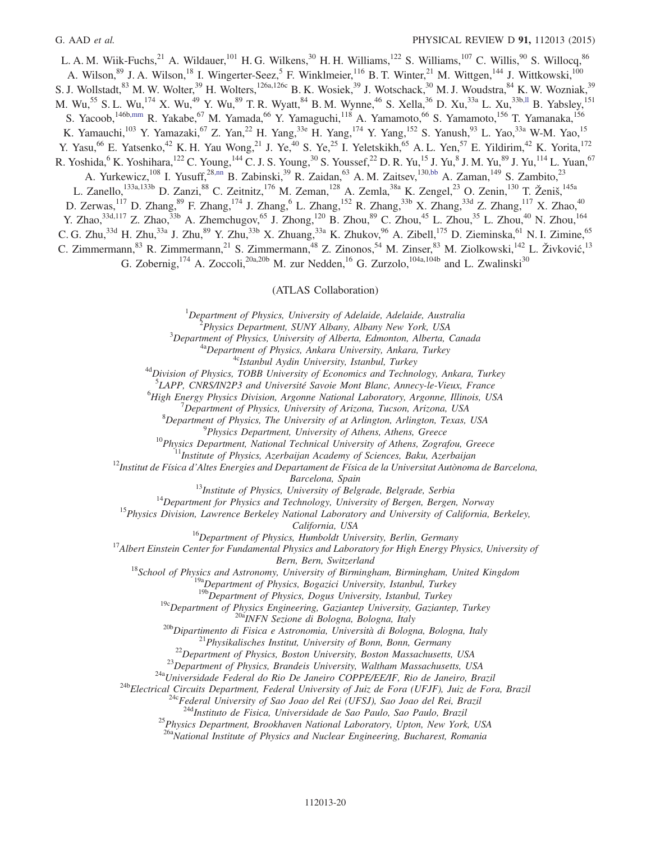L. A. M. Wiik-Fuchs,<sup>21</sup> A. Wildauer,<sup>101</sup> H. G. Wilkens,<sup>30</sup> H. H. Williams,<sup>122</sup> S. Williams,<sup>107</sup> C. Willis,<sup>90</sup> S. Willocq,<sup>86</sup> A. Wilson, <sup>89</sup> J. A. Wilson, <sup>18</sup> I. Wingerter-Seez, <sup>5</sup> F. Winklmeier, <sup>116</sup> B. T. Winter, <sup>21</sup> M. Wittgen, <sup>144</sup> J. Wittkowski, <sup>100</sup> S. J. Wollstadt,<sup>83</sup> M. W. Wolter,<sup>39</sup> H. Wolters,<sup>126a,126c</sup> B. K. Wosiek,<sup>39</sup> J. Wotschack,<sup>30</sup> M. J. Woudstra,<sup>84</sup> K. W. Wozniak,<sup>39</sup> M. Wu,<sup>55</sup> S. L. Wu,<sup>174</sup> X. Wu,<sup>49</sup> Y. Wu,<sup>89</sup> T. R. Wyatt,<sup>84</sup> B. M. Wynne,<sup>46</sup> S. Xella,<sup>36</sup> D. Xu,<sup>33a</sup> L. Xu,<sup>33[b,ll](#page-24-14)</sup> B. Yabsley,<sup>151</sup> S. Yacoob,<sup>146[b,mm](#page-24-15)</sup> R. Yakabe,<sup>67</sup> M. Yamada,<sup>66</sup> Y. Yamaguchi,<sup>118</sup> A. Yamamoto,<sup>66</sup> S. Yamamoto,<sup>156</sup> T. Yamanaka,<sup>156</sup> K. Yamauchi,<sup>103</sup> Y. Yamazaki,<sup>67</sup> Z. Yan,<sup>22</sup> H. Yang,<sup>33e</sup> H. Yang,<sup>174</sup> Y. Yang,<sup>152</sup> S. Yanush,<sup>93</sup> L. Yao,<sup>33a</sup> W-M. Yao,<sup>15</sup> Y. Yasu,<sup>66</sup> E. Yatsenko,<sup>42</sup> K. H. Yau Wong,<sup>21</sup> J. Ye,<sup>40</sup> S. Ye,<sup>25</sup> I. Yeletskikh,<sup>65</sup> A. L. Yen,<sup>57</sup> E. Yildirim,<sup>42</sup> K. Yorita,<sup>172</sup> R. Yoshida,  $6$  K. Yoshihara,  $^{122}$  C. Young,  $^{144}$  C. J. S. Young,  $^{30}$  S. Youssef,  $^{22}$  D. R. Yu,  $^{15}$  J. Yu,  $^{8}$  J. M. Yu,  $^{89}$  J. Yu,  $^{114}$  L. Yuan,  $^{67}$ A. Yurkewicz,<sup>108</sup> I. Yusuff,<sup>28[,nn](#page-24-16)</sup> B. Zabinski,<sup>39</sup> R. Zaidan,<sup>63</sup> A. M. Zaitsev,<sup>13[0,bb](#page-24-4)</sup> A. Zaman,<sup>149</sup> S. Zambito,<sup>23</sup> L. Zanello,<sup>133a,133b</sup> D. Zanzi,<sup>88</sup> C. Zeitnitz,<sup>176</sup> M. Zeman,<sup>128</sup> A. Zemla,<sup>38a</sup> K. Zengel,<sup>23</sup> O. Zenin,<sup>130</sup> T. Ženiš,<sup>145a</sup> D. Zerwas,<sup>117</sup> D. Zhang,<sup>89</sup> F. Zhang,<sup>174</sup> J. Zhang,<sup>6</sup> L. Zhang,<sup>152</sup> R. Zhang,<sup>33b</sup> X. Zhang,<sup>33d</sup> Z. Zhang,<sup>117</sup> X. Zhao,<sup>40</sup> Y. Zhao,<sup>33d,117</sup> Z. Zhao,<sup>33b</sup> A. Zhemchugov,<sup>65</sup> J. Zhong,<sup>120</sup> B. Zhou,<sup>89</sup> C. Zhou,<sup>45</sup> L. Zhou,<sup>35</sup> L. Zhou,<sup>40</sup> N. Zhou,<sup>164</sup> C. G. Zhu,<sup>33d</sup> H. Zhu,<sup>33a</sup> J. Zhu,<sup>89</sup> Y. Zhu,<sup>33b</sup> X. Zhuang,<sup>33a</sup> K. Zhukov,<sup>96</sup> A. Zibell,<sup>175</sup> D. Zieminska,<sup>61</sup> N. I. Zimine,<sup>65</sup> C. Zimmermann,<sup>83</sup> R. Zimmermann,<sup>21</sup> S. Zimmermann,<sup>48</sup> Z. Zinonos,<sup>54</sup> M. Zinser,<sup>83</sup> M. Ziolkowski,<sup>142</sup> L. Živković, 13 G. Zobernig,<sup>174</sup> A. Zoccoli,<sup>20a,20b</sup> M. zur Nedden,<sup>16</sup> G. Zurzolo,<sup>104a,104b</sup> and L. Zwalinski<sup>30</sup>

### (ATLAS Collaboration)

 $1$ Department of Physics, University of Adelaide, Adelaide, Australia

2 Physics Department, SUNY Albany, Albany New York, USA

 $3$ Department of Physics, University of Alberta, Edmonton, Alberta, Canada

<sup>4a</sup>Department of Physics, Ankara University, Ankara, Turkey

<sup>4c</sup>Istanbul Aydin University, Istanbul, Turkey

 $^{4d}$ Division of Physics, TOBB University of Economics and Technology, Ankara, Turkey

<sup>5</sup>LAPP, CNRS/IN2P3 and Université Savoie Mont Blanc, Annecy-le-Vieux, France

 $^{6}$ High Energy Physics Division, Argonne National Laboratory, Argonne, Illinois, USA

 $7$ Department of Physics, University of Arizona, Tucson, Arizona, USA

 ${}^{8}$ Department of Physics, The University of at Arlington, Arlington, Texas, USA

<sup>9</sup>Physics Department, University of Athens, Athens, Greece

 $10P$ hysics Department, National Technical University of Athens, Zografou, Greece

<sup>11</sup>Institute of Physics, Azerbaijan Academy of Sciences, Baku, Azerbaijan

 $^{12}$ Institut de Física d'Altes Energies and Departament de Física de la Universitat Autònoma de Barcelona, Barcelona, Spain

<sup>13</sup>Institute of Physics, University of Belgrade, Belgrade, Serbia

 $14$ Department for Physics and Technology, University of Bergen, Bergen, Norway

<sup>15</sup>Physics Division, Lawrence Berkeley National Laboratory and University of California, Berkeley,

California, USA

<sup>16</sup>Department of Physics, Humboldt University, Berlin, Germany

 $^{17}$ Albert Einstein Center for Fundamental Physics and Laboratory for High Energy Physics, University of

Bern, Bern, Switzerland

 $18$ School of Physics and Astronomy, University of Birmingham, Birmingham, United Kingdom

 $19a$ Department of Physics, Bogazici University, Istanbul, Turkey

 $19b$ Department of Physics, Dogus University, Istanbul, Turkey

<sup>19c</sup>Department of Physics Engineering, Gaziantep University, Gaziantep, Turkey

<sup>20a</sup>INFN Sezione di Bologna, Bologna, Italy

<sup>20b</sup>Dipartimento di Fisica e Astronomia, Università di Bologna, Bologna, Italy

 $2^{1}$ Physikalisches Institut, University of Bonn, Bonn, Germany

 $^{22}$ Department of Physics, Boston University, Boston Massachusetts, USA

 $^{23}$ Department of Physics, Brandeis University, Waltham Massachusetts, USA

<sup>24a</sup>Universidade Federal do Rio De Janeiro COPPE/EE/IF, Rio de Janeiro, Brazil

<sup>24b</sup>Electrical Circuits Department, Federal University of Juiz de Fora (UFJF), Juiz de Fora, Brazil

<sup>24c</sup>Federal University of Sao Joao del Rei (UFSJ), Sao Joao del Rei, Brazil

<sup>24d</sup>Instituto de Fisica, Universidade de Sao Paulo, Sao Paulo, Brazil

<sup>25</sup>Physics Department, Brookhaven National Laboratory, Upton, New York, USA

 $26a$ National Institute of Physics and Nuclear Engineering, Bucharest, Romania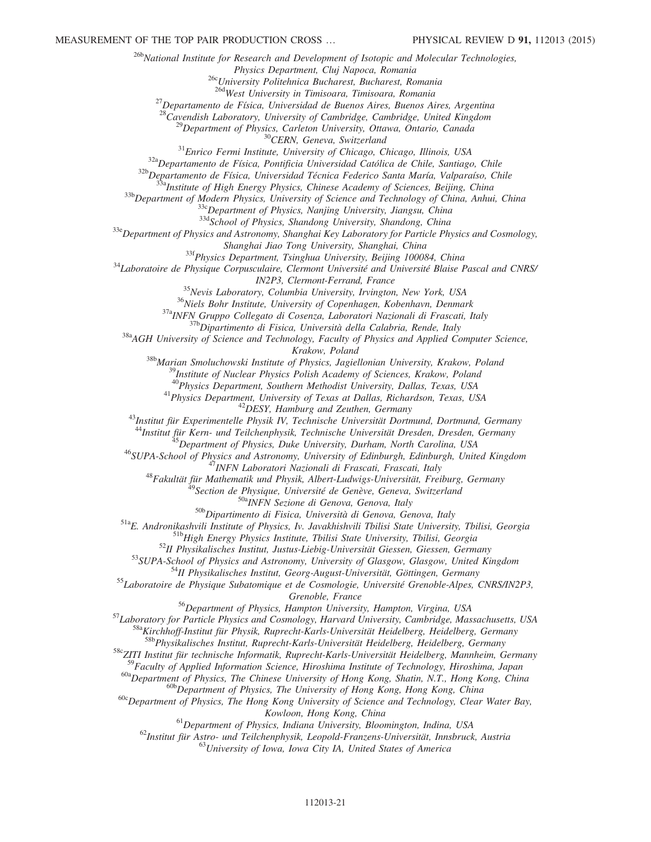<sup>26b</sup>National Institute for Research and Development of Isotopic and Molecular Technologies, Physics Department, Cluj Napoca, Romania <sup>26c</sup>University Politehnica Bucharest, Bucharest, Romania 26dWest University in Timisoara, Timisoara, Romania  $^{27}$ Departamento de Física, Universidad de Buenos Aires, Buenos Aires, Argentina  $28$ Cavendish Laboratory, University of Cambridge, Cambridge, United Kingdom  $^{29}$ Department of Physics, Carleton University, Ottawa, Ontario, Canada <sup>30</sup>CERN, Geneva, Switzerland <sup>31</sup>Enrico Fermi Institute, University of Chicago, Chicago, Illinois, USA 32aDepartamento de Física, Pontificia Universidad Católica de Chile, Santiago, Chile <sup>32b</sup>Departamento de Física, Universidad Técnica Federico Santa María, Valparaíso, Chile <sup>33a</sup>Institute of High Energy Physics, Chinese Academy of Sciences, Beijing, China 33b Department of Modern Physics, University of Science and Technology of China, Anhui, China  $33c$ Department of Physics, Nanjing University, Jiangsu, China 33dSchool of Physics, Shandong University, Shandong, China  $33e$  Department of Physics and Astronomy, Shanghai Key Laboratory for Particle Physics and Cosmology, Shanghai Jiao Tong University, Shanghai, China <sup>33f</sup>Physics Department, Tsinghua University, Beijing 100084, China <sup>34</sup>Laboratoire de Physique Corpusculaire, Clermont Université and Université Blaise Pascal and CNRS/ IN2P3, Clermont-Ferrand, France <sup>35</sup>Nevis Laboratory, Columbia University, Irvington, New York, USA <sup>36</sup>Niels Bohr Institute, University of Copenhagen, Kobenhavn, Denmark 37a<sub>INFN</sub> Gruppo Collegato di Cosenza, Laboratori Nazionali di Frascati, Italy  $37b$ Dipartimento di Fisica, Università della Calabria, Rende, Italy  $38a$ AGH University of Science and Technology, Faculty of Physics and Applied Computer Science, Krakow, Poland <sup>38b</sup>Marian Smoluchowski Institute of Physics, Jagiellonian University, Krakow, Poland  $^{9}$ Institute of Nuclear Physics Polish Academy of Sciences, Krakow, Poland <sup>40</sup>Physics Department, Southern Methodist University, Dallas, Texas, USA <sup>41</sup>Physics Department, University of Texas at Dallas, Richardson, Texas, USA  $^{42}$ DESY, Hamburg and Zeuthen, Germany <sup>43</sup>Institut für Experimentelle Physik IV, Technische Universität Dortmund, Dortmund, Germany <sup>44</sup>Institut für Kern- und Teilchenphysik, Technische Universität Dresden, Dresden, Germany 45 Department of Physics, Duke University, Durham, North Carolina, USA <sup>46</sup>SUPA-School of Physics and Astronomy, University of Edinburgh, Edinburgh, United Kingdom <sup>47</sup>INFN Laboratori Nazionali di Frascati, Frascati, Italy  $^{48}$ Fakultät für Mathematik und Physik, Albert-Ludwigs-Universität, Freiburg, Germany  $^{9}$ Section de Physique, Université de Genève, Geneva, Switzerland 50aINFN Sezione di Genova, Genova, Italy 50b Dipartimento di Fisica, Università di Genova, Genova, Italy 51aE. Andronikashvili Institute of Physics, Iv. Javakhishvili Tbilisi State University, Tbilisi, Georgia 51bHigh Energy Physics Institute, Tbilisi State University, Tbilisi, Georgia <sup>52</sup>II Physikalisches Institut, Justus-Liebig-Universität Giessen, Giessen, Germany 53SUPA-School of Physics and Astronomy, University of Glasgow, Glasgow, United Kingdom <sup>54</sup>II Physikalisches Institut, Georg-August-Universität, Göttingen, Germany <sup>55</sup>Laboratoire de Physique Subatomique et de Cosmologie, Université Grenoble-Alpes, CNRS/IN2P3, Grenoble, France <sup>56</sup>Department of Physics, Hampton University, Hampton, Virgina, USA 57 Laboratory for Particle Physics and Cosmology, Harvard University, Cambridge, Massachusetts, USA <sup>58a</sup>Kirchhoff-Institut für Physik, Ruprecht-Karls-Universität Heidelberg, Heidelberg, Germany <sup>58b</sup>Physikalisches Institut, Ruprecht-Karls-Universität Heidelberg, Heidelberg, Germany 58cZITI Institut für technische Informatik, Ruprecht-Karls-Universität Heidelberg, Mannheim, Germany <sup>59</sup>Faculty of Applied Information Science, Hiroshima Institute of Technology, Hiroshima, Japan <sup>60a</sup>Department of Physics, The Chinese University of Hong Kong, Shatin, N.T., Hong Kong, China <sup>60b</sup>Department of Physics, The University of Hong Kong, Hong Kong, China  $60c$  Department of Physics, The Hong Kong University of Science and Technology, Clear Water Bay, Kowloon, Hong Kong, China  $61$ Department of Physics, Indiana University, Bloomington, Indina, USA

 $^{62}$ Institut für Astro- und Teilchenphysik, Leopold-Franzens-Universität, Innsbruck, Austria

 $^{63}$ University of Iowa, Iowa City IA, United States of America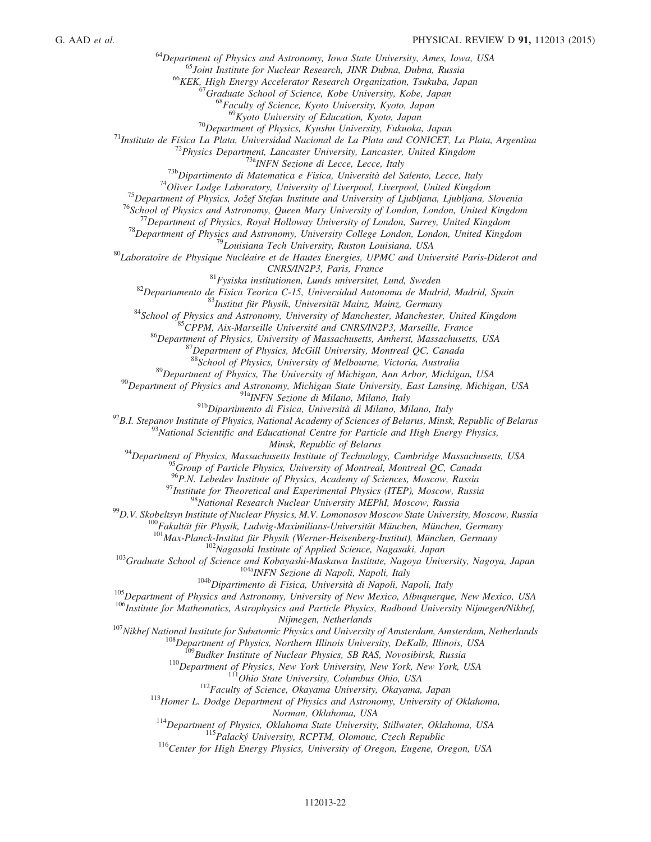$64$ Department of Physics and Astronomy, Iowa State University, Ames, Iowa, USA

<sup>65</sup>Joint Institute for Nuclear Research, JINR Dubna, Dubna, Russia

<sup>66</sup>KEK, High Energy Accelerator Research Organization, Tsukuba, Japan

 $^{67}$ Graduate School of Science, Kobe University, Kobe, Japan

<sup>68</sup>Faculty of Science, Kyoto University, Kyoto, Japan

<sup>69</sup>Kyoto University of Education, Kyoto, Japan

 $^{70}$ Department of Physics, Kyushu University, Fukuoka, Japan

 $71$ Instituto de Física La Plata, Universidad Nacional de La Plata and CONICET, La Plata, Argentina

 $72$ Physics Department, Lancaster University, Lancaster, United Kingdom

<sup>73a</sup>INFN Sezione di Lecce, Lecce, Italy

 $^{73b}$ Dipartimento di Matematica e Fisica, Università del Salento, Lecce, Italy

 $74$ Oliver Lodge Laboratory, University of Liverpool, Liverpool, United Kingdom

<sup>75</sup>Department of Physics, Jožef Stefan Institute and University of Ljubljana, Ljubljana, Slovenia

<sup>76</sup>School of Physics and Astronomy, Queen Mary University of London, London, United Kingdom

<sup>77</sup>Department of Physics, Royal Holloway University of London, Surrey, United Kingdom

<sup>78</sup>Department of Physics and Astronomy, University College London, London, United Kingdom

<sup>79</sup>Louisiana Tech University, Ruston Louisiana, USA

<sup>80</sup>Laboratoire de Physique Nucléaire et de Hautes Energies, UPMC and Université Paris-Diderot and CNRS/IN2P3, Paris, France

 $81$ Fysiska institutionen, Lunds universitet, Lund, Sweden

<sup>82</sup>Departamento de Fisica Teorica C-15, Universidad Autonoma de Madrid, Madrid, Spain

<sup>83</sup>Institut für Physik, Universität Mainz, Mainz, Germany

84 School of Physics and Astronomy, University of Manchester, Manchester, United Kingdom

<sup>85</sup>CPPM, Aix-Marseille Université and CNRS/IN2P3, Marseille, France

<sup>86</sup>Department of Physics, University of Massachusetts, Amherst, Massachusetts, USA

 $87$ Department of Physics, McGill University, Montreal QC, Canada

88School of Physics, University of Melbourne, Victoria, Australia

<sup>89</sup>Department of Physics, The University of Michigan, Ann Arbor, Michigan, USA

 $90$ Department of Physics and Astronomy, Michigan State University, East Lansing, Michigan, USA

91a<sub>INFN</sub> Sezione di Milano, Milano, Italy

91bDipartimento di Fisica, Università di Milano, Milano, Italy

 $^{92}$ B.I. Stepanov Institute of Physics, National Academy of Sciences of Belarus, Minsk, Republic of Belarus

 $^{93}$ National Scientific and Educational Centre for Particle and High Energy Physics,

Minsk, Republic of Belarus

 $94$ Department of Physics, Massachusetts Institute of Technology, Cambridge Massachusetts, USA

 $^{95}$ Group of Particle Physics, University of Montreal, Montreal QC, Canada

<sup>96</sup>P.N. Lebedev Institute of Physics, Academy of Sciences, Moscow, Russia

 $97$ Institute for Theoretical and Experimental Physics (ITEP), Moscow, Russia

<sup>98</sup>National Research Nuclear University MEPhI, Moscow, Russia

 $^{99}$ D.V. Skobeltsyn Institute of Nuclear Physics, M.V. Lomonosov Moscow State University, Moscow, Russia

 $100F$ akultät für Physik, Ludwig-Maximilians-Universität München, München, Germany

 $101$ Max-Planck-Institut für Physik (Werner-Heisenberg-Institut), München, Germany

<sup>102</sup>Nagasaki Institute of Applied Science, Nagasaki, Japan

<sup>103</sup>Graduate School of Science and Kobayashi-Maskawa Institute, Nagoya University, Nagoya, Japan <sup>104a</sup>INFN Sezione di Napoli, Napoli, Italy

<sup>104b</sup>Dipartimento di Fisica, Università di Napoli, Napoli, Italy

<sup>105</sup>Department of Physics and Astronomy, University of New Mexico, Albuquerque, New Mexico, USA

<sup>106</sup>Institute for Mathematics, Astrophysics and Particle Physics, Radboud University Nijmegen/Nikhef,

Nijmegen, Netherlands

<sup>107</sup>Nikhef National Institute for Subatomic Physics and University of Amsterdam, Amsterdam, Netherlands

<sup>108</sup>Department of Physics, Northern Illinois University, DeKalb, Illinois, USA

 $^{99}$ Budker Institute of Nuclear Physics, SB RAS, Novosibirsk, Russia

 $110$ Department of Physics, New York University, New York, New York, USA

<sup>111</sup>Ohio State University, Columbus Ohio, USA

<sup>112</sup>Faculty of Science, Okayama University, Okayama, Japan

<sup>113</sup>Homer L. Dodge Department of Physics and Astronomy, University of Oklahoma,

Norman, Oklahoma, USA

<sup>114</sup>Department of Physics, Oklahoma State University, Stillwater, Oklahoma, USA

<sup>115</sup>Palacký University, RCPTM, Olomouc, Czech Republic

<sup>116</sup>Center for High Energy Physics, University of Oregon, Eugene, Oregon, USA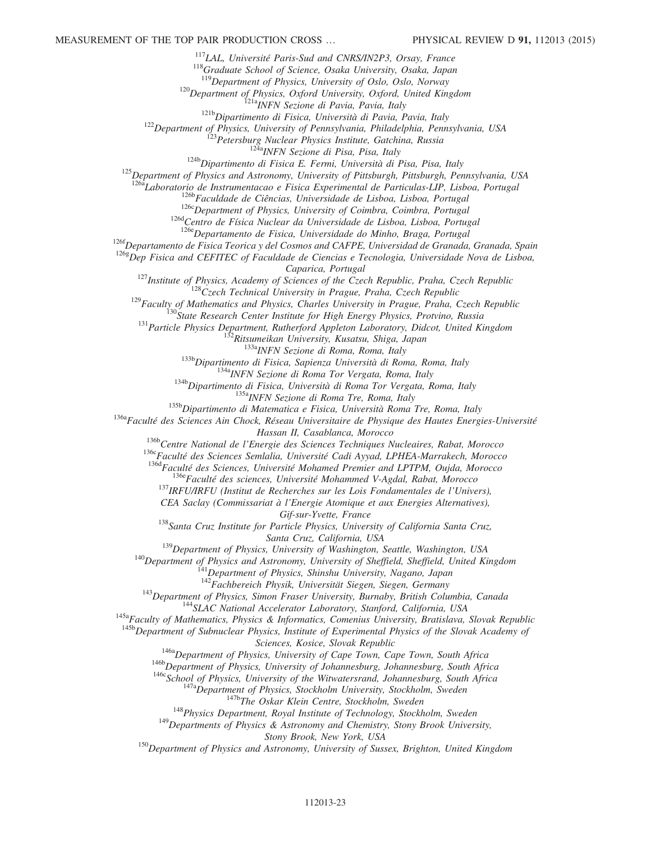<sup>117</sup>LAL, Université Paris-Sud and CNRS/IN2P3, Orsay, France

 $118$ Graduate School of Science, Osaka University, Osaka, Japan

 $119$ Department of Physics, University of Oslo, Oslo, Norway

 $120$ Department of Physics, Oxford University, Oxford, United Kingdom

<sup>121a</sup>INFN Sezione di Pavia, Pavia, Italy

<sup>121b</sup>Dipartimento di Fisica, Università di Pavia, Pavia, Italy

<sup>122</sup>Department of Physics, University of Pennsylvania, Philadelphia, Pennsylvania, USA

<sup>123</sup>Petersburg Nuclear Physics Institute, Gatchina, Russia

<sup>124a</sup>INFN Sezione di Pisa, Pisa, Italy

 $124b$ Dipartimento di Fisica E. Fermi, Università di Pisa, Pisa, Italy

<sup>125</sup>Department of Physics and Astronomy, University of Pittsburgh, Pittsburgh, Pennsylvania, USA

<sup>126a</sup>Laboratorio de Instrumentacao e Fisica Experimental de Particulas-LIP, Lisboa, Portugal

<sup>126b</sup>Faculdade de Ciências, Universidade de Lisboa, Lisboa, Portugal

<sup>126c</sup>Department of Physics, University of Coimbra, Coimbra, Portugal

<sup>126d</sup>Centro de Física Nuclear da Universidade de Lisboa, Lisboa, Portugal

<sup>126e</sup>Departamento de Fisica, Universidade do Minho, Braga, Portugal

<sup>126f</sup>Departamento de Fisica Teorica y del Cosmos and CAFPE, Universidad de Granada, Granada, Spain

 $126g$  $\dot{D}ep$  Fisica and CEFITEC of Faculdade de Ciencias e Tecnologia, Universidade Nova de Lisboa,

Caparica, Portugal

 $127$ Institute of Physics, Academy of Sciences of the Czech Republic, Praha, Czech Republic

 $128C$ zech Technical University in Prague, Praha, Czech Republic

 $129$ Faculty of Mathematics and Physics, Charles University in Prague, Praha, Czech Republic

 $130$ State Research Center Institute for High Energy Physics, Protvino, Russia

<sup>131</sup> Particle Physics Department, Rutherford Appleton Laboratory, Didcot, United Kingdom

 $2R$ itsumeikan University, Kusatsu, Shiga, Japan

133a<sub>INFN</sub> Sezione di Roma, Roma, Italy

<sup>133b</sup>Dipartimento di Fisica, Sapienza Università di Roma, Roma, Italy

<sup>134a</sup>INFN Sezione di Roma Tor Vergata, Roma, Italy

<sup>134b</sup>Dipartimento di Fisica, Università di Roma Tor Vergata, Roma, Italy

<sup>135a</sup>INFN Sezione di Roma Tre, Roma, Italy

<sup>135b</sup>Dipartimento di Matematica e Fisica, Università Roma Tre, Roma, Italy

<span id="page-23-6"></span><sup>136a</sup>Faculté des Sciences Ain Chock, Réseau Universitaire de Physique des Hautes Energies-Université Hassan II, Casablanca, Morocco

<sup>136b</sup>Centre National de l'Energie des Sciences Techniques Nucleaires, Rabat, Morocco

136cFaculté des Sciences Semlalia, Université Cadi Ayyad, LPHEA-Marrakech, Morocco

<span id="page-23-0"></span><sup>136d</sup>Faculté des Sciences, Université Mohamed Premier and LPTPM, Oujda, Morocco

<sup>136e</sup>Faculté des sciences, Université Mohammed V-Agdal, Rabat, Morocco

<sup>137</sup>IRFU/IRFU (Institut de Recherches sur les Lois Fondamentales de l'Univers),

CEA Saclay (Commissariat à l'Energie Atomique et aux Energies Alternatives),

Gif-sur-Yvette, France

 $138$ Santa Cruz Institute for Particle Physics, University of California Santa Cruz, Santa Cruz, California, USA

<sup>139</sup>Department of Physics, University of Washington, Seattle, Washington, USA

<span id="page-23-5"></span><span id="page-23-4"></span><span id="page-23-3"></span><span id="page-23-2"></span><span id="page-23-1"></span><sup>140</sup>Department of Physics and Astronomy, University of Sheffield, Sheffield, United Kingdom

<sup>141</sup>Department of Physics, Shinshu University, Nagano, Japan

 $142$ Fachbereich Physik, Universität Siegen, Siegen, Germany

<sup>143</sup>Department of Physics, Simon Fraser University, Burnaby, British Columbia, Canada

<sup>144</sup>SLAC National Accelerator Laboratory, Stanford, California, USA

<span id="page-23-14"></span><span id="page-23-13"></span><span id="page-23-12"></span><span id="page-23-11"></span><span id="page-23-10"></span><span id="page-23-9"></span><span id="page-23-8"></span><span id="page-23-7"></span> $145a$ Faculty of Mathematics, Physics & Informatics, Comenius University, Bratislava, Slovak Republic

<span id="page-23-18"></span><span id="page-23-17"></span><span id="page-23-16"></span><span id="page-23-15"></span><sup>145b</sup>Department of Subnuclear Physics, Institute of Experimental Physics of the Slovak Academy of

Sciences, Kosice, Slovak Republic

<sup>146a</sup>Department of Physics, University of Cape Town, Cape Town, South Africa

146b Department of Physics, University of Johannesburg, Johannesburg, South Africa

 $146c$ School of Physics, University of the Witwatersrand, Johannesburg, South Africa

 $147a$ Department of Physics, Stockholm University, Stockholm, Sweden

<sup>147b</sup>The Oskar Klein Centre, Stockholm, Sweden

<sup>148</sup>Physics Department, Royal Institute of Technology, Stockholm, Sweden

 $149$ Departments of Physics & Astronomy and Chemistry, Stony Brook University,

Stony Brook, New York, USA

<span id="page-23-22"></span><span id="page-23-21"></span><span id="page-23-20"></span><span id="page-23-19"></span><sup>150</sup>Department of Physics and Astronomy, University of Sussex, Brighton, United Kingdom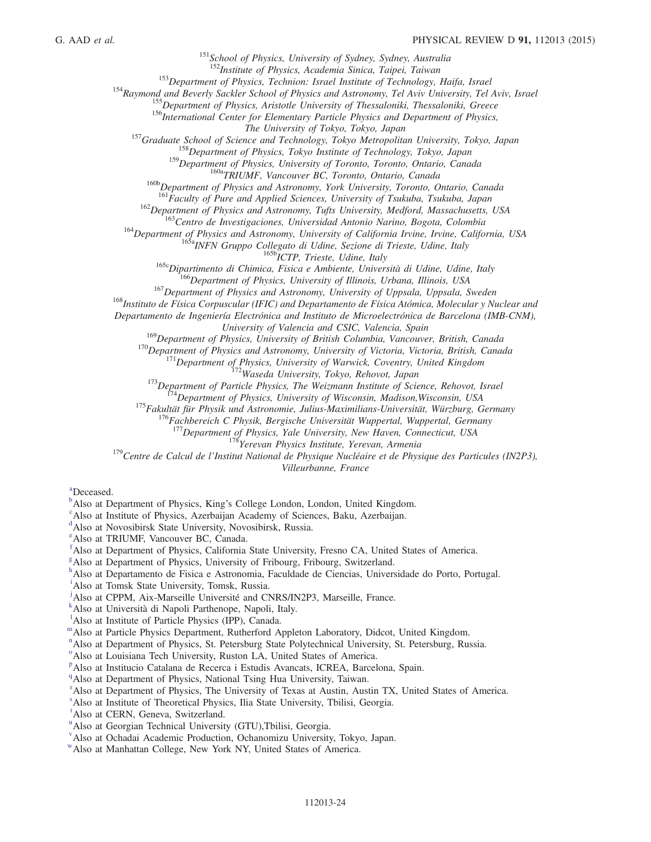<sup>151</sup>School of Physics, University of Sydney, Sydney, Australia

<sup>152</sup>Institute of Physics, Academia Sinica, Taipei, Taiwan

<sup>153</sup>Department of Physics, Technion: Israel Institute of Technology, Haifa, Israel

<span id="page-24-7"></span><span id="page-24-6"></span><span id="page-24-5"></span><span id="page-24-4"></span><span id="page-24-3"></span><span id="page-24-2"></span><span id="page-24-1"></span><span id="page-24-0"></span><sup>154</sup>Raymond and Beverly Sackler School of Physics and Astronomy, Tel Aviv University, Tel Aviv, Israel

<sup>155</sup>Department of Physics, Aristotle University of Thessaloniki, Thessaloniki, Greece

<sup>156</sup>International Center for Elementary Particle Physics and Department of Physics,

The University of Tokyo, Tokyo, Japan

<span id="page-24-10"></span><span id="page-24-9"></span><span id="page-24-8"></span><sup>157</sup>Graduate School of Science and Technology, Tokyo Metropolitan University, Tokyo, Japan

<sup>158</sup>Department of Physics, Tokyo Institute of Technology, Tokyo, Japan

<sup>159</sup>Department of Physics, University of Toronto, Toronto, Ontario, Canada

<sup>160a</sup>TRIUMF, Vancouver BC, Toronto, Ontario, Canada

<sup>160b</sup>Department of Physics and Astronomy, York University, Toronto, Ontario, Canada

<sup>161</sup>Faculty of Pure and Applied Sciences, University of Tsukuba, Tsukuba, Japan

 $^{162}$ Department of Physics and Astronomy, Tufts University, Medford, Massachusetts, USA

<sup>163</sup>Centro de Investigaciones, Universidad Antonio Narino, Bogota, Colombia

<span id="page-24-16"></span><span id="page-24-15"></span><span id="page-24-14"></span><span id="page-24-13"></span><span id="page-24-12"></span><span id="page-24-11"></span>164 Department of Physics and Astronomy, University of California Irvine, Irvine, California, USA

165aINFN Gruppo Collegato di Udine, Sezione di Trieste, Udine, Italy

 $^{165b}$ ICTP, Trieste, Udine, Italy

<sup>165c</sup>Dipartimento di Chimica, Fisica e Ambiente, Università di Udine, Udine, Italy

 $166$ Department of Physics, University of Illinois, Urbana, Illinois, USA

<sup>167</sup>Department of Physics and Astronomy, University of Uppsala, Uppsala, Sweden

<sup>168</sup>Instituto de Física Corpuscular (IFIC) and Departamento de Física Atómica, Molecular y Nuclear and

Departamento de Ingeniería Electrónica and Instituto de Microelectrónica de Barcelona (IMB-CNM),

University of Valencia and CSIC, Valencia, Spain

<sup>169</sup>Department of Physics, University of British Columbia, Vancouver, British, Canada

 $170$ Department of Physics and Astronomy, University of Victoria, Victoria, British, Canada

 $171$ Department of Physics, University of Warwick, Coventry, United Kingdom 172Waseda University, Tokyo, Rehovot, Japan

<sup>173</sup>Department of Particle Physics, The Weizmann Institute of Science, Rehovot, Israel

 $174$ Department of Physics, University of Wisconsin, Madison, Wisconsin, USA

<sup>175</sup>Fakultät für Physik und Astronomie, Julius-Maximilians-Universität, Würzburg, Germany

<sup>176</sup>Fachbereich C Physik, Bergische Universität Wuppertal, Wuppertal, Germany

<sup>177</sup>Department of Physics, Yale University, New Haven, Connecticut, USA

<sup>178</sup>Yerevan Physics Institute, Yerevan, Armenia

 $1^{179}$ Centre de Calcul de l'Institut National de Physique Nucléaire et de Physique des Particules (IN2P3),

Villeurbanne, France

[a](#page-12-0)Deceased.

<sup>[b](#page-11-31)</sup>Also at Department of Physics, King's College London, London, United Kingdom.

<sup>[c](#page-11-32)</sup>Also at Institute of Physics, Azerbaijan Academy of Sciences, Baku, Azerbaijan.

[d](#page-11-33)Also at Novosibirsk State University, Novosibirsk, Russia.

[e](#page-11-34)Also at TRIUMF, Vancouver BC, Canada.

[f](#page-12-1)Also at Department of Physics, California State University, Fresno CA, United States of America.

<sup>[g](#page-12-2)</sup>Also at Department of Physics, University of Fribourg, Fribourg, Switzerland.

[h](#page-12-3)Also at Departamento de Fisica e Astronomia, Faculdade de Ciencias, Universidade do Porto, Portugal.

<sup>[i](#page-12-4)</sup>Also at Tomsk State University, Tomsk, Russia.

<sup>[j](#page-12-4)</sup>Also at CPPM, Aix-Marseille Université and CNRS/IN2P3, Marseille, France.

[k](#page-12-5)Also at Università di Napoli Parthenope, Napoli, Italy.

<sup>1</sup>A[l](#page-12-6)so at Institute of Particle Physics (IPP), Canada.

[m](#page-13-0)Also at Particle Physics Department, Rutherford Appleton Laboratory, Didcot, United Kingdom.

<sup>[n](#page-13-1)</sup>Also at Department of Physics, St. Petersburg State Polytechnical University, St. Petersburg, Russia.

<sup>[o](#page-14-0)</sup>Also at Louisiana Tech University, Ruston LA, United States of America.

<su[p](#page-14-1)>p</sup>Also at Institucio Catalana de Recerca i Estudis Avancats, ICREA, Barcelona, Spain.

<sup>[q](#page-14-2)</sup>Also at Department of Physics, National Tsing Hua University, Taiwan.

<sup>[r](#page-14-3)</sup>Also at Department of Physics, The University of Texas at Austin, Austin TX, United States of America.

[s](#page-14-4)Also at Institute of Theoretical Physics, Ilia State University, Tbilisi, Georgia.

<sup>[t](#page-14-4)</sup>Also at CERN, Geneva, Switzerland.

<s[u](#page-14-5)p>u</sup>Also at Georgian Technical University (GTU), Tbilisi, Georgia.

[v](#page-15-0)Also at Ochadai Academic Production, Ochanomizu University, Tokyo, Japan.

[w](#page-15-0)Also at Manhattan College, New York NY, United States of America.